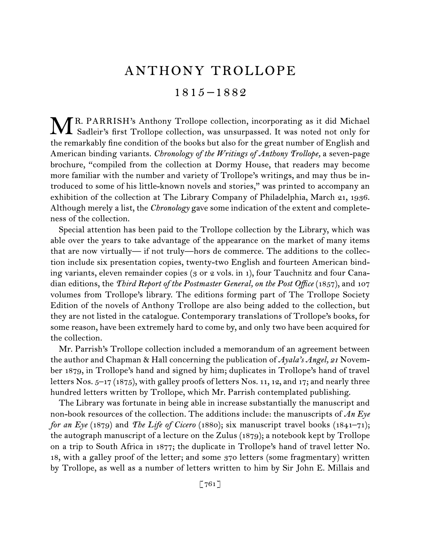# ANTHONY TROLLOPE

1815 –1882

MR. PARRISH's Anthony Trollope collection, incorporating as it did Michael<br>Sadleir's first Trollope collection, was unsurpassed. It was noted not only for Sadleir's first Trollope collection, was unsurpassed. It was noted not only for the remarkably fine condition of the books but also for the great number of English and American binding variants. *Chronology of the Writings of Anthony Trollope,* a seven-page brochure, "compiled from the collection at Dormy House, that readers may become more familiar with the number and variety of Trollope's writings, and may thus be introduced to some of his little-known novels and stories," was printed to accompany an exhibition of the collection at The Library Company of Philadelphia, March 21, 1936. Although merely a list, the *Chronology* gave some indication of the extent and completeness of the collection.

Special attention has been paid to the Trollope collection by the Library, which was able over the years to take advantage of the appearance on the market of many items that are now virtually— if not truly—hors de commerce. The additions to the collection include six presentation copies, twenty-two English and fourteen American binding variants, eleven remainder copies (3 or 2 vols. in 1), four Tauchnitz and four Canadian editions, the *Third Report of the Postmaster General, on the Post Office* (1857), and 107 volumes from Trollope's library. The editions forming part of The Trollope Society Edition of the novels of Anthony Trollope are also being added to the collection, but they are not listed in the catalogue. Contemporary translations of Trollope's books, for some reason, have been extremely hard to come by, and only two have been acquired for the collection.

Mr. Parrish's Trollope collection included a memorandum of an agreement between the author and Chapman & Hall concerning the publication of *Ayala's Angel, 21* November 1879, in Trollope's hand and signed by him; duplicates in Trollope's hand of travel letters Nos. 5–17 (1875), with galley proofs of letters Nos. 11, 12, and 17; and nearly three hundred letters written by Trollope, which Mr. Parrish contemplated publishing.

The Library was fortunate in being able in increase substantially the manuscript and non-book resources of the collection. The additions include: the manuscripts of *An Eye for an Eye* (1879) and *The Life of Cicero* (1880); six manuscript travel books (1841–71); the autograph manuscript of a lecture on the Zulus (1879); a notebook kept by Trollope on a trip to South Africa in 1877; the duplicate in Trollope's hand of travel letter No. 18, with a galley proof of the letter; and some 370 letters (some fragmentary) written by Trollope, as well as a number of letters written to him by Sir John E. Millais and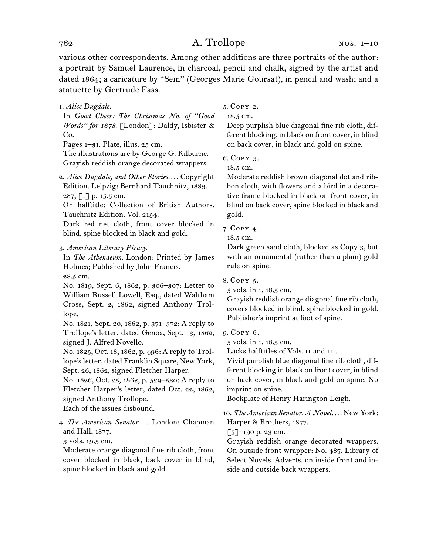various other correspondents. Among other additions are three portraits of the author: a portrait by Samuel Laurence, in charcoal, pencil and chalk, signed by the artist and dated 1864; a caricature by "Sem" (Georges Marie Goursat), in pencil and wash; and a statuette by Gertrude Fass.

1. *Alice Dugdale.*

In *Good Cheer: The Christmas No. of "Good Words" for 1878*. [London]: Daldy, Isbister & Co.

Pages 1–31. Plate, illus. 25 cm.

The illustrations are by George G. Kilburne. Grayish reddish orange decorated wrappers.

2. *Alice Dugdale, and Other Stories. . . .* Copyright Edition. Leipzig: Bernhard Tauchnitz, 1883. 287, [1] p. 15.5 cm.

On halftitle: Collection of British Authors. Tauchnitz Edition. Vol. 2154.

Dark red net cloth, front cover blocked in blind, spine blocked in black and gold.

### 3. *American Literary Piracy.*

In *The Athenaeum.* London: Printed by James Holmes; Published by John Francis.

28.5 cm.

No. 1819, Sept. 6, 1862, p. 306–307: Letter to William Russell Lowell, Esq., dated Waltham Cross, Sept. 2, 1862, signed Anthony Trollope.

No. 1821, Sept. 20, 1862, p. 371–372: A reply to Trollope's letter, dated Genoa, Sept. 13, 1862, signed J. Alfred Novello.

No. 1825, Oct. 18, 1862, p. 496: A reply to Trollope's letter, dated Franklin Square, New York, Sept. 26, 1862, signed Fletcher Harper.

No. 1826, Oct. 25, 1862, p. 529–530: A reply to Fletcher Harper's letter, dated Oct. 22, 1862, signed Anthony Trollope.

Each of the issues disbound.

4. *The American Senator. . . .* London: Chapman and Hall, 1877.

3 vols. 19.5 cm.

Moderate orange diagonal fine rib cloth, front cover blocked in black, back cover in blind, spine blocked in black and gold.

5. Copy 2.

18.5 cm.

Deep purplish blue diagonal fine rib cloth, different blocking, in black on front cover, in blind on back cover, in black and gold on spine.

6. Copy 3.

18.5 cm.

Moderate reddish brown diagonal dot and ribbon cloth, with flowers and a bird in a decorative frame blocked in black on front cover, in blind on back cover, spine blocked in black and gold.

### 7. Copy 4.

18.5 cm.

Dark green sand cloth, blocked as Copy 3, but with an ornamental (rather than a plain) gold rule on spine.

8. Copy 5.

3 vols. in 1. 18.5 cm.

Grayish reddish orange diagonal fine rib cloth, covers blocked in blind, spine blocked in gold. Publisher's imprint at foot of spine.

### 9. Copy 6.

3 vols. in 1. 18.5 cm.

Lacks halftitles of Vols. II and III.

Vivid purplish blue diagonal fine rib cloth, different blocking in black on front cover, in blind on back cover, in black and gold on spine. No imprint on spine.

Bookplate of Henry Harington Leigh.

10. *The American Senator. A Novel. . . .* New York: Harper & Brothers, 1877.

 $\left[\frac{5}{2}\right]$ –190 p. 23 cm.

Grayish reddish orange decorated wrappers. On outside front wrapper: No. 487. Library of Select Novels. Adverts. on inside front and inside and outside back wrappers.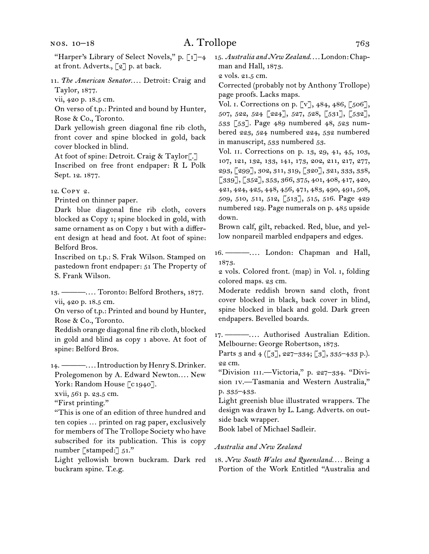- 11. The American Senator.... Detroit: Craig and Taylor, 1877.
- vii, 420 p. 18.5 cm.

On verso of t.p.: Printed and bound by Hunter, Rose & Co., Toronto.

Dark yellowish green diagonal fine rib cloth, front cover and spine blocked in gold, back cover blocked in blind.

At foot of spine: Detroit. Craig & Taylor<sup>7</sup>.

Inscribed on free front endpaper: R L Polk Sept. 12. 1877.

12. Copy 2.

Printed on thinner paper.

Dark blue diagonal fine rib cloth, covers blocked as Copy 1; spine blocked in gold, with same ornament as on Copy 1 but with a different design at head and foot. At foot of spine: Belford Bros.

Inscribed on t.p.: S. Frak Wilson. Stamped on pastedown front endpaper: 51 The Property of S. Frank Wilson.

13. ———. . . . Toronto: Belford Brothers, 1877. vii, 420 p. 18.5 cm.

On verso of t.p.: Printed and bound by Hunter, Rose & Co., Toronto.

Reddish orange diagonal fine rib cloth, blocked in gold and blind as copy 1 above. At foot of spine: Belford Bros.

14. ———. . . . Introduction by Henry S. Drinker. Prolegomenon by A. Edward Newton.... New York: Random House [c1940].

xvii, 561 p. 23.5 cm.

"First printing."

"This is one of an edition of three hundred and ten copies … printed on rag paper, exclusively for members of The Trollope Society who have subscribed for its publication. This is copy number [stamped:]  $51."$ 

Light yellowish brown buckram. Dark red buckram spine. T.e.g.

15. *Australia and New Zealand.* ... London: Chapman and Hall, 1873.

2 vols. 21.5 cm.

Corrected (probably not by Anthony Trollope) page proofs. Lacks maps.

Vol. i. Corrections on p. [v], 484, 486, [506], 507, 522, 524 [224], 527, 528, [531], [532], 533 [53]. Page 489 numbered 48, 523 numbered 223, 524 numbered 224, 532 numbered in manuscript, 533 numbered 53.

Vol. ii. Corrections on p. 13, 29, 41, 45, 103, 107, 121, 132, 133, 141, 173, 202, 211, 217, 277, 293, [299], 302, 311, 319, [320], 321, 333, 338, [339], [352], 353, 366, 375, 401, 408, 417, 420, 421, 424, 425, 448, 456, 471, 483, 490, 491, 508, 509, 510, 511, 512, [513], 515, 516. Page 429 numbered 129. Page numerals on p. 485 upside down.

Brown calf, gilt, rebacked. Red, blue, and yellow nonpareil marbled endpapers and edges.

16. ———.... London: Chapman and Hall, 1873.

2 vols. Colored front. (map) in Vol. i, folding colored maps. 23 cm.

Moderate reddish brown sand cloth, front cover blocked in black, back cover in blind, spine blocked in black and gold. Dark green endpapers. Bevelled boards.

17. ----------.... Authorised Australian Edition. Melbourne: George Robertson, 1873.

Parts 3 and 4 ([3], 227-334; [3], 335-433 p.). 22 cm.

"Division III.—Victoria," p. 227-334. "Division iv.—Tasmania and Western Australia," p. 335–433.

Light greenish blue illustrated wrappers. The design was drawn by L. Lang. Adverts. on outside back wrapper.

Book label of Michael Sadleir.

### *Australia and New Zealand*

18. *New South Wales and Queensland. . . .* Being a Portion of the Work Entitled "Australia and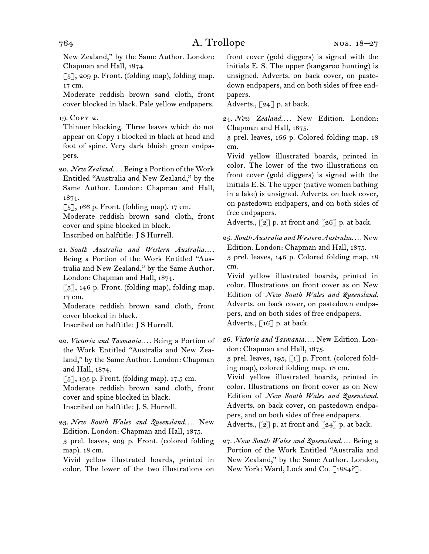New Zealand," by the Same Author. London: Chapman and Hall, 1874.

 $\lceil 5 \rceil$ , 209 p. Front. (folding map), folding map. 17 cm.

Moderate reddish brown sand cloth, front cover blocked in black. Pale yellow endpapers.

19. Copy 2.

Thinner blocking. Three leaves which do not appear on Copy 1 blocked in black at head and foot of spine. Very dark bluish green endpapers.

20. *New Zealand. . . .* Being a Portion of the Work Entitled "Australia and New Zealand," by the Same Author. London: Chapman and Hall, 1874.

 $\lceil 5 \rceil$ , 166 p. Front. (folding map). 17 cm.

Moderate reddish brown sand cloth, front cover and spine blocked in black.

Inscribed on halftitle: J S Hurrell.

21. *South Australia and Western Australia. . . .* Being a Portion of the Work Entitled "Australia and New Zealand," by the Same Author. London: Chapman and Hall, 1874.

 $\lceil 5 \rceil$ , 146 p. Front. (folding map), folding map. 17 cm.

Moderate reddish brown sand cloth, front cover blocked in black.

Inscribed on halftitle: J S Hurrell.

22. *Victoria and Tasmania. . . .* Being a Portion of the Work Entitled "Australia and New Zealand," by the Same Author. London: Chapman and Hall, 1874.

 $\lceil 5 \rceil$ , 195 p. Front. (folding map). 17.5 cm.

Moderate reddish brown sand cloth, front cover and spine blocked in black.

Inscribed on halftitle: J. S. Hurrell.

23. *New South Wales and Queensland. . . .* New Edition. London: Chapman and Hall, 1875. 3 prel. leaves, 209 p. Front. (colored folding map). 18 cm.

Vivid yellow illustrated boards, printed in color. The lower of the two illustrations on

front cover (gold diggers) is signed with the initials E. S. The upper (kangaroo hunting) is unsigned. Adverts. on back cover, on pastedown endpapers, and on both sides of free endpapers.

Adverts.,  $\lceil 24 \rceil$  p. at back.

24. *New Zealand. . . .* New Edition. London: Chapman and Hall, 1875.

3 prel. leaves, 166 p. Colored folding map. 18 cm.

Vivid yellow illustrated boards, printed in color. The lower of the two illustrations on front cover (gold diggers) is signed with the initials E. S. The upper (native women bathing in a lake) is unsigned. Adverts. on back cover, on pastedown endpapers, and on both sides of free endpapers.

Adverts.,  $\lceil 2 \rceil$  p. at front and  $\lceil 26 \rceil$  p. at back.

25. *South Australia and Western Australia. . . .* New Edition. London: Chapman and Hall, 1875.

3 prel. leaves, 146 p. Colored folding map. 18 cm.

Vivid yellow illustrated boards, printed in color. Illustrations on front cover as on New Edition of *New South Wales and Queensland.*  Adverts. on back cover, on pastedown endpapers, and on both sides of free endpapers. Adverts.,  $\lceil 16 \rceil$  p. at back.

26. *Victoria and Tasmania. . . .* New Edition. London: Chapman and Hall, 1875.

3 prel. leaves, 195,  $\lceil 1 \rceil$  p. Front. (colored folding map), colored folding map. 18 cm.

Vivid yellow illustrated boards, printed in color. Illustrations on front cover as on New Edition of *New South Wales and Queensland.*  Adverts. on back cover, on pastedown endpapers, and on both sides of free endpapers. Adverts.,  $\lceil 2 \rceil$  p. at front and  $\lceil 24 \rceil$  p. at back.

27. *New South Wales and Queensland. . . .* Being a Portion of the Work Entitled "Australia and New Zealand," by the Same Author. London, New York: Ward, Lock and Co. [1884?].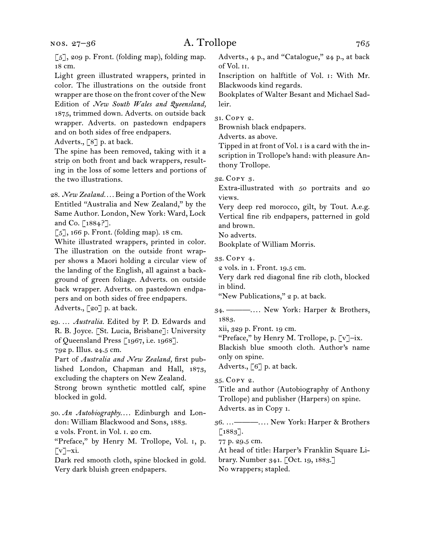[5], 209 p. Front. (folding map), folding map. 18 cm.

Light green illustrated wrappers, printed in color. The illustrations on the outside front wrapper are those on the front cover of the New Edition of *New South Wales and Queensland,*  1875, trimmed down. Adverts. on outside back wrapper. Adverts. on pastedown endpapers and on both sides of free endpapers.

Adverts., [8] p. at back.

The spine has been removed, taking with it a strip on both front and back wrappers, resulting in the loss of some letters and portions of the two illustrations.

28. *New Zealand. . . .* Being a Portion of the Work Entitled "Australia and New Zealand," by the Same Author. London, New York: Ward, Lock and Co. [1884?].

[5], 166 p. Front. (folding map). 18 cm.

White illustrated wrappers, printed in color. The illustration on the outside front wrapper shows a Maori holding a circular view of the landing of the English, all against a background of green foliage. Adverts. on outside back wrapper. Adverts. on pastedown endpapers and on both sides of free endpapers. Adverts., [20] p. at back.

29. … *Australia.* Edited by P. D. Edwards and R. B. Joyce. [St. Lucia, Brisbane]: University of Queensland Press [1967, i.e. 1968].

792 p. Illus. 24.5 cm.

Part of *Australia and New Zealand,* first published London, Chapman and Hall, 1873, excluding the chapters on New Zealand.

Strong brown synthetic mottled calf, spine blocked in gold.

30. An Autobiography.... Edinburgh and London: William Blackwood and Sons, 1883. 2 vols. Front. in Vol. i. 20 cm.

"Preface," by Henry M. Trollope, Vol. i, p.  $\lbrack \mathbf{v} \rbrack$  –xi.

Dark red smooth cloth, spine blocked in gold. Very dark bluish green endpapers.

Adverts., 4 p., and "Catalogue," 24 p., at back of Vol. ii.

Inscription on halftitle of Vol. i: With Mr. Blackwoods kind regards.

Bookplates of Walter Besant and Michael Sadleir.

31. Copy 2.

Brownish black endpapers.

Adverts. as above.

Tipped in at front of Vol. i is a card with the inscription in Trollope's hand: with pleasure Anthony Trollope.

32. Copy 3.

Extra-illustrated with 50 portraits and 20 views.

Very deep red morocco, gilt, by Tout. A.e.g. Vertical fine rib endpapers, patterned in gold and brown.

No adverts.

Bookplate of William Morris.

33. Copy 4.

2 vols. in 1. Front. 19.5 cm.

Very dark red diagonal fine rib cloth, blocked in blind.

"New Publications," 2 p. at back.

34. ———. . . . New York: Harper & Brothers, 1883.

xii, 329 p. Front. 19 cm.

"Preface," by Henry M. Trollope, p. [v]–ix.

Blackish blue smooth cloth. Author's name only on spine.

Adverts., [6] p. at back.

35. Copy 2.

Title and author (Autobiography of Anthony Trollope) and publisher (Harpers) on spine. Adverts. as in Copy 1.

36. …———. . . . New York: Harper & Brothers [1883].

77 p. 29.5 cm.

At head of title: Harper's Franklin Square Library. Number 341. [Oct. 19, 1883.] No wrappers; stapled.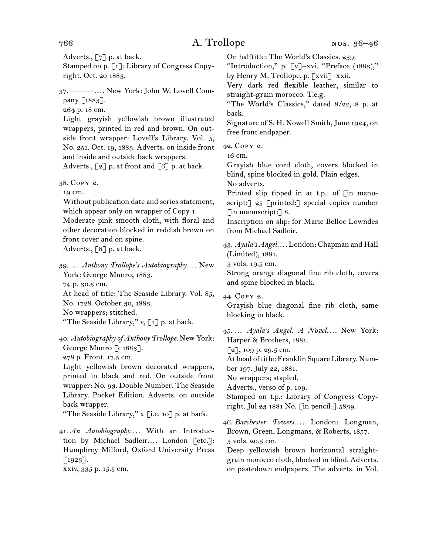Adverts., [7] p. at back.

Stamped on p. [1]: Library of Congress Copyright. Oct. 20 1883.

37. ———. . . . New York: John W. Lovell Company [1883].

264 p. 18 cm.

Light grayish yellowish brown illustrated wrappers, printed in red and brown. On outside front wrapper: Lovell's Library. Vol. 5, No. 251. Oct. 19, 1883. Adverts. on inside front and inside and outside back wrappers. Adverts.,  $\lceil 2 \rceil$  p. at front and  $\lceil 6 \rceil$  p. at back.

38. Copy 2.

19 cm.

Without publication date and series statement, which appear only on wrapper of Copy 1. Moderate pink smooth cloth, with floral and other decoration blocked in reddish brown on front cover and on spine. Adverts., [8] p. at back.

39. … *Anthony Trollope's Autobiography. . . .* New York: George Munro, 1883. 74 p. 30.5 cm. At head of title: The Seaside Library. Vol. 85, No. 1728. October 30, 1883.

No wrappers; stitched.

"The Seaside Library,"  $v, [1]$  p. at back.

40. *Autobiography of Anthony Trollope.* New York: George Munro [c1883]. 278 p. Front. 17.5 cm. Light yellowish brown decorated wrappers,

printed in black and red. On outside front wrapper: No. 93. Double Number. The Seaside Library. Pocket Edition. Adverts. on outside back wrapper.

"The Seaside Library," x [i.e. 10] p. at back.

41. *An Autobiography....* With an Introduction by Michael Sadleir.... London [etc.]: Humphrey Milford, Oxford University Press [1923].

xxiv, 335 p. 15.5 cm.

On halftitle: The World's Classics. 239.

"Introduction," p. [v]–xvi. "Preface (1883)," by Henry M. Trollope, p. [xvii]–xxii.

Very dark red flexible leather, similar to straight-grain morocco. T.e.g.

"The World's Classics," dated 8/22, 8 p. at back.

Signature of S. H. Nowell Smith, June 1924, on free front endpaper.

42. Copy 2.

16 cm.

Grayish blue cord cloth, covers blocked in blind, spine blocked in gold. Plain edges.

No adverts.

Printed slip tipped in at t.p.: of [in manuscript: [  $25$  [printed: ] special copies number [in manuscript:] 8.

Inscription on slip: for Marie Belloc Lowndes from Michael Sadleir.

43. *Ayala's Angel. . . .* London: Chapman and Hall (Limited), 1881.

3 vols. 19.5 cm.

Strong orange diagonal fine rib cloth, covers and spine blocked in black.

44. Copy 2. Grayish blue diagonal fine rib cloth, same blocking in black.

45. … *Ayala's Angel. A Novel. . . .* New York: Harper & Brothers, 1881.

[2], 109 p. 29.5 cm.

At head of title: Franklin Square Library. Number 197. July 22, 1881.

No wrappers; stapled.

Adverts., verso of p. 109.

Stamped on t.p.: Library of Congress Copyright. Jul 23 1881 No. [in pencil:] 5839.

46. *Barchester Towers....* London: Longman, Brown, Green, Longmans, & Roberts, 1857. 3 vols. 20.5 cm.

Deep yellowish brown horizontal straightgrain morocco cloth, blocked in blind. Adverts. on pastedown endpapers. The adverts. in Vol.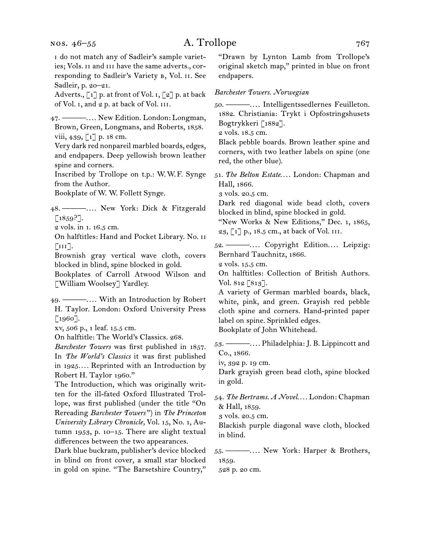nos. 46–55

## A. Trollope 767

i do not match any of Sadleir's sample varieties; Vols. ii and iii have the same adverts., corresponding to Sadleir's Variety b, Vol. ii. See Sadleir, p. 20–21.

Adverts., [1] p. at front of Vol. i, [2] p. at back of Vol. i, and 2 p. at back of Vol. iii.

47. ———. . . . New Edition. London: Longman, Brown, Green, Longmans, and Roberts, 1858. viii, 439, [1] p. 18 cm.

Very dark red nonpareil marbled boards, edges, and endpapers. Deep yellowish brown leather spine and corners.

Inscribed by Trollope on t.p.: W.W.F. Synge from the Author.

Bookplate of W. W. Follett Synge.

- 48. ———. . . . New York: Dick & Fitzgerald  $[1859?].$
- 2 vols. in 1. 16.5 cm.

On halftitles: Hand and Pocket Library. No. ii  $\lceil \text{III} \rceil$ .

Brownish gray vertical wave cloth, covers blocked in blind, spine blocked in gold.

Bookplates of Carroll Atwood Wilson and [William Woolsey] Yardley.

49. ———. . . . With an Introduction by Robert H. Taylor. London: Oxford University Press [1960].

xv, 506 p., 1 leaf. 15.5 cm.

On halftitle: The World's Classics. 268.

*Barchester Towers* was first published in 1857. In *The World's Classics* it was first published in 1925*. . . .* Reprinted with an Introduction by Robert H. Taylor 1960."

The Introduction, which was originally written for the ill-fated Oxford Illustrated Trollope, was first published (under the title "On Rereading *Barchester Towers* ") in *The Princeton University Library Chronicle,* Vol. 15, No. 1, Autumn 1953, p. 10–15. There are slight textual differences between the two appearances.

Dark blue buckram, publisher's device blocked in blind on front cover, a small star blocked in gold on spine. "The Barsetshire Country,"

"Drawn by Lynton Lamb from Trollope's original sketch map," printed in blue on front endpapers.

### *Barchester Towers. Norwegian*

50. ———. . . . Intelligentssedlernes Feuilleton. 1882. Christiania: Trykt i Opfostringshusets Bogtrykkeri [1882].

2 vols. 18.5 cm.

Black pebble boards. Brown leather spine and corners, with two leather labels on spine (one red, the other blue).

51. The Belton Estate.... London: Chapman and Hall, 1866.

3 vols. 20.5 cm.

Dark red diagonal wide bead cloth, covers blocked in blind, spine blocked in gold.

"New Works & New Editions," Dec. 1, 1865, 23, [1] p., 18.5 cm., at back of Vol. iii.

52. ---------.... Copyright Edition.... Leipzig: Bernhard Tauchnitz, 1866.

2 vols. 15.5 cm.

On halftitles: Collection of British Authors. Vol. 812 [813].

A variety of German marbled boards, black, white, pink, and green. Grayish red pebble cloth spine and corners. Hand-printed paper label on spine. Sprinkled edges. Bookplate of John Whitehead.

53. ———. . . . Philadelphia: J. B. Lippincott and Co., 1866.

iv, 392 p. 19 cm.

Dark grayish green bead cloth, spine blocked in gold.

- 54. *The Bertrams. A Novel...*. London: Chapman & Hall, 1859.
	- 3 vols. 20.5 cm.

Blackish purple diagonal wave cloth, blocked in blind.

55. ———. . . . New York: Harper & Brothers, 1859.

528 p. 20 cm.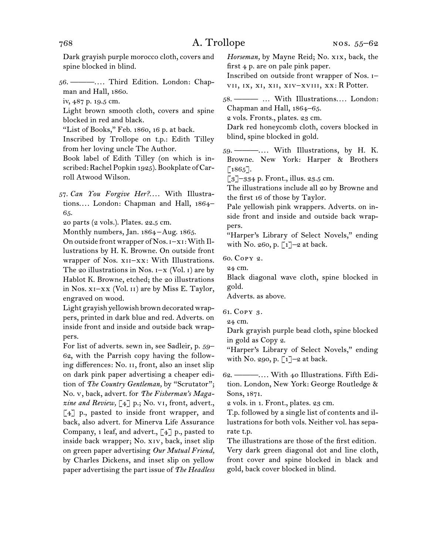Dark grayish purple morocco cloth, covers and spine blocked in blind.

56. ———. . . . Third Edition. London: Chapman and Hall, 1860.

iv, 487 p. 19.5 cm.

Light brown smooth cloth, covers and spine blocked in red and black.

"List of Books," Feb. 1860, 16 p. at back.

Inscribed by Trollope on t.p.: Edith Tilley from her loving uncle The Author.

Book label of Edith Tilley (on which is inscribed: Rachel Popkin 1925). Bookplate of Carroll Atwood Wilson.

57. Can You Forgive Her?.... With Illustrations.... London: Chapman and Hall, 1864-65.

20 parts (2 vols.). Plates. 22.5 cm.

Monthly numbers, Jan. 1864–Aug. 1865.

On outside front wrapper of Nos. i–xi: With Illustrations by H. K. Browne. On outside front wrapper of Nos.  $x_{II}-xx$ : With Illustrations. The 20 illustrations in Nos.  $I - X$  (Vol. 1) are by Hablot K. Browne, etched; the 20 illustrations in Nos. xi–xx (Vol. ii) are by Miss E. Taylor, engraved on wood.

Light grayish yellowish brown decorated wrappers, printed in dark blue and red. Adverts. on inside front and inside and outside back wrappers.

For list of adverts. sewn in, see Sadleir, p. 59– 62, with the Parrish copy having the following differences: No. ii, front, also an inset slip on dark pink paper advertising a cheaper edition of *The Country Gentleman,* by "Scrutator"; No. v, back, advert. for *The Fisherman's Maga*zine and Review, [4] p.; No. v1, front, advert., [4] p., pasted to inside front wrapper, and back, also advert. for Minerva Life Assurance Company, 1 leaf, and advert.,  $\lceil 4 \rceil$  p., pasted to inside back wrapper; No. xiv, back, inset slip on green paper advertising *Our Mutual Friend,*  by Charles Dickens, and inset slip on yellow paper advertising the part issue of *The Headless*  *Horseman,* by Mayne Reid; No. xix, back, the first 4 p. are on pale pink paper.

Inscribed on outside front wrapper of Nos. i– vii, ix, xi, xii, xiv–xviii, xx: R Potter.

58. ——— ... With Illustrations.... London: Chapman and Hall, 1864–65.

2 vols. Fronts., plates. 23 cm.

Dark red honeycomb cloth, covers blocked in blind, spine blocked in gold.

59. — — .... With Illustrations, by H. K. Browne. New York: Harper & Brothers  $[1865]$ .

 $\lceil 3 \rceil$ –334 p. Front., illus. 23.5 cm.

The illustrations include all 20 by Browne and the first 16 of those by Taylor.

Pale yellowish pink wrappers. Adverts. on inside front and inside and outside back wrappers.

"Harper's Library of Select Novels," ending with No. 260, p.  $\lceil 1 \rceil$ -2 at back.

60. Copy 2.

24 cm.

Black diagonal wave cloth, spine blocked in gold.

Adverts. as above.

61. Copy 3.

24 cm.

Dark grayish purple bead cloth, spine blocked in gold as Copy 2.

"Harper's Library of Select Novels," ending with No. 290, p.  $\lceil 1 \rceil$ –2 at back.

62. ———. . . . With 40 Illustrations. Fifth Edition. London, New York: George Routledge & Sons, 1871.

2 vols. in 1. Front., plates. 23 cm.

T.p. followed by a single list of contents and illustrations for both vols. Neither vol. has separate t.p.

The illustrations are those of the first edition. Very dark green diagonal dot and line cloth, front cover and spine blocked in black and gold, back cover blocked in blind.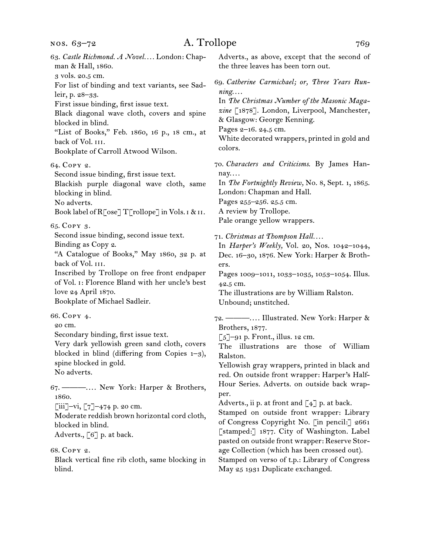| 63. Castle Richmond. A Novel London: Chap-<br>man & Hall, 1860.                                                                                                                                                                                                                                                   | Adverts., as above, except that the second of<br>the three leaves has been torn out.                                                                                                                                                                                                                                                                                          |
|-------------------------------------------------------------------------------------------------------------------------------------------------------------------------------------------------------------------------------------------------------------------------------------------------------------------|-------------------------------------------------------------------------------------------------------------------------------------------------------------------------------------------------------------------------------------------------------------------------------------------------------------------------------------------------------------------------------|
| 3 vols. 20.5 cm.<br>For list of binding and text variants, see Sad-<br>leir, p. 28-33.<br>First issue binding, first issue text.<br>Black diagonal wave cloth, covers and spine<br>blocked in blind.<br>"List of Books," Feb. 1860, 16 p., 18 cm., at<br>back of Vol. III.<br>Bookplate of Carroll Atwood Wilson. | 69. Catherine Carmichael; or, Three Years Run-<br>ning<br>In The Christmas Number of the Masonic Maga-<br>zine [1878]. London, Liverpool, Manchester,<br>& Glasgow: George Kenning.<br>Pages 2-16. 24.5 cm.<br>White decorated wrappers, printed in gold and<br>colors.                                                                                                       |
| 64. COPY 2.<br>Second issue binding, first issue text.<br>Blackish purple diagonal wave cloth, same<br>blocking in blind.<br>No adverts.<br>Book label of R[ose] T[rollope] in Vols. 1 & 11.                                                                                                                      | 70. Characters and Criticisms. By James Han-<br>nay<br>In The Fortnightly Review, No. 8, Sept. 1, 1865.<br>London: Chapman and Hall.<br>Pages 255-256. 25.5 cm.<br>A review by Trollope.<br>Pale orange yellow wrappers.                                                                                                                                                      |
| 65. COPY 3.<br>Second issue binding, second issue text.<br>Binding as Copy 2.<br>"A Catalogue of Books," May 1860, 32 p. at<br>back of Vol. III.<br>Inscribed by Trollope on free front endpaper<br>of Vol. 1: Florence Bland with her uncle's best<br>love 24 April 1870.<br>Bookplate of Michael Sadleir.       | 71. Christmas at Thompson Hall<br>In Harper's Weekly, Vol. 20, Nos. 1042-1044,<br>Dec. 16-30, 1876. New York: Harper & Broth-<br>ers.<br>Pages 1009-1011, 1033-1035, 1053-1054. Illus.<br>42.5 cm.<br>The illustrations are by William Ralston.<br>Unbound; unstitched.                                                                                                       |
| 66. COPY 4.<br>20 cm.<br>Secondary binding, first issue text.<br>Very dark yellowish green sand cloth, covers<br>blocked in blind (differing from Copies $1-3$ ),<br>spine blocked in gold.<br>No adverts.                                                                                                        | 72. — —  Illustrated. New York: Harper &<br>Brothers, 1877.<br>$\lceil 5 \rceil$ -91 p. Front., illus. 12 cm.<br>The illustrations are those of William<br>Ralston.<br>Yellowish gray wrappers, printed in black and<br>red. On outside front wrapper: Harper's Half-                                                                                                         |
| 67. — —  New York: Harper & Brothers,<br>1860.<br>$\left[\begin{matrix}iii\\-vi\\5\end{matrix}\right]$ -474 p. 20 cm.<br>Moderate reddish brown horizontal cord cloth,<br>blocked in blind.<br>Adverts., [6] p. at back.<br>68. COPY 2.                                                                           | Hour Series. Adverts. on outside back wrap-<br>per.<br>Adverts., ii p. at front and $\begin{bmatrix} 4 \end{bmatrix}$ p. at back.<br>Stamped on outside front wrapper: Library<br>of Congress Copyright No. [in pencil:] 2661<br>[stamped:] 1877. City of Washington. Label<br>pasted on outside front wrapper: Reserve Stor-<br>age Collection (which has been crossed out). |

Black vertical fine rib cloth, same blocking in blind.

Stamped on verso of t.p.: Library of Congress May 25 1931 Duplicate exchanged.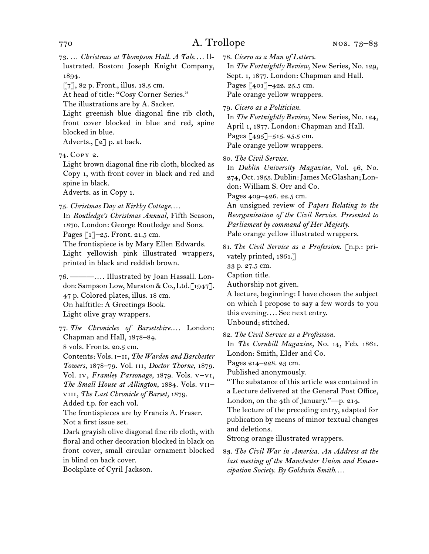73. ... Christmas at Thompson Hall. A Tale.... Illustrated. Boston: Joseph Knight Company, 1894.

 $[7]$ , 82 p. Front., illus. 18.5 cm.

At head of title: "Cosy Corner Series."

The illustrations are by A. Sacker.

Light greenish blue diagonal fine rib cloth, front cover blocked in blue and red, spine blocked in blue.

Adverts.,  $\lceil 2 \rceil$  p. at back.

74. Copy 2.

Light brown diagonal fine rib cloth, blocked as Copy 1, with front cover in black and red and spine in black.

Adverts. as in Copy 1.

75. *Christmas Day at Kirkby Cottage*. . . . In *Routledge's Christmas Annual,* Fifth Season, 1870. London: George Routledge and Sons. Pages [1]-25. Front. 21.5 cm. The frontispiece is by Mary Ellen Edwards. Light yellowish pink illustrated wrappers, printed in black and reddish brown.

76. ———. . . . Illustrated by Joan Hassall. London: Sampson Low, Marston & Co., Ltd. [1947]. 47 p. Colored plates, illus. 18 cm. On halftitle: A Greetings Book. Light olive gray wrappers.

77. The Chronicles of Barsetshire.... London: Chapman and Hall, 1878–84. 8 vols. Fronts. 20.5 cm.

Contents: Vols. i–ii, *The Warden and Barchester Towers,* 1878–79. Vol. iii, *Doctor Thorne,* 1879. Vol. iv, *Framley Parsonage,* 1879. Vols. v–vi, *The Small House at Allington,* 1884. Vols. vii– viii, *The Last Chronicle of Barset,* 1879.

Added t.p. for each vol.

The frontispieces are by Francis A. Fraser. Not a first issue set.

Dark grayish olive diagonal fine rib cloth, with floral and other decoration blocked in black on front cover, small circular ornament blocked in blind on back cover.

Bookplate of Cyril Jackson.

78. *Cicero as a Man of Letters.*

In *The Fortnightly Review,* New Series, No. 129, Sept. 1, 1877. London: Chapman and Hall. Pages [401]-422. 25.5 cm. Pale orange yellow wrappers.

79. *Cicero as a Politician.*

In *The Fortnightly Review,* New Series, No. 124, April 1, 1877. London: Chapman and Hall. Pages [495]–515. 25.5 cm. Pale orange yellow wrappers.

80. *The Civil Service.*

In *Dublin University Magazine,* Vol. 46, No. 274, Oct. 1855. Dublin: James McGlashan; London: William S. Orr and Co. Pages 409–426. 22.5 cm.

An unsigned review of *Papers Relating to the Reorganisation of the Civil Service. Presented to Parliament by command of Her Majesty.*

Pale orange yellow illustrated wrappers.

81. *The Civil Service as a Profession.* [n.p.: privately printed, 1861.]

33 p. 27.5 cm.

Caption title.

Authorship not given.

A lecture, beginning: I have chosen the subject on which I propose to say a few words to you this evening*. . . .* See next entry. Unbound; stitched.

82. *The Civil Service as a Profession.*

In *The Cornhill Magazine,* No. 14, Feb. 1861. London: Smith, Elder and Co.

Pages 214–228. 23 cm.

Published anonymously.

"The substance of this article was contained in a Lecture delivered at the General Post Office, London, on the 4th of January."—p. 214.

The lecture of the preceding entry, adapted for publication by means of minor textual changes and deletions.

Strong orange illustrated wrappers.

83. *The Civil War in America. An Address at the last meeting of the Manchester Union and Emancipation Society. By Goldwin Smith*. . . .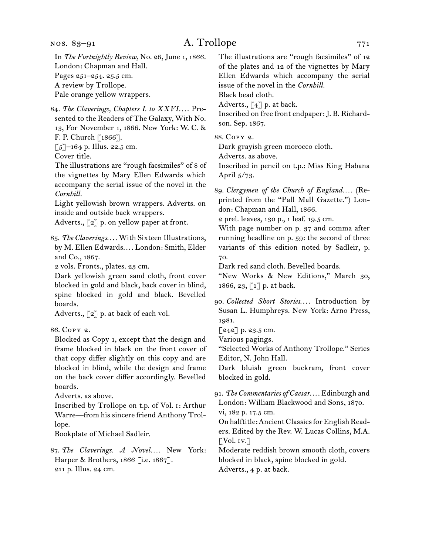nos. 83–91

## A. Trollope 771

84. The Claverings, Chapters I. to XXVI.... Presented to the Readers of The Galaxy, With No. 13, For November 1, 1866. New York: W. C. & F. P. Church [1866].

 $\lceil 5 \rceil$ –164 p. Illus. 22.5 cm.

Cover title.

The illustrations are "rough facsimiles" of 8 of the vignettes by Mary Ellen Edwards which accompany the serial issue of the novel in the *Cornhill.*

Light yellowish brown wrappers. Adverts. on inside and outside back wrappers.

Adverts.,  $\lceil 2 \rceil$  p. on yellow paper at front.

85. The Claverings.... With Sixteen Illustrations, by M. Ellen Edwards.... London: Smith, Elder and Co., 1867.

2 vols. Fronts., plates. 23 cm.

Dark yellowish green sand cloth, front cover blocked in gold and black, back cover in blind, spine blocked in gold and black. Bevelled boards.

Adverts., [2] p. at back of each vol.

86. Copy 2.

Blocked as Copy 1, except that the design and frame blocked in black on the front cover of that copy differ slightly on this copy and are blocked in blind, while the design and frame on the back cover differ accordingly. Bevelled boards.

Adverts. as above.

Inscribed by Trollope on t.p. of Vol. i: Arthur Warre—from his sincere friend Anthony Trollope.

Bookplate of Michael Sadleir.

87. *The Claverings. A Novel....* New York: Harper & Brothers, 1866 [i.e. 1867]. 211 p. Illus. 24 cm.

The illustrations are "rough facsimiles" of 12 of the plates and 12 of the vignettes by Mary Ellen Edwards which accompany the serial issue of the novel in the *Cornhill.* Black bead cloth.

Adverts.,  $\begin{bmatrix} 4 \end{bmatrix}$  p. at back.

Inscribed on free front endpaper: J. B. Richardson. Sep. 1867.

88. Copy 2.

Dark grayish green morocco cloth.

Adverts. as above.

Inscribed in pencil on t.p.: Miss King Habana April 5/73.

89. *Clergymen of the Church of England. . . .* (Reprinted from the "Pall Mall Gazette.") London: Chapman and Hall, 1866.

2 prel. leaves, 130 p., 1 leaf. 19.5 cm.

With page number on p. 37 and comma after running headline on p. 59: the second of three variants of this edition noted by Sadleir, p. 70.

Dark red sand cloth. Bevelled boards.

"New Works & New Editions," March 30, 1866, 23,  $\lceil 1 \rceil$  p. at back.

90. *Collected Short Stories...*. Introduction by Susan L. Humphreys. New York: Arno Press, 1981.

 $[242]$  p. 23.5 cm.

Various pagings.

"Selected Works of Anthony Trollope." Series Editor, N. John Hall.

Dark bluish green buckram, front cover blocked in gold.

91. *The Commentaries of Caesar*. . . . Edinburgh and London: William Blackwood and Sons, 1870. vi, 182 p. 17.5 cm.

On halftitle: Ancient Classics for English Readers. Edited by the Rev. W. Lucas Collins, M.A.  $\lbrack$  Vol. iv.]

Moderate reddish brown smooth cloth, covers blocked in black, spine blocked in gold. Adverts., 4 p. at back.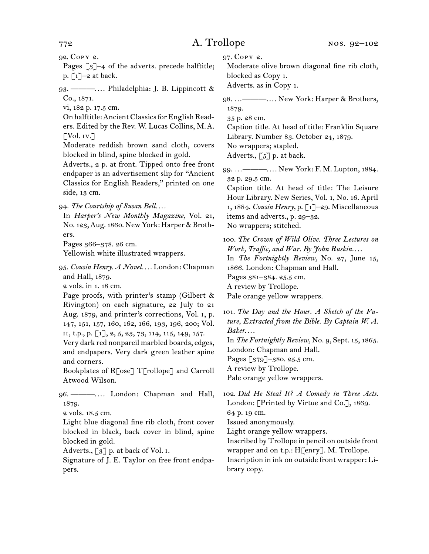92. Copy 2.

Pages  $\lceil 3 \rceil$ –4 of the adverts. precede halftitle; p.  $\lbrack 1 \rbrack -2$  at back.

93. ———. . . . Philadelphia: J. B. Lippincott & Co., 1871.

vi, 182 p. 17.5 cm.

On halftitle: Ancient Classics for English Readers. Edited by the Rev. W. Lucas Collins, M.A.  $\lceil \text{Vol. iv.} \rceil$ 

Moderate reddish brown sand cloth, covers blocked in blind, spine blocked in gold.

Adverts., 2 p. at front. Tipped onto free front endpaper is an advertisement slip for "Ancient Classics for English Readers," printed on one side, 13 cm.

94. *The Courtship of Susan Bell. . . .*

In *Harper's New Monthly Magazine,* Vol. 21, No. 123, Aug. 1860. New York: Harper & Brothers.

Pages 366–378. 26 cm.

Yellowish white illustrated wrappers.

95. *Cousin Henry. A Novel. . . .* London: Chapman and Hall, 1879.

2 vols. in 1. 18 cm.

Page proofs, with printer's stamp (Gilbert & Rivington) on each signature, 22 July to 21 Aug. 1879, and printer's corrections, Vol. i, p. 147, 151, 157, 160, 162, 166, 193, 196, 200; Vol. ii, t.p., p. [1], 2, 5, 23, 73, 114, 115, 149, 157.

Very dark red nonpareil marbled boards, edges, and endpapers. Very dark green leather spine and corners.

Bookplates of R[ose] T[rollope] and Carroll Atwood Wilson.

96. ———. . . . London: Chapman and Hall, 1879.

2 vols. 18.5 cm.

Light blue diagonal fine rib cloth, front cover blocked in black, back cover in blind, spine blocked in gold.

Adverts.,  $\lceil 3 \rceil$  p. at back of Vol. I.

Signature of J. E. Taylor on free front endpapers.

97. Copy 2.

Moderate olive brown diagonal fine rib cloth, blocked as Copy 1.

Adverts. as in Copy 1.

98. …———. . . . New York: Harper & Brothers, 1879.

35 p. 28 cm.

Caption title. At head of title: Franklin Square Library. Number 83. October 24, 1879. No wrappers; stapled.

Adverts.,  $\lceil 5 \rceil$  p. at back.

99. …———. . . . New York: F. M. Lupton, 1884. 32 p. 29.5 cm.

Caption title. At head of title: The Leisure Hour Library. New Series, Vol. 1, No. 16. April 1, 1884. *Cousin Henry,* p. [1]–29. Miscellaneous items and adverts., p. 29–32. No wrappers; stitched.

100. *The Crown of Wild Olive. Three Lectures on Work, Traffic, and War. By John Ruskin. . . .* In *The Fortnightly Review,* No. 27, June 15, 1866. London: Chapman and Hall. Pages 381–384. 25.5 cm. A review by Trollope.

Pale orange yellow wrappers.

101. *The Day and the Hour. A Sketch of the Future, Extracted from the Bible. By Captain W. A. Baker*. . . . In *The Fortnightly Review,* No. 9, Sept. 15, 1865. London: Chapman and Hall.

Pages [379]–380. 25.5 cm.

A review by Trollope.

Pale orange yellow wrappers.

102. *Did He Steal It? A Comedy in Three Acts.*  London: [Printed by Virtue and Co.], 1869. 64 p. 19 cm. Issued anonymously.

Light orange yellow wrappers.

Inscribed by Trollope in pencil on outside front wrapper and on t.p.: H[enry]. M. Trollope. Inscription in ink on outside front wrapper: Library copy.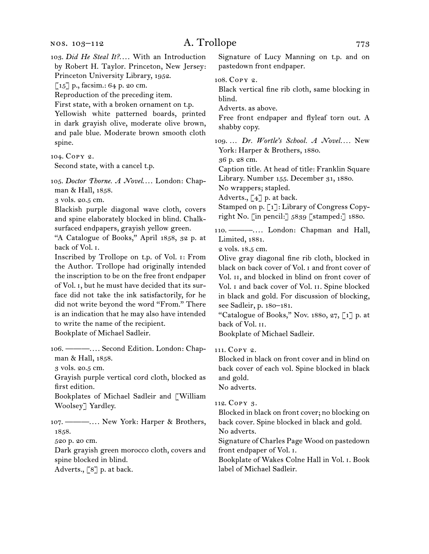103. *Did He Steal It?...*. With an Introduction by Robert H. Taylor. Princeton, New Jersey: Princeton University Library, 1952.  $\lceil 15 \rceil$  p., facsim.: 64 p. 20 cm. Reproduction of the preceding item. First state, with a broken ornament on t.p. Yellowish white patterned boards, printed in dark grayish olive, moderate olive brown, and pale blue. Moderate brown smooth cloth spine. 104. Copy 2. Second state, with a cancel t.p. 105. *Doctor Thorne. A Novel...*. London: Chapman & Hall, 1858. 3 vols. 20.5 cm. Blackish purple diagonal wave cloth, covers and spine elaborately blocked in blind. Chalksurfaced endpapers, grayish yellow green. "A Catalogue of Books," April 1858, 32 p. at back of Vol. i. Inscribed by Trollope on t.p. of Vol. i: From the Author. Trollope had originally intended the inscription to be on the free front endpaper of Vol. i, but he must have decided that its surface did not take the ink satisfactorily, for he did not write beyond the word "From." There is an indication that he may also have intended to write the name of the recipient. Bookplate of Michael Sadleir. 106. ———. . . . Second Edition. London: Chapman & Hall, 1858. 3 vols. 20.5 cm. Grayish purple vertical cord cloth, blocked as first edition. Bookplates of Michael Sadleir and [William Woolsey] Yardley. 107. ———. . . . New York: Harper & Brothers, 1858. 520 p. 20 cm. Dark grayish green morocco cloth, covers and spine blocked in blind. Adverts., [8] p. at back. Signature of Lucy Manning on t.p. and on pastedown front endpaper. 108. Copy 2. Black vertical fine rib cloth, same blocking in blind. Adverts. as above. Free front endpaper and flyleaf torn out. A shabby copy. 109. ... *Dr. Wortle's School. A Novel....* New York: Harper & Brothers, 1880. 36 p. 28 cm. Caption title. At head of title: Franklin Square Library. Number 155. December 31, 1880. No wrappers; stapled. Adverts.,  $\lceil 4 \rceil$  p. at back. Stamped on p. [1]: Library of Congress Copyright No. [in pencil:] 5839 [stamped:] 1880. 110. ----------... London: Chapman and Hall, Limited, 1881. 2 vols. 18.5 cm. Olive gray diagonal fine rib cloth, blocked in black on back cover of Vol. i and front cover of Vol. II, and blocked in blind on front cover of Vol. i and back cover of Vol. ii. Spine blocked in black and gold. For discussion of blocking, see Sadleir, p. 180–181. "Catalogue of Books," Nov. 1880, 27, [1] p. at back of Vol. ii. Bookplate of Michael Sadleir. 111. Copy 2. Blocked in black on front cover and in blind on back cover of each vol. Spine blocked in black and gold. No adverts. 112. Copy 3. Blocked in black on front cover; no blocking on back cover. Spine blocked in black and gold. No adverts. Signature of Charles Page Wood on pastedown front endpaper of Vol. i. Bookplate of Wakes Colne Hall in Vol. i. Book label of Michael Sadleir.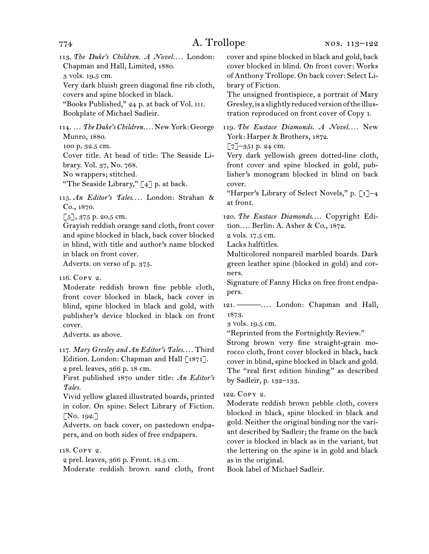| 113. The Duke's Children. A Novel London:<br>Chapman and Hall, Limited, 1880.<br>3 vols. 19.5 cm.<br>Very dark bluish green diagonal fine rib cloth,<br>covers and spine blocked in black.<br>"Books Published," 24 p. at back of Vol. III.<br>Bookplate of Michael Sadleir.                                                                                                                                             | cover and spine blocked in black and gold, back<br>cover blocked in blind. On front cover: Works<br>of Anthony Trollope. On back cover: Select Li-<br>brary of Fiction.<br>The unsigned frontispiece, a portrait of Mary<br>Gresley, is a slightly reduced version of the illus-<br>tration reproduced on front cover of Copy 1.                                                                                |
|--------------------------------------------------------------------------------------------------------------------------------------------------------------------------------------------------------------------------------------------------------------------------------------------------------------------------------------------------------------------------------------------------------------------------|-----------------------------------------------------------------------------------------------------------------------------------------------------------------------------------------------------------------------------------------------------------------------------------------------------------------------------------------------------------------------------------------------------------------|
| 114.  The Duke's Children New York: George<br>Munro, 1880.<br>100 p. 32.5 cm.<br>Cover title. At head of title: The Seaside Li-<br>brary. Vol. 37, No. 768.<br>No wrappers; stitched.<br>"The Seaside Library," [4] p. at back.<br>115. An Editor's Tales London: Strahan &                                                                                                                                              | 119. The Eustace Diamonds. A Novel New<br>York: Harper & Brothers, 1872.<br>$\lbrack 7 \rbrack$ -351 p. 24 cm.<br>Very dark yellowish green dotted-line cloth,<br>front cover and spine blocked in gold, pub-<br>lisher's monogram blocked in blind on back<br>cover.<br>"Harper's Library of Select Novels," p. [1]-4<br>at front.                                                                             |
| Co., 1870.<br>$\lbrack 5 \rbrack, 375$ p. 20.5 cm.<br>Grayish reddish orange sand cloth, front cover<br>and spine blocked in black, back cover blocked<br>in blind, with title and author's name blocked<br>in black on front cover.<br>Adverts. on verso of p. 375.                                                                                                                                                     | 120. The Eustace Diamonds Copyright Edi-<br>tion Berlin: A. Asher & Co., 1872.<br>2 vols. 17.5 cm.<br>Lacks halftitles.<br>Multicolored nonpareil marbled boards. Dark<br>green leather spine (blocked in gold) and cor-                                                                                                                                                                                        |
| 116. Сору 2.<br>Moderate reddish brown fine pebble cloth,<br>front cover blocked in black, back cover in<br>blind, spine blocked in black and gold, with<br>publisher's device blocked in black on front<br>cover.<br>Adverts. as above.<br>117. Mary Gresley and An Editor's Tales Third<br>Edition. London: Chapman and Hall [1871].<br>2 prel. leaves, 366 p. 18 cm.<br>First published 1870 under title: An Editor's | ners.<br>Signature of Fanny Hicks on free front endpa-<br>pers.<br>121. — —  London: Chapman and Hall,<br>1873.<br>3 vols. 19.5 cm.<br>"Reprinted from the Fortnightly Review."<br>Strong brown very fine straight-grain mo-<br>rocco cloth, front cover blocked in black, back<br>cover in blind, spine blocked in black and gold.<br>The "real first edition binding" as described<br>by Sadleir, p. 132-133. |
| Tales.<br>Vivid yellow glazed illustrated boards, printed<br>in color. On spine: Select Library of Fiction.<br>[No. 192.]<br>Adverts. on back cover, on pastedown endpa-<br>pers, and on both sides of free endpapers.                                                                                                                                                                                                   | 122. COPY 2.<br>Moderate reddish brown pebble cloth, covers<br>blocked in black, spine blocked in black and<br>gold. Neither the original binding nor the vari-<br>ant described by Sadleir; the frame on the back<br>cover is blocked in black as in the variant, but                                                                                                                                          |

118. Copy 2.

2 prel. leaves, 366 p. Front. 18.5 cm.

Moderate reddish brown sand cloth, front

Book label of Michael Sadleir.

as in the original.

the lettering on the spine is in gold and black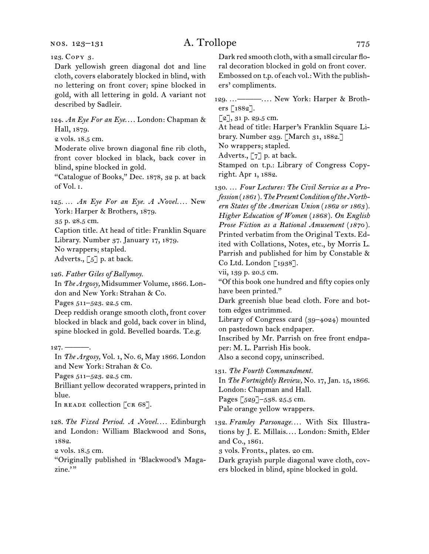nos. 123–131

## A. Trollope 775

123. Copy 3.

Dark yellowish green diagonal dot and line cloth, covers elaborately blocked in blind, with no lettering on front cover; spine blocked in gold, with all lettering in gold. A variant not described by Sadleir.

124. *An Eye For an Eye...*. London: Chapman & Hall, 1879.

2 vols. 18.5 cm.

Moderate olive brown diagonal fine rib cloth, front cover blocked in black, back cover in blind, spine blocked in gold.

"Catalogue of Books," Dec. 1878, 32 p. at back of Vol. i.

125. … *An Eye For an Eye. A Novel. . . .* New York: Harper & Brothers, 1879. 35 p. 28.5 cm.

Caption title. At head of title: Franklin Square Library. Number 37. January 17, 1879. No wrappers; stapled. Adverts.,  $\lbrack 5 \rbrack$  p. at back.

126. *Father Giles of Ballymoy.*

In *The Argosy,* Midsummer Volume, 1866. London and New York: Strahan & Co.

Pages 511–523. 22.5 cm.

Deep reddish orange smooth cloth, front cover blocked in black and gold, back cover in blind, spine blocked in gold. Bevelled boards. T.e.g.

In *The Argosy,* Vol. 1, No. 6, May 1866. London and New York: Strahan & Co.

Pages 511–523. 22.5 cm.

Brilliant yellow decorated wrappers, printed in blue.

In READE collection [CR 68].

128. *The Fixed Period. A Novel. . . .* Edinburgh and London: William Blackwood and Sons, 1882.

2 vols. 18.5 cm.

"Originally published in 'Blackwood's Magazine."

Dark red smooth cloth, with a small circular floral decoration blocked in gold on front cover. Embossed on t.p. of each vol.: With the publishers' compliments.

129. …———. . . . New York: Harper & Brothers [1882].

 $[2]$ , 31 p. 29.5 cm.

At head of title: Harper's Franklin Square Library. Number 239. [March 31, 1882.]

No wrappers; stapled.

Adverts., [7] p. at back.

Stamped on t.p.: Library of Congress Copyright. Apr 1, 1882.

130. … *Four Lectures: The Civil Service as a Profession* (*1861* )*. The Present Condition of the Northern States of the American Union* (*1862 or 1863* )*. Higher Education of Women* (*1868* )*. On English Prose Fiction as a Rational Amusement* (*1870* )*.* Printed verbatim from the Original Texts. Edited with Collations, Notes, etc., by Morris L. Parrish and published for him by Constable & Co Ltd. London [1938].

vii, 139 p. 20.5 cm.

"Of this book one hundred and fifty copies only have been printed."

Dark greenish blue bead cloth. Fore and bottom edges untrimmed.

Library of Congress card (39–4024) mounted on pastedown back endpaper.

Inscribed by Mr. Parrish on free front endpaper: M. L. Parrish His book.

Also a second copy, uninscribed.

131. *The Fourth Commandment.*

In *The Fortnightly Review,* No. 17, Jan. 15, 1866. London: Chapman and Hall.

Pages [529]–538. 25.5 cm.

Pale orange yellow wrappers.

132. *Framley Parsonage. . . .* With Six Illustrations by J. E. Millais.... London: Smith, Elder and Co., 1861.

3 vols. Fronts., plates. 20 cm.

Dark grayish purple diagonal wave cloth, covers blocked in blind, spine blocked in gold.

 $127. -$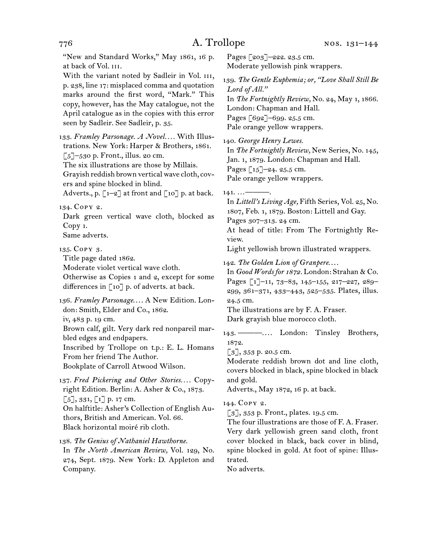776 A. Trollope "New and Standard Works," May 1861, 16 p. at back of Vol. III. With the variant noted by Sadleir in Vol. III, p. 238, line 17: misplaced comma and quotation marks around the first word, "Mark." This copy, however, has the May catalogue, not the April catalogue as in the copies with this error seen by Sadleir. See Sadleir, p. 35. 133. *Framley Parsonage. A Novel. . . .* With Illustrations. New York: Harper & Brothers, 1861.  $\lceil 5 \rceil$ –530 p. Front., illus. 20 cm. The six illustrations are those by Millais. Grayish reddish brown vertical wave cloth, covers and spine blocked in blind. Adverts., p.  $\lceil 1-2 \rceil$  at front and  $\lceil 10 \rceil$  p. at back. 134. Copy 2. Dark green vertical wave cloth, blocked as Copy 1. Same adverts. 135. Copy 3. Title page dated 1862. Moderate violet vertical wave cloth. Otherwise as Copies 1 and 2, except for some differences in  $\lceil 10 \rceil$  p. of adverts. at back. 136. *Framley Parsonage....* A New Edition. London: Smith, Elder and Co., 1862. iv, 483 p. 19 cm. Brown calf, gilt. Very dark red nonpareil marbled edges and endpapers. Inscribed by Trollope on t.p.: E. L. Homans From her friend The Author. Bookplate of Carroll Atwood Wilson. 137. Fred Pickering and Other Stories.... Copyright Edition. Berlin: A. Asher & Co., 1873.  $\lbrack 5 \rbrack, 331, \lbrack 1 \rbrack$  p. 17 cm. On halftitle: Asher's Collection of English Authors, British and American. Vol. 66. Black horizontal moiré rib cloth.

138. *The Genius of Nathaniel Hawthorne.* In *The North American Review,* Vol. 129, No. 274, Sept. 1879. New York: D. Appleton and Company.

Pages [203]-222. 23.5 cm. Moderate yellowish pink wrappers.

139. *The Gentle Euphemia; or, "Love Shall Still Be Lord of All."* In *The Fortnightly Review,* No. 24, May 1, 1866. London: Chapman and Hall. Pages [692]-699. 25.5 cm.

Pale orange yellow wrappers.

140. *George Henry Lewes.*

In *The Fortnightly Review,* New Series, No. 145, Jan. 1, 1879. London: Chapman and Hall. Pages [15]–24. 25.5 cm. Pale orange yellow wrappers.

 $141. \ldots$ 

In *Littell's Living Age,* Fifth Series, Vol. 25, No. 1807, Feb. 1, 1879. Boston: Littell and Gay. Pages 307–313. 24 cm. At head of title: From The Fortnightly Re-

view.

Light yellowish brown illustrated wrappers.

142. *The Golden Lion of Granpere*. . . .

In *Good Words for 1872.* London: Strahan & Co. Pages [1]-11, 73-83, 145-155, 217-227, 289-299, 361–371, 433–443, 525–535. Plates, illus. 24.5 cm.

The illustrations are by F. A. Fraser. Dark grayish blue morocco cloth.

143. ———.... London: Tinsley Brothers, 1872.

 $\lceil 3 \rceil$ , 353 p. 20.5 cm.

Moderate reddish brown dot and line cloth, covers blocked in black, spine blocked in black and gold.

Adverts., May 1872, 16 p. at back.

144. Copy 2.

 $\lceil 3 \rceil$ , 353 p. Front., plates. 19.5 cm.

The four illustrations are those of F. A. Fraser. Very dark yellowish green sand cloth, front cover blocked in black, back cover in blind, spine blocked in gold. At foot of spine: Illustrated.

No adverts.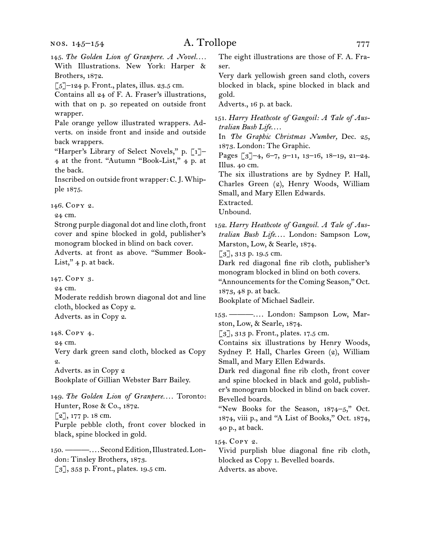[3], 353 p. Front., plates. 19.5 cm.

## A. Trollope 777

145. The Golden Lion of Granpere. A Novel.... With Illustrations. New York: Harper & Brothers, 1872.  $\lbrack 5 \rbrack$ -124 p. Front., plates, illus. 23.5 cm. Contains all 24 of F. A. Fraser's illustrations, with that on p. 30 repeated on outside front wrapper. Pale orange yellow illustrated wrappers. Adverts. on inside front and inside and outside back wrappers. "Harper's Library of Select Novels," p. [1]– 4 at the front. "Autumn "Book-List," 4 p. at the back. Inscribed on outside front wrapper: C. J. Whipple 1875. 146. Copy 2. 24 cm. Strong purple diagonal dot and line cloth, front cover and spine blocked in gold, publisher's monogram blocked in blind on back cover. Adverts. at front as above. "Summer Book-List,"  $4$  p. at back. 147. Copy 3. 24 cm. Moderate reddish brown diagonal dot and line cloth, blocked as Copy 2. Adverts. as in Copy 2. 148. Copy 4. 24 cm. Very dark green sand cloth, blocked as Copy 2. Adverts. as in Copy 2 Bookplate of Gillian Webster Barr Bailey. 149. *The Golden Lion of Granpere. . . .* Toronto: Hunter, Rose & Co., 1872. [2], 177 p. 18 cm. Purple pebble cloth, front cover blocked in black, spine blocked in gold. 150. ———. . . . Second Edition, Illustrated. London: Tinsley Brothers, 1873. The eight illustrations are those of F. A. Fraser. Very dark yellowish green sand cloth, covers blocked in black, spine blocked in black and gold. Adverts., 16 p. at back. 151. *Harry Heathcote of Gangoil: A Tale of Australian Bush Life*. . . . In *The Graphic Christmas Number,* Dec. 25, 1873. London: The Graphic. Pages [3]–4, 6–7, 9–11, 13–16, 18–19, 21–24. Illus. 40 cm. The six illustrations are by Sydney P. Hall, Charles Green (2), Henry Woods, William Small, and Mary Ellen Edwards. Extracted. Unbound. 152. *Harry Heathcote of Gangoil. A Tale of Aus*tralian Bush Life.... London: Sampson Low, Marston, Low, & Searle, 1874. [3], 313 p. 19.5 cm. Dark red diagonal fine rib cloth, publisher's monogram blocked in blind on both covers. "Announcements for the Coming Season," Oct. 1873, 48 p. at back. Bookplate of Michael Sadleir. 153. — — .... London: Sampson Low, Marston, Low, & Searle, 1874. [3], 313 p. Front., plates. 17.5 cm. Contains six illustrations by Henry Woods, Sydney P. Hall, Charles Green (2), William Small, and Mary Ellen Edwards. Dark red diagonal fine rib cloth, front cover and spine blocked in black and gold, publisher's monogram blocked in blind on back cover. Bevelled boards. "New Books for the Season, 1874–5," Oct. 1874, viii p., and "A List of Books," Oct. 1874, 40 p., at back. 154. Copy 2. Vivid purplish blue diagonal fine rib cloth,

blocked as Copy 1. Bevelled boards. Adverts. as above.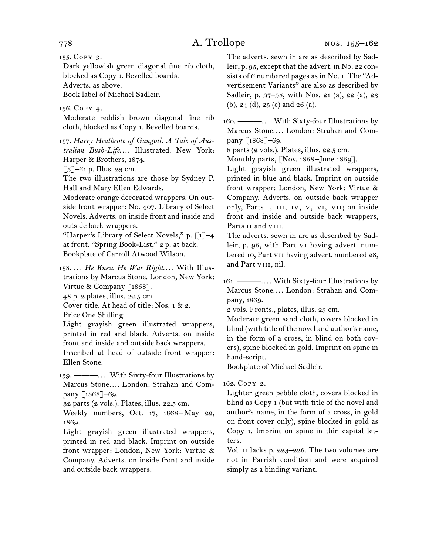155. Copy 3.

Dark yellowish green diagonal fine rib cloth, blocked as Copy 1. Bevelled boards. Adverts. as above.

Book label of Michael Sadleir.

156. Copy 4.

Moderate reddish brown diagonal fine rib cloth, blocked as Copy 1. Bevelled boards.

157. *Harry Heathcote of Gangoil. A Tale of Aus*tralian Bush-Life.... Illustrated. New York: Harper & Brothers, 1874.

 $\lceil 5 \rceil$ –61 p. Illus. 23 cm.

The two illustrations are those by Sydney P. Hall and Mary Ellen Edwards.

Moderate orange decorated wrappers. On outside front wrapper: No. 407. Library of Select Novels. Adverts. on inside front and inside and outside back wrappers.

"Harper's Library of Select Novels," p.  $\lceil 1 \rceil$ -4 at front. "Spring Book-List," 2 p. at back. Bookplate of Carroll Atwood Wilson.

158. ... He Knew He Was Right.... With Illustrations by Marcus Stone. London, New York: Virtue & Company [1868].

48 p. 2 plates, illus. 22.5 cm.

Cover title. At head of title: Nos. 1 & 2.

Price One Shilling.

Light grayish green illustrated wrappers, printed in red and black. Adverts. on inside front and inside and outside back wrappers.

Inscribed at head of outside front wrapper: Ellen Stone.

159. ———. . . . With Sixty-four Illustrations by Marcus Stone*. . . .* London: Strahan and Company [1868]-69.

32 parts (2 vols.). Plates, illus. 22.5 cm.

Weekly numbers, Oct. 17, 1868–May 22, 1869.

Light grayish green illustrated wrappers, printed in red and black. Imprint on outside front wrapper: London, New York: Virtue & Company. Adverts. on inside front and inside and outside back wrappers.

The adverts. sewn in are as described by Sadleir, p. 95, except that the advert. in No. 22 consists of 6 numbered pages as in No. 1. The "Advertisement Variants" are also as described by Sadleir, p. 97–98, with Nos. 21 (a), 22 (a), 23 (b), 24 (d), 25 (c) and 26 (a).

160. ———. . . . With Sixty-four Illustrations by Marcus Stone.... London: Strahan and Company [1868]–69.

8 parts (2 vols.). Plates, illus. 22.5 cm.

Monthly parts, [Nov. 1868-June 1869].

Light grayish green illustrated wrappers, printed in blue and black. Imprint on outside front wrapper: London, New York: Virtue & Company. Adverts. on outside back wrapper only, Parts I, III, IV, V, VI, VII; on inside front and inside and outside back wrappers, Parts II and VIII.

The adverts. sewn in are as described by Sadleir, p. 96, with Part vi having advert. numbered 10, Part vii having advert. numbered 28, and Part vIII, nil.

161. ———. . . . With Sixty-four Illustrations by Marcus Stone.... London: Strahan and Company, 1869.

2 vols. Fronts., plates, illus. 23 cm.

Moderate green sand cloth, covers blocked in blind (with title of the novel and author's name, in the form of a cross, in blind on both covers), spine blocked in gold. Imprint on spine in hand-script.

Bookplate of Michael Sadleir.

162. Copy 2.

Lighter green pebble cloth, covers blocked in blind as Copy 1 (but with title of the novel and author's name, in the form of a cross, in gold on front cover only), spine blocked in gold as Copy 1. Imprint on spine in thin capital letters.

Vol. ii lacks p. 223–226. The two volumes are not in Parrish condition and were acquired simply as a binding variant.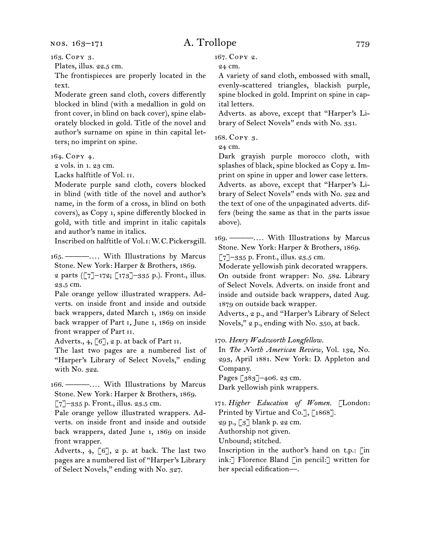163. Copy 3.

Plates, illus. 22.5 cm.

The frontispieces are properly located in the text.

Moderate green sand cloth, covers differently blocked in blind (with a medallion in gold on front cover, in blind on back cover), spine elaborately blocked in gold. Title of the novel and author's surname on spine in thin capital letters; no imprint on spine.

164. Copy 4.

2 vols. in 1. 23 cm.

Lacks halftitle of Vol. ii.

Moderate purple sand cloth, covers blocked in blind (with title of the novel and author's name, in the form of a cross, in blind on both covers), as Copy 1, spine differently blocked in gold, with title and imprint in italic capitals and author's name in italics.

Inscribed on halftitle of Vol. i: W. C. Pickersgill.

165. ———.... With Illustrations by Marcus Stone. New York: Harper & Brothers, 1869.

2 parts ([7]–172; [173]–335 p.). Front., illus. 23.5 cm.

Pale orange yellow illustrated wrappers. Adverts. on inside front and inside and outside back wrappers, dated March 1, 1869 on inside back wrapper of Part i, June 1, 1869 on inside front wrapper of Part ii.

Adverts., 4, [6], 2 p. at back of Part II.

The last two pages are a numbered list of "Harper's Library of Select Novels," ending with No. 322.

166. ———.... With Illustrations by Marcus Stone. New York: Harper & Brothers, 1869.

[7]–335 p. Front., illus. 23.5 cm.

Pale orange yellow illustrated wrappers. Adverts. on inside front and inside and outside back wrappers, dated June 1, 1869 on inside front wrapper.

Adverts., 4,  $[6]$ , 2 p. at back. The last two pages are a numbered list of "Harper's Library of Select Novels," ending with No. 327.

167. Copy 2.

24 cm.

A variety of sand cloth, embossed with small, evenly-scattered triangles, blackish purple, spine blocked in gold. Imprint on spine in capital letters.

Adverts. as above, except that "Harper's Library of Select Novels" ends with No. 331.

168. Copy 3.

24 cm.

Dark grayish purple morocco cloth, with splashes of black, spine blocked as Copy 2. Imprint on spine in upper and lower case letters. Adverts. as above, except that "Harper's Library of Select Novels" ends with No. 322 and the text of one of the unpaginated adverts. differs (being the same as that in the parts issue above).

169. ———. . . . With Illustrations by Marcus Stone. New York: Harper & Brothers, 1869.

 $\lceil 7 \rceil$ –335 p. Front., illus. 23.5 cm.

Moderate yellowish pink decorated wrappers. On outside front wrapper: No. 582. Library of Select Novels. Adverts. on inside front and inside and outside back wrappers, dated Aug. 1879 on outside back wrapper.

Adverts., 2 p., and "Harper's Library of Select Novels," 2 p., ending with No. 350, at back.

170. *Henry Wadsworth Longfellow.*

In *The North American Review,* Vol. 132, No. 293, April 1881. New York: D. Appleton and Company.

Pages [383]–406. 23 cm.

Dark yellowish pink wrappers.

171. *Higher Education of Women.* [London: Printed by Virtue and Co.], [1868].

29 p., [3] blank p. 22 cm.

Authorship not given.

Unbound; stitched.

Inscription in the author's hand on t.p.: [in ink:] Florence Bland [in pencil:] written for her special edification—.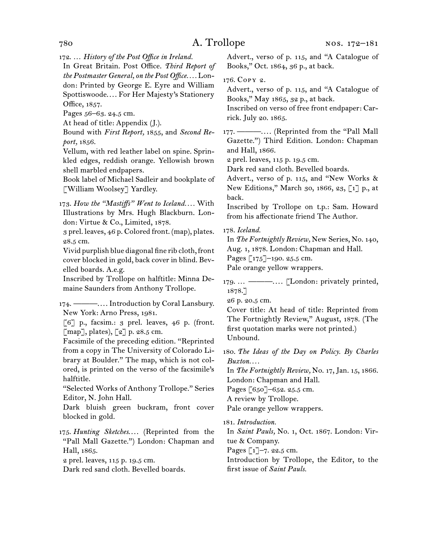172. … *History of the Post Office in Ireland.*

In Great Britain. Post Office. *Third Report of the Postmaster General, on the Post Office. . . .* London: Printed by George E. Eyre and William Spottiswoode.... For Her Majesty's Stationery Office, 1857.

Pages 56–63. 24.5 cm.

At head of title: Appendix (J.).

Bound with *First Report,* 1855, and *Second Report,* 1856.

Vellum, with red leather label on spine. Sprinkled edges, reddish orange. Yellowish brown shell marbled endpapers.

Book label of Michael Sadleir and bookplate of [William Woolsey] Yardley.

173. *How the "Mastiffs" Went to Iceland. . . .* With Illustrations by Mrs. Hugh Blackburn. London: Virtue & Co., Limited, 1878.

3 prel. leaves, 46 p. Colored front. (map), plates. 28.5 cm.

Vivid purplish blue diagonal fine rib cloth, front cover blocked in gold, back cover in blind. Bevelled boards. A.e.g.

Inscribed by Trollope on halftitle: Minna Demaine Saunders from Anthony Trollope.

174. ———.... Introduction by Coral Lansbury. New York: Arno Press, 1981.

 $\lceil 6 \rceil$  p., facsim.: 3 prel. leaves, 46 p. (front.  $\lceil$ map], plates),  $\lceil 2 \rceil$  p. 28.5 cm.

Facsimile of the preceding edition. "Reprinted from a copy in The University of Colorado Library at Boulder." The map, which is not colored, is printed on the verso of the facsimile's halftitle.

"Selected Works of Anthony Trollope." Series Editor, N. John Hall.

Dark bluish green buckram, front cover blocked in gold.

175. *Hunting Sketches....* (Reprinted from the "Pall Mall Gazette.") London: Chapman and Hall, 1865.

2 prel. leaves, 115 p. 19.5 cm.

Dark red sand cloth. Bevelled boards.

Advert., verso of p. 115, and "A Catalogue of Books," Oct. 1864, 36 p., at back.

176. Copy 2.

Advert., verso of p. 115, and "A Catalogue of Books," May 1865, 32 p., at back.

Inscribed on verso of free front endpaper: Carrick. July 20. 1865.

177. ———.... (Reprinted from the "Pall Mall Gazette.") Third Edition. London: Chapman and Hall, 1866.

2 prel. leaves, 115 p. 19.5 cm.

Dark red sand cloth. Bevelled boards.

Advert., verso of p. 115, and "New Works & New Editions," March 30, 1866, 23, [1] p., at back.

Inscribed by Trollope on t.p.: Sam. Howard from his affectionate friend The Author.

178. *Iceland.*

In *The Fortnightly Review,* New Series, No. 140, Aug. 1, 1878. London: Chapman and Hall. Pages [175]-190. 25.5 cm.

Pale orange yellow wrappers.

179. ... ———.... [London: privately printed, 1878.]

26 p. 20.5 cm.

Cover title: At head of title: Reprinted from The Fortnightly Review," August, 1878. (The first quotation marks were not printed.) Unbound.

180. *The Ideas of the Day on Policy. By Charles Buxton. . . .*

In *The Fortnightly Review,* No. 17, Jan. 15, 1866. London: Chapman and Hall.

Pages [650]-652. 25.5 cm.

A review by Trollope.

Pale orange yellow wrappers.

181. *Introduction.*

In *Saint Pauls,* No. 1, Oct. 1867. London: Virtue & Company.

Pages [1]–7. 22.5 cm.

Introduction by Trollope, the Editor, to the first issue of *Saint Pauls.*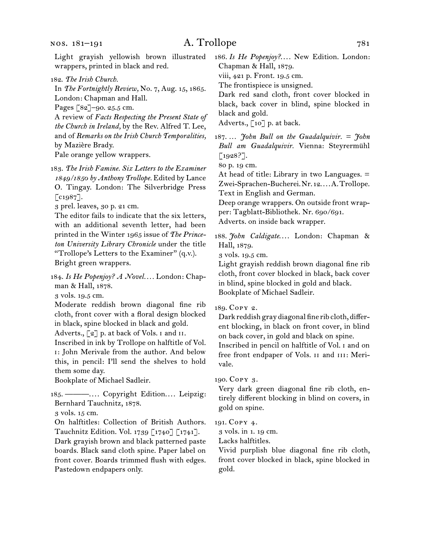Light grayish yellowish brown illustrated wrappers, printed in black and red.

182. *The Irish Church.*

In *The Fortnightly Review,* No. 7, Aug. 15, 1865. London: Chapman and Hall.

Pages [82]–90. 25.5 cm.

A review of *Facts Respecting the Present State of the Church in Ireland,* by the Rev. Alfred T. Lee, and of *Remarks on the Irish Church Temporalities,*  by Mazière Brady.

Pale orange yellow wrappers.

183. *The Irish Famine. Six Letters to the Examiner 1849/1850 by Anthony Trollope.* Edited by Lance O. Tingay. London: The Silverbridge Press  $\lceil c_{1987} \rceil$ .

3 prel. leaves, 30 p. 21 cm.

The editor fails to indicate that the six letters, with an additional seventh letter, had been printed in the Winter 1965 issue of *The Princeton University Library Chronicle* under the title "Trollope's Letters to the Examiner" (q.v.). Bright green wrappers.

184. *Is He Popenjoy? A Novel. . . .* London: Chapman & Hall, 1878.

3 vols. 19.5 cm.

Moderate reddish brown diagonal fine rib cloth, front cover with a floral design blocked in black, spine blocked in black and gold.

Adverts.,  $\lbrack 2 \rbrack$  p. at back of Vols. I and II.

Inscribed in ink by Trollope on halftitle of Vol. i: John Merivale from the author. And below this, in pencil: I'll send the shelves to hold them some day.

Bookplate of Michael Sadleir.

185. ———.... Copyright Edition.... Leipzig: Bernhard Tauchnitz, 1878.

3 vols. 15 cm.

On halftitles: Collection of British Authors. Tauchnitz Edition. Vol. 1739 [1740] [1741].

Dark grayish brown and black patterned paste boards. Black sand cloth spine. Paper label on front cover. Boards trimmed flush with edges. Pastedown endpapers only.

186. *Is He Popenjoy?....* New Edition. London: Chapman & Hall, 1879.

viii, 421 p. Front. 19.5 cm.

The frontispiece is unsigned.

Dark red sand cloth, front cover blocked in black, back cover in blind, spine blocked in black and gold.

Adverts., [10] p. at back.

187. … *John Bull on the Guadalquivir. = John Bull am Guadalquivir.* Vienna: Steyrermühl [1928?].

80 p. 19 cm.

At head of title: Library in two Languages. = Zwei-Sprachen-Bucherei. Nr. 12.... A. Trollope. Text in English and German.

Deep orange wrappers. On outside front wrapper: Tagblatt-Bibliothek. Nr. 690/691.

Adverts. on inside back wrapper.

188. *John Caldigate....* London: Chapman & Hall, 1879.

3 vols. 19.5 cm.

Light grayish reddish brown diagonal fine rib cloth, front cover blocked in black, back cover in blind, spine blocked in gold and black. Bookplate of Michael Sadleir.

### 189. Copy 2.

Dark reddish gray diagonal fine rib cloth, different blocking, in black on front cover, in blind on back cover, in gold and black on spine. Inscribed in pencil on halftitle of Vol. i and on

free front endpaper of Vols. ii and iii: Merivale.

### 190. Copy 3.

Very dark green diagonal fine rib cloth, entirely different blocking in blind on covers, in gold on spine.

### 191. Copy 4.

3 vols. in 1. 19 cm.

Lacks halftitles.

Vivid purplish blue diagonal fine rib cloth, front cover blocked in black, spine blocked in gold.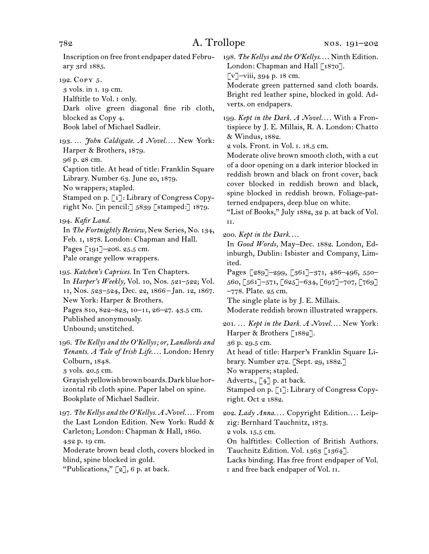Inscription on free front endpaper dated February 3rd 1885.

192. Copy 5.

3 vols. in 1. 19 cm. Halftitle to Vol. i only. Dark olive green diagonal fine rib cloth, blocked as Copy 4. Book label of Michael Sadleir.

193. ... *John Caldigate. A Novel...*. New York: Harper & Brothers, 1879. 96 p. 28 cm. Caption title. At head of title: Franklin Square Library. Number 63. June 20, 1879. No wrappers; stapled. Stamped on p. [1]: Library of Congress Copy-

right No. [in pencil:] 5839 [stamped:] 1879. 194. *Kafir Land.*

In *The Fortnightly Review,* New Series, No. 134, Feb. 1, 1878. London: Chapman and Hall. Pages [191]–206. 25.5 cm. Pale orange yellow wrappers.

195. *Katchen's Caprices.* In Ten Chapters. In *Harper's Weekly,* Vol. 10, Nos. 521–522; Vol. 11, Nos. 523–524, Dec. 22, 1866–Jan. 12, 1867. New York: Harper & Brothers. Pages 810, 822–823, 10–11, 26–27. 43.5 cm. Published anonymously. Unbound; unstitched.

196. *The Kellys and the O'Kellys; or, Landlords and*  Tenants. A Tale of Irish Life.... London: Henry Colburn, 1848.

3 vols. 20.5 cm.

Grayish yellowish brown boards. Dark blue horizontal rib cloth spine. Paper label on spine. Bookplate of Michael Sadleir.

197. *The Kellys and the O'Kellys. A Novel. . . .* From the Last London Edition. New York: Rudd & Carleton; London: Chapman & Hall, 1860. 432 p. 19 cm. Moderate brown bead cloth, covers blocked in blind, spine blocked in gold.

"Publications,"  $[2]$ , 6 p. at back.

198. The Kellys and the O'Kellys.... Ninth Edition. London: Chapman and Hall [1870].

[v]–viii, 394 p. 18 cm.

Moderate green patterned sand cloth boards. Bright red leather spine, blocked in gold. Adverts. on endpapers.

199. *Kept in the Dark. A Novel. . . .* With a Frontispiece by J. E. Millais, R. A. London: Chatto & Windus, 1882.

2 vols. Front. in Vol. i. 18.5 cm.

Moderate olive brown smooth cloth, with a cut of a door opening on a dark interior blocked in reddish brown and black on front cover, back cover blocked in reddish brown and black, spine blocked in reddish brown. Foliage-patterned endpapers, deep blue on white.

"List of Books," July 1882, 32 p. at back of Vol. ii.

200. *Kept in the Dark*. . . .

In *Good Words,* May–Dec. 1882. London, Edinburgh, Dublin: Isbister and Company, Limited.

Pages [289]–299, [361]–371, 486–496, 550– 560, [561]–571, [625]–634, [697]–707, [769] –778. Plate. 25 cm.

The single plate is by J. E. Millais.

Moderate reddish brown illustrated wrappers.

201. … *Kept in the Dark. A Novel. . . .* New York: Harper & Brothers [1882].

36 p. 29.5 cm.

At head of title: Harper's Franklin Square Library. Number 272. [Sept. 29, 1882.]

No wrappers; stapled.

Adverts.,  $\begin{bmatrix} 4 \end{bmatrix}$  p. at back.

Stamped on p. [1]: Library of Congress Copyright. Oct 2 1882.

202. *Lady Anna*.... Copyright Edition.... Leipzig: Bernhard Tauchnitz, 1873. 2 vols. 15.5 cm.

On halftitles: Collection of British Authors. Tauchnitz Edition. Vol. 1363 [1364].

Lacks binding. Has free front endpaper of Vol. i and free back endpaper of Vol. ii.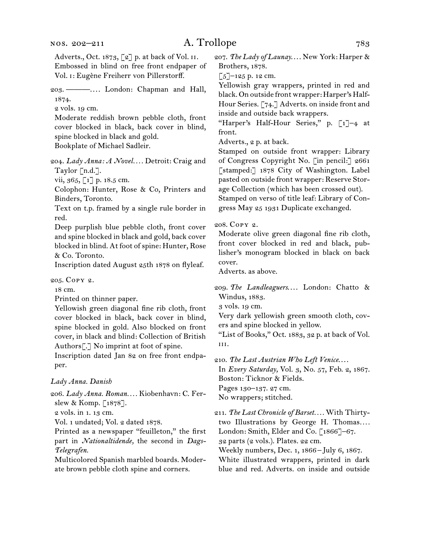Adverts., Oct. 1873, [2] p. at back of Vol. ii. Embossed in blind on free front endpaper of Vol. i: Eugène Freiherr von Pillerstorff.

203. ———. . . . London: Chapman and Hall, 1874.

2 vols. 19 cm.

Moderate reddish brown pebble cloth, front cover blocked in black, back cover in blind, spine blocked in black and gold.

Bookplate of Michael Sadleir.

204. *Lady Anna: A Novel. . . .* Detroit: Craig and Taylor [n.d.].

vii, 365, [1] p. 18.5 cm.

Colophon: Hunter, Rose & Co, Printers and Binders, Toronto.

Text on t.p. framed by a single rule border in red.

Deep purplish blue pebble cloth, front cover and spine blocked in black and gold, back cover blocked in blind. At foot of spine: Hunter, Rose & Co. Toronto.

Inscription dated August 25th 1878 on flyleaf.

205. Copy 2.

18 cm.

Printed on thinner paper.

Yellowish green diagonal fine rib cloth, front cover blocked in black, back cover in blind, spine blocked in gold. Also blocked on front cover, in black and blind: Collection of British Authors[.] No imprint at foot of spine.

Inscription dated Jan 82 on free front endpaper.

### *Lady Anna. Danish*

206. *Lady Anna. Roman. . . .* Kiobenhavn: C. Ferslew & Komp. [1878].

2 vols. in 1. 13 cm.

Vol. 1 undated; Vol. 2 dated 1878.

Printed as a newspaper "feuilleton," the first part in *Nationaltidende,* the second in *Dags-Telegrafen.*

Multicolored Spanish marbled boards. Moderate brown pebble cloth spine and corners.

207. The Lady of Launay.... New York: Harper & Brothers, 1878.

 $\left[\frac{5}{2}\right]$ –125 p. 12 cm.

Yellowish gray wrappers, printed in red and black. On outside front wrapper: Harper's Half-Hour Series. [74.] Adverts. on inside front and inside and outside back wrappers.

"Harper's Half-Hour Series," p. [1]–4 at front.

Adverts., 2 p. at back.

Stamped on outside front wrapper: Library of Congress Copyright No. [in pencil:] 2661 [stamped:] 1878 City of Washington. Label pasted on outside front wrapper: Reserve Storage Collection (which has been crossed out). Stamped on verso of title leaf: Library of Congress May 25 1931 Duplicate exchanged.

### 208. Copy 2.

Moderate olive green diagonal fine rib cloth, front cover blocked in red and black, publisher's monogram blocked in black on back cover.

Adverts. as above.

209. The Landleaguers.... London: Chatto & Windus, 1883.

3 vols. 19 cm.

Very dark yellowish green smooth cloth, covers and spine blocked in yellow.

"List of Books," Oct. 1883, 32 p. at back of Vol. iii.

210. *The Last Austrian Who Left Venice*. . . .

In *Every Saturday,* Vol. 3, No. 57, Feb. 2, 1867. Boston: Ticknor & Fields. Pages 130–137. 27 cm.

No wrappers; stitched.

211. *The Last Chronicle of Barset. . . .* With Thirtytwo Illustrations by George H. Thomas*. . . .* London: Smith, Elder and Co. [1866]–67.

32 parts (2 vols.). Plates. 22 cm.

Weekly numbers, Dec. 1, 1866 –July 6, 1867. White illustrated wrappers, printed in dark blue and red. Adverts. on inside and outside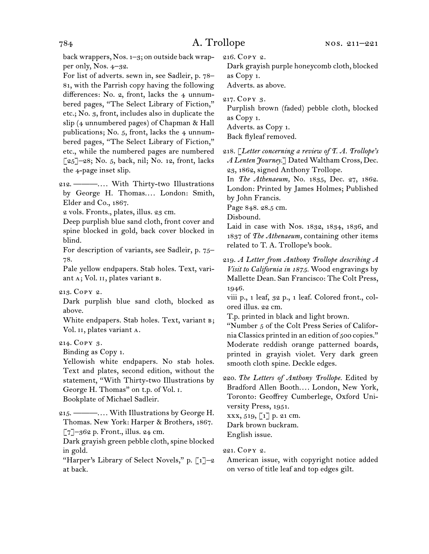back wrappers, Nos. 1–3; on outside back wrapper only, Nos. 4–32.

For list of adverts. sewn in, see Sadleir, p. 78– 81, with the Parrish copy having the following differences: No. 2, front, lacks the 4 unnumbered pages, "The Select Library of Fiction," etc.; No. 3, front, includes also in duplicate the slip (4 unnumbered pages) of Chapman & Hall publications; No.  $5$ , front, lacks the  $4$  unnumbered pages, "The Select Library of Fiction," etc., while the numbered pages are numbered [25]–28; No. 5, back, nil; No. 12, front, lacks the 4-page inset slip.

212. ———. . . . With Thirty-two Illustrations by George H. Thomas.... London: Smith, Elder and Co., 1867.

2 vols. Fronts., plates, illus. 23 cm.

Deep purplish blue sand cloth, front cover and spine blocked in gold, back cover blocked in blind.

For description of variants, see Sadleir, p. 75– 78.

Pale yellow endpapers. Stab holes. Text, variant A; Vol. II, plates variant B.

### 213. Copy 2.

Dark purplish blue sand cloth, blocked as above.

White endpapers. Stab holes. Text, variant B; Vol. ii, plates variant a.

### 214. Copy 3.

Binding as Copy 1.

Yellowish white endpapers. No stab holes. Text and plates, second edition, without the statement, "With Thirty-two Illustrations by George H. Thomas" on t.p. of Vol. i. Bookplate of Michael Sadleir.

215. ———. . . . With Illustrations by George H. Thomas. New York: Harper & Brothers, 1867.  $\lceil 7 \rceil$ –362 p. Front., illus. 24 cm.

Dark grayish green pebble cloth, spine blocked in gold.

"Harper's Library of Select Novels," p.  $\lceil 1 \rceil$ -2 at back.

216. Copy 2.

Dark grayish purple honeycomb cloth, blocked as Copy 1.

Adverts. as above.

217. Copy 3.

Purplish brown (faded) pebble cloth, blocked as Copy 1.

Adverts. as Copy 1.

Back flyleaf removed.

218. [*Letter concerning a review of T. A. Trollope's A Lenten Journey.*] Dated Waltham Cross, Dec. 23, 1862, signed Anthony Trollope.

In *The Athenaeum,* No. 1835, Dec. 27, 1862. London: Printed by James Holmes; Published by John Francis.

Page 848. 28.5 cm.

Disbound.

Laid in case with Nos. 1832, 1834, 1836, and 1837 of *The Athenaeum,* containing other items related to T. A. Trollope's book.

219. *A Letter from Anthony Trollope describing A Visit to California in 1875.* Wood engravings by Mallette Dean. San Francisco: The Colt Press, 1946.

viii p., 1 leaf, 32 p., 1 leaf. Colored front., colored illus. 22 cm.

T.p. printed in black and light brown.

"Number 5 of the Colt Press Series of California Classics printed in an edition of 500 copies." Moderate reddish orange patterned boards, printed in grayish violet. Very dark green smooth cloth spine. Deckle edges.

220. *The Letters of Anthony Trollope.* Edited by Bradford Allen Booth.... London, New York, Toronto: Geoffrey Cumberlege, Oxford University Press, 1951.

xxx, 519, [1] p. 21 cm. Dark brown buckram. English issue.

### 221. Copy 2.

American issue, with copyright notice added on verso of title leaf and top edges gilt.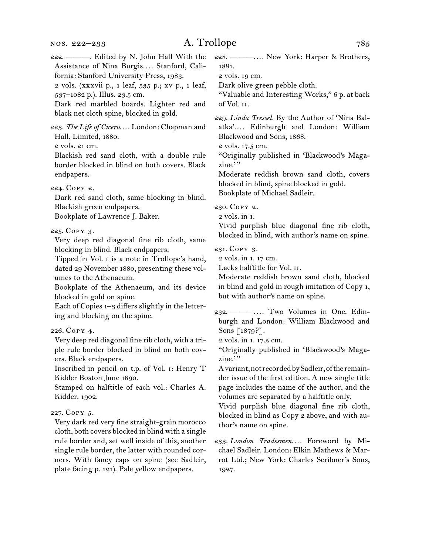| 222. - - Edited by N. John Hall With the<br>Assistance of Nina Burgis Stanford, Cali-<br>fornia: Stanford University Press, 1983.<br>2 vols. (xxxvii p., 1 leaf, 535 p.; xv p., 1 leaf,<br>537-1082 p.). Illus. 23.5 cm.<br>Dark red marbled boards. Lighter red and<br>black net cloth spine, blocked in gold. | 228. — —  New York: Harper & Brothers,<br>1881.<br>2 vols. 19 cm.<br>Dark olive green pebble cloth.<br>"Valuable and Interesting Works," 6 p. at back<br>of Vol. II.<br>229. Linda Tressel. By the Author of 'Nina Bal-                                 |
|-----------------------------------------------------------------------------------------------------------------------------------------------------------------------------------------------------------------------------------------------------------------------------------------------------------------|---------------------------------------------------------------------------------------------------------------------------------------------------------------------------------------------------------------------------------------------------------|
| 223. The Life of Cicero London: Chapman and<br>Hall, Limited, 1880.<br>2 vols. 21 cm.<br>Blackish red sand cloth, with a double rule<br>border blocked in blind on both covers. Black<br>endpapers.                                                                                                             | atka' Edinburgh and London: William<br>Blackwood and Sons, 1868.<br>2 vols. 17.5 cm.<br>"Originally published in 'Blackwood's Maga-<br>zine."<br>Moderate reddish brown sand cloth, covers                                                              |
| 224. Copy 2.<br>Dark red sand cloth, same blocking in blind.                                                                                                                                                                                                                                                    | blocked in blind, spine blocked in gold.<br>Bookplate of Michael Sadleir.                                                                                                                                                                               |
| Blackish green endpapers.<br>Bookplate of Lawrence J. Baker.                                                                                                                                                                                                                                                    | 230. COPY 2.<br>2 vols. in 1.<br>Vivid purplish blue diagonal fine rib cloth,                                                                                                                                                                           |
| 225. Copy 3.<br>Very deep red diagonal fine rib cloth, same                                                                                                                                                                                                                                                     | blocked in blind, with author's name on spine.                                                                                                                                                                                                          |
| blocking in blind. Black endpapers.<br>Tipped in Vol. I is a note in Trollope's hand,<br>dated 29 November 1880, presenting these vol-<br>umes to the Athenaeum.<br>Bookplate of the Athenaeum, and its device<br>blocked in gold on spine.<br>Each of Copies $1-3$ differs slightly in the letter-             | 231. COPY 3.<br>2 vols. in 1. 17 cm.<br>Lacks halftitle for Vol. II.<br>Moderate reddish brown sand cloth, blocked<br>in blind and gold in rough imitation of Copy 1,<br>but with author's name on spine.                                               |
| ing and blocking on the spine.                                                                                                                                                                                                                                                                                  | burgh and London: William Blackwood and                                                                                                                                                                                                                 |
| 226. Copy 4.<br>Very deep red diagonal fine rib cloth, with a tri-                                                                                                                                                                                                                                              | Sons [1879?].<br>2 vols. in 1. 17.5 cm.                                                                                                                                                                                                                 |
| ple rule border blocked in blind on both cov-<br>ers. Black endpapers.                                                                                                                                                                                                                                          | "Originally published in 'Blackwood's Maga-<br>zine."                                                                                                                                                                                                   |
| Inscribed in pencil on t.p. of Vol. 1: Henry T<br>Kidder Boston June 1890.<br>Stamped on halftitle of each vol.: Charles A.<br>Kidder. 1902.                                                                                                                                                                    | A variant, not recorded by Sadleir, of the remain-<br>der issue of the first edition. A new single title<br>page includes the name of the author, and the<br>volumes are separated by a halftitle only.<br>Vivid purplish blue diagonal fine rib cloth, |
| 227. Copy 5.<br>Very dark red very fine straight-grain morocco<br>cloth, both covers blocked in blind with a single                                                                                                                                                                                             | blocked in blind as Copy 2 above, and with au-<br>thor's name on spine.                                                                                                                                                                                 |
| rule border and, set well inside of this, another<br>single rule border, the latter with rounded cor-<br>ners. With fancy caps on spine (see Sadleir,<br>plate facing p. 121). Pale yellow endpapers.                                                                                                           | 233. London Tradesmen Foreword by Mi-<br>chael Sadleir. London: Elkin Mathews & Mar-<br>rot Ltd.; New York: Charles Scribner's Sons,<br>1927.                                                                                                           |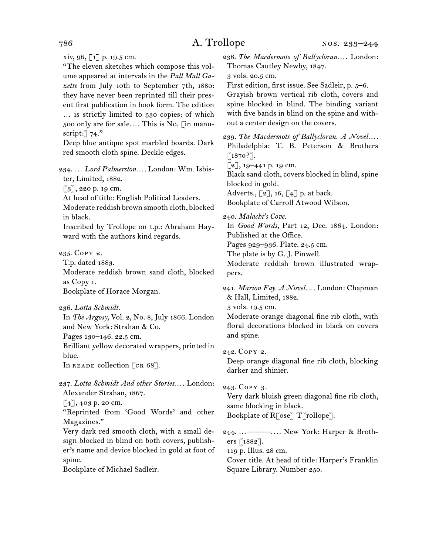xiv, 96, [1] p. 19.5 cm.

"The eleven sketches which compose this volume appeared at intervals in the *Pall Mall Gazette* from July 10th to September 7th, 1880: they have never been reprinted till their present first publication in book form. The edition … is strictly limited to 530 copies: of which 500 only are for sale.... This is No. [in manuscript: $74."$ 

Deep blue antique spot marbled boards. Dark red smooth cloth spine. Deckle edges.

234. … *Lord Palmerston. . . .* London: Wm. Isbister, Limited, 1882.

[3], 220 p. 19 cm.

At head of title: English Political Leaders.

Moderate reddish brown smooth cloth, blocked in black.

Inscribed by Trollope on t.p.: Abraham Hayward with the authors kind regards.

235. Copy 2.

T.p. dated 1883.

Moderate reddish brown sand cloth, blocked as Copy 1.

Bookplate of Horace Morgan.

236. *Lotta Schmidt.*

In *The Argosy,* Vol. 2, No. 8, July 1866. London and New York: Strahan & Co.

Pages 130–146. 22.5 cm.

Brilliant yellow decorated wrappers, printed in blue.

In READE collection [CR 68].

237. Lotta Schmidt And other Stories.... London: Alexander Strahan, 1867.

[4], 403 p. 20 cm.

"Reprinted from 'Good Words' and other Magazines."

Very dark red smooth cloth, with a small design blocked in blind on both covers, publisher's name and device blocked in gold at foot of spine.

Bookplate of Michael Sadleir.

238. *The Macdermots of Ballycloran. . . .* London: Thomas Cautley Newby, 1847.

3 vols. 20.5 cm.

First edition, first issue. See Sadleir, p. 5–6.

Grayish brown vertical rib cloth, covers and spine blocked in blind. The binding variant with five bands in blind on the spine and without a center design on the covers.

239. *The Macdermots of Ballycloran. A Novel. . . .* Philadelphia: T. B. Peterson & Brothers [1870?]. [2], 19-441 p. 19 cm.

Black sand cloth, covers blocked in blind, spine blocked in gold.

Adverts.,  $\lceil 2 \rceil$ , 16,  $\lceil 4 \rceil$  p. at back.

Bookplate of Carroll Atwood Wilson.

240. *Malachi's Cove.*

In *Good Words,* Part 12, Dec. 1864. London: Published at the Office.

Pages 929–936. Plate. 24.5 cm.

The plate is by G. J. Pinwell.

Moderate reddish brown illustrated wrappers.

241. *Marion Fay. A Novel. . . .* London: Chapman & Hall, Limited, 1882.

3 vols. 19.5 cm.

Moderate orange diagonal fine rib cloth, with floral decorations blocked in black on covers and spine.

242. Copy 2.

Deep orange diagonal fine rib cloth, blocking darker and shinier.

243. Copy 3.

Very dark bluish green diagonal fine rib cloth, same blocking in black. Bookplate of R[ose] T[rollope].

244. …———. . . . New York: Harper & Brothers [1882].

119 p. Illus. 28 cm.

Cover title. At head of title: Harper's Franklin Square Library. Number 250.

$$
786\,
$$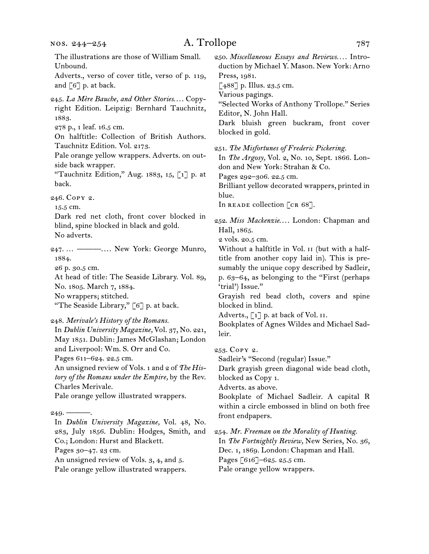The illustrations are those of William Small. Unbound.

Adverts., verso of cover title, verso of p. 119, and  $\lceil 6 \rceil$  p. at back.

245. La Mère Bauche, and Other Stories.... Copyright Edition. Leipzig: Bernhard Tauchnitz, 1883.

278 p., 1 leaf. 16.5 cm.

On halftitle: Collection of British Authors. Tauchnitz Edition. Vol. 2173.

Pale orange yellow wrappers. Adverts. on outside back wrapper.

"Tauchnitz Edition," Aug. 1883, 15, [1] p. at back.

246. Copy 2.

15.5 cm.

Dark red net cloth, front cover blocked in blind, spine blocked in black and gold. No adverts.

247. … ———. . . . New York: George Munro, 1884.

26 p. 30.5 cm.

At head of title: The Seaside Library. Vol. 89, No. 1805. March 7, 1884. No wrappers; stitched.

"The Seaside Library," [6] p. at back.

248. *Merivale's History of the Romans.*

In *Dublin University Magazine,* Vol. 37, No. 221, May 1851. Dublin: James McGlashan; London and Liverpool: Wm. S. Orr and Co.

Pages 611–624. 22.5 cm.

An unsigned review of Vols. 1 and 2 of *The History of the Romans under the Empire,* by the Rev. Charles Merivale.

Pale orange yellow illustrated wrappers.

 $249. -$ In *Dublin University Magazine,* Vol. 48, No. 283, July 1856. Dublin: Hodges, Smith, and Co.; London: Hurst and Blackett.

Pages 30–47. 23 cm.

An unsigned review of Vols. 3, 4, and 5. Pale orange yellow illustrated wrappers. 250. *Miscellaneous Essays and Reviews. . . .* Introduction by Michael Y. Mason. New York: Arno Press, 1981.

 $[488]$  p. Illus. 23.5 cm.

Various pagings.

"Selected Works of Anthony Trollope." Series Editor, N. John Hall.

Dark bluish green buckram, front cover blocked in gold.

251. *The Misfortunes of Frederic Pickering.*

In *The Argosy,* Vol. 2, No. 10, Sept. 1866. London and New York: Strahan & Co.

Pages 292–306. 22.5 cm.

Brilliant yellow decorated wrappers, printed in blue.

In READE collection  $[\text{CR } 68]$ .

252. Miss Mackenzie.... London: Chapman and Hall, 1865.

2 vols. 20.5 cm.

Without a halftitle in Vol. ii (but with a halftitle from another copy laid in). This is presumably the unique copy described by Sadleir, p. 63–64, as belonging to the "First (perhaps 'trial') Issue."

Grayish red bead cloth, covers and spine blocked in blind.

Adverts., [1] p. at back of Vol. ii.

Bookplates of Agnes Wildes and Michael Sadleir.

253. Copy 2.

Sadleir's "Second (regular) Issue."

Dark grayish green diagonal wide bead cloth, blocked as Copy 1.

Adverts. as above.

Bookplate of Michael Sadleir. A capital R within a circle embossed in blind on both free front endpapers.

254. *Mr. Freeman on the Morality of Hunting.*

In *The Fortnightly Review,* New Series, No. 36, Dec. 1, 1869. London: Chapman and Hall. Pages [616]–625. 25.5 cm.

Pale orange yellow wrappers.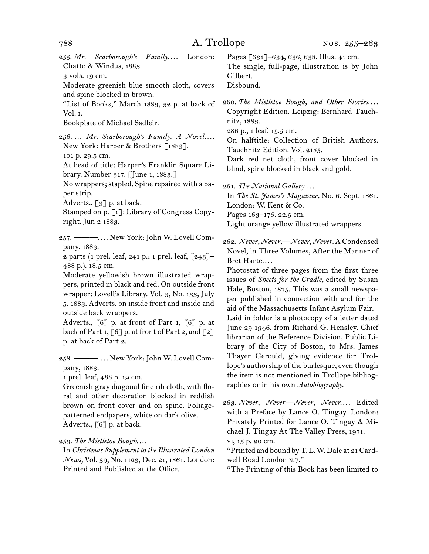- 255. Mr. Scarborough's Family.... London: Chatto & Windus, 1883.
- 3 vols. 19 cm.

Moderate greenish blue smooth cloth, covers and spine blocked in brown.

"List of Books," March 1883, 32 p. at back of Vol. i.

Bookplate of Michael Sadleir.

256. ... Mr. Scarborough's Family. A Novel.... New York: Harper & Brothers [1883]. 101 p. 29.5 cm.

At head of title: Harper's Franklin Square Library. Number 317. [June 1, 1883.]

No wrappers; stapled. Spine repaired with a paper strip.

Adverts., [3] p. at back.

Stamped on p. [1]: Library of Congress Copyright. Jun 2 1883.

257. ———. . . . New York: John W. Lovell Company, 1883.

2 parts (1 prel. leaf, 241 p.; 1 prel. leaf,  $\lceil 243 \rceil$ -488 p.). 18.5 cm.

Moderate yellowish brown illustrated wrappers, printed in black and red. On outside front wrapper: Lovell's Library. Vol. 3, No. 133, July 5, 1883. Adverts. on inside front and inside and outside back wrappers.

Adverts.,  $\lceil 6 \rceil$  p. at front of Part 1,  $\lceil 6 \rceil$  p. at back of Part 1,  $\lceil 6 \rceil$  p. at front of Part 2, and  $\lceil 2 \rceil$ p. at back of Part 2.

258. ———. . . . New York: John W. Lovell Company, 1883.

1 prel. leaf, 488 p. 19 cm.

Greenish gray diagonal fine rib cloth, with floral and other decoration blocked in reddish brown on front cover and on spine. Foliagepatterned endpapers, white on dark olive. Adverts., [6] p. at back.

259. *The Mistletoe Bough*. . . .

In *Christmas Supplement to the Illustrated London News,* Vol. 39, No. 1123, Dec. 21, 1861. London: Printed and Published at the Office.

Pages [631]–634, 636, 638. Illus. 41 cm. The single, full-page, illustration is by John Gilbert.

Disbound.

260. The Mistletoe Bough, and Other Stories.... Copyright Edition. Leipzig: Bernhard Tauchnitz, 1883.

286 p., 1 leaf. 15.5 cm.

On halftitle: Collection of British Authors. Tauchnitz Edition. Vol. 2185.

Dark red net cloth, front cover blocked in blind, spine blocked in black and gold.

261. *The National Gallery*. . . .

In *The St. James's Magazine,* No. 6, Sept. 1861. London: W. Kent & Co.

Pages 163–176. 22.5 cm.

Light orange yellow illustrated wrappers.

262. *Never, Never,—Never, Never.* A Condensed Novel, in Three Volumes, After the Manner of Bret Harte....

Photostat of three pages from the first three issues of *Sheets for the Cradle,* edited by Susan Hale, Boston, 1875. This was a small newspaper published in connection with and for the aid of the Massachusetts Infant Asylum Fair.

Laid in folder is a photocopy of a letter dated June 29 1946, from Richard G. Hensley, Chief librarian of the Reference Division, Public Library of the City of Boston, to Mrs. James Thayer Gerould, giving evidence for Trollope's authorship of the burlesque, even though the item is not mentioned in Trollope bibliographies or in his own *Autobiography*.

263. Never, Never—Never, Never.... Edited with a Preface by Lance O. Tingay. London: Privately Printed for Lance O. Tingay & Michael J. Tingay At The Valley Press, 1971. vi, 15 p. 20 cm.

"Printed and bound by T.L.W. Dale at 21 Cardwell Road London n.7."

"The Printing of this Book has been limited to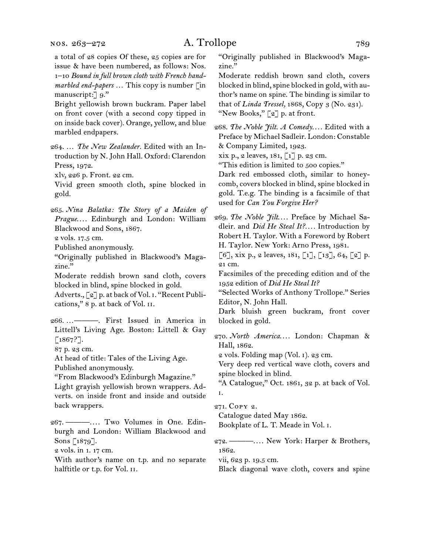a total of 28 copies Of these, 25 copies are for issue & have been numbered, as follows: Nos. 1–10 *Bound in full brown cloth with French handmarbled end-papers …* This copy is number [in manuscript: 9."

Bright yellowish brown buckram. Paper label on front cover (with a second copy tipped in on inside back cover). Orange, yellow, and blue marbled endpapers.

264. … *The New Zealander.* Edited with an Introduction by N. John Hall. Oxford: Clarendon Press, 1972.

xlv, 226 p. Front. 22 cm.

Vivid green smooth cloth, spine blocked in gold.

265. *Nina Balatka: The Story of a Maiden of*  Prague.... Edinburgh and London: William Blackwood and Sons, 1867.

2 vols. 17.5 cm.

Published anonymously.

"Originally published in Blackwood's Magazine."

Moderate reddish brown sand cloth, covers blocked in blind, spine blocked in gold.

Adverts., [2] p. at back of Vol. i. "Recent Publications," 8 p. at back of Vol. ii.

266. …———. First Issued in America in Littell's Living Age. Boston: Littell & Gay [1867?].

87 p. 23 cm.

At head of title: Tales of the Living Age.

Published anonymously.

"From Blackwood's Edinburgh Magazine."

Light grayish yellowish brown wrappers. Adverts. on inside front and inside and outside back wrappers.

267. ———. . . . Two Volumes in One. Edinburgh and London: William Blackwood and Sons [1879].

2 vols. in 1. 17 cm.

With author's name on t.p. and no separate halftitle or t.p. for Vol. ii.

"Originally published in Blackwood's Magazine."

Moderate reddish brown sand cloth, covers blocked in blind, spine blocked in gold, with author's name on spine. The binding is similar to that of *Linda Tressel,* 1868, Copy 3 (No. 231). "New Books,"  $\lceil 2 \rceil$  p. at front.

268. The Noble *Jilt. A Comedy...*. Edited with a Preface by Michael Sadleir. London: Constable & Company Limited, 1923.

xix p., 2 leaves, 181, [1] p. 23 cm.

"This edition is limited to 500 copies."

Dark red embossed cloth, similar to honeycomb, covers blocked in blind, spine blocked in gold. T.e.g. The binding is a facsimile of that used for *Can You Forgive Her?*

269. *The Noble Jilt...* Preface by Michael Sadleir. and *Did He Steal It?. . . .* Introduction by Robert H. Taylor. With a Foreword by Robert H. Taylor. New York: Arno Press, 1981.

[6], xix p., 2 leaves, 181, [1], [13], 64, [2] p. 21 cm.

Facsimiles of the preceding edition and of the 1952 edition of *Did He Steal It?*

"Selected Works of Anthony Trollope." Series Editor, N. John Hall.

Dark bluish green buckram, front cover blocked in gold.

270. *North America...*. London: Chapman & Hall, 1862.

2 vols. Folding map (Vol. i). 23 cm.

Very deep red vertical wave cloth, covers and spine blocked in blind.

"A Catalogue," Oct. 1861, 32 p. at back of Vol. i.

271. Copy 2.

Catalogue dated May 1862.

Bookplate of L. T. Meade in Vol. i.

272. ———. . . . New York: Harper & Brothers, 1862.

vii, 623 p. 19.5 cm.

Black diagonal wave cloth, covers and spine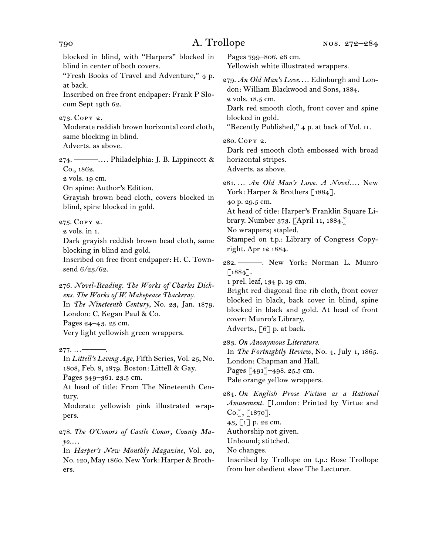blocked in blind, with "Harpers" blocked in blind in center of both covers. "Fresh Books of Travel and Adventure," 4 p. at back. Inscribed on free front endpaper: Frank P Slocum Sept 19th 62. 273. Copy 2. Moderate reddish brown horizontal cord cloth, same blocking in blind. Adverts. as above. 274. ———. . . . Philadelphia: J. B. Lippincott & Co., 1862. 2 vols. 19 cm. On spine: Author's Edition. Grayish brown bead cloth, covers blocked in blind, spine blocked in gold. 275. Copy 2. 2 vols. in 1. Dark grayish reddish brown bead cloth, same blocking in blind and gold. Inscribed on free front endpaper: H. C. Townsend 6/23/62. 276. *Novel-Reading. The Works of Charles Dickens. The Works of W. Makepeace Thackeray.* In *The Nineteenth Century,* No. 23, Jan. 1879. London: C. Kegan Paul & Co. Pages 24–43. 25 cm. Very light yellowish green wrappers.  $277.$  ... — In *Littell's Living Age,* Fifth Series, Vol. 25, No. 1808, Feb. 8, 1879. Boston: Littell & Gay. Pages 349–361. 23.5 cm. At head of title: From The Nineteenth Century. Moderate yellowish pink illustrated wrappers. 278. *The O'Conors of Castle Conor, County Ma-*

*yo*. . . . In *Harper's New Monthly Magazine,* Vol. 20, No. 120, May 1860. New York: Harper & Broth-

ers.

Pages 799–806. 26 cm. Yellowish white illustrated wrappers. 279. An Old Man's Love.... Edinburgh and London: William Blackwood and Sons, 1884. 2 vols. 18.5 cm. Dark red smooth cloth, front cover and spine blocked in gold. "Recently Published," 4 p. at back of Vol. II. 280. Copy 2. Dark red smooth cloth embossed with broad horizontal stripes. Adverts. as above. 281. … *An Old Man's Love. A Novel. . . .* New York: Harper & Brothers [1884]. 40 p. 29.5 cm. At head of title: Harper's Franklin Square Library. Number 373. [April 11, 1884.] No wrappers; stapled. Stamped on t.p.: Library of Congress Copyright. Apr 12 1884. 282. ———. New York: Norman L. Munro  $\lceil 1884 \rceil$ . 1 prel. leaf, 134 p. 19 cm.

Bright red diagonal fine rib cloth, front cover blocked in black, back cover in blind, spine blocked in black and gold. At head of front cover: Munro's Library. Adverts., [6] p. at back.

283. *On Anonymous Literature.* In *The Fortnightly Review,* No. 4, July 1, 1865. London: Chapman and Hall. Pages [491]–498. 25.5 cm. Pale orange yellow wrappers.

284. *On English Prose Fiction as a Rational Amusement.* [London: Printed by Virtue and  $Co.$ , [1870].  $43, 1$ ] p. 22 cm. Authorship not given. Unbound; stitched. No changes. Inscribed by Trollope on t.p.: Rose Trollope from her obedient slave The Lecturer.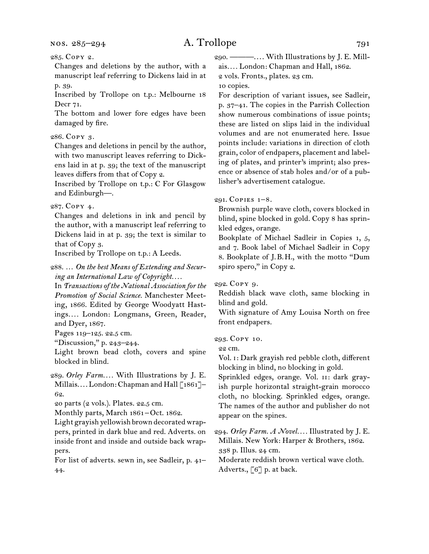Changes and deletions by the author, with a manuscript leaf referring to Dickens laid in at p. 39.

Inscribed by Trollope on t.p.: Melbourne 18 Decr 71.

The bottom and lower fore edges have been damaged by fire.

### 286. Copy 3.

Changes and deletions in pencil by the author, with two manuscript leaves referring to Dickens laid in at p. 39; the text of the manuscript leaves differs from that of Copy 2.

Inscribed by Trollope on t.p.: C For Glasgow and Edinburgh—.

### 287. Copy 4.

Changes and deletions in ink and pencil by the author, with a manuscript leaf referring to Dickens laid in at p. 39; the text is similar to that of Copy 3.

Inscribed by Trollope on t.p.: A Leeds.

288. … *On the best Means of Extending and Securing an International Law of Copyright. . . .*

In *Transactions of the National Association for the Promotion of Social Science.* Manchester Meeting, 1866. Edited by George Woodyatt Hastings*. . . .* London: Longmans, Green, Reader, and Dyer, 1867.

Pages 119–125. 22.5 cm.

"Discussion," p. 243–244.

Light brown bead cloth, covers and spine blocked in blind.

289. *Orley Farm. . . .* With Illustrations by J. E. Millais.... London: Chapman and Hall [1861]-62.

20 parts (2 vols.). Plates. 22.5 cm.

Monthly parts, March 1861–Oct. 1862.

Light grayish yellowish brown decorated wrappers, printed in dark blue and red. Adverts. on inside front and inside and outside back wrappers.

For list of adverts. sewn in, see Sadleir, p. 41– 44.

290. ———. . . . With Illustrations by J. E. Millais*. . . .* London: Chapman and Hall, 1862.

2 vols. Fronts., plates. 23 cm.

10 copies.

For description of variant issues, see Sadleir, p. 37–41. The copies in the Parrish Collection show numerous combinations of issue points; these are listed on slips laid in the individual volumes and are not enumerated here. Issue points include: variations in direction of cloth grain, color of endpapers, placement and labeling of plates, and printer's imprint; also presence or absence of stab holes and/or of a publisher's advertisement catalogue.

### 291. COPIES  $1-8$ .

Brownish purple wave cloth, covers blocked in blind, spine blocked in gold. Copy 8 has sprinkled edges, orange.

Bookplate of Michael Sadleir in Copies 1, 5, and 7. Book label of Michael Sadleir in Copy 8. Bookplate of J.B.H., with the motto "Dum spiro spero," in Copy 2.

292. Copy 9.

Reddish black wave cloth, same blocking in blind and gold.

With signature of Amy Louisa North on free front endpapers.

### 293. Copy 10.

22 cm.

Vol. i: Dark grayish red pebble cloth, different blocking in blind, no blocking in gold.

Sprinkled edges, orange. Vol. ii: dark grayish purple horizontal straight-grain morocco cloth, no blocking. Sprinkled edges, orange. The names of the author and publisher do not appear on the spines.

294. *Orley Farm. A Novel. . . .* Illustrated by J. E. Millais. New York: Harper & Brothers, 1862. 338 p. Illus. 24 cm.

Moderate reddish brown vertical wave cloth. Adverts., [6] p. at back.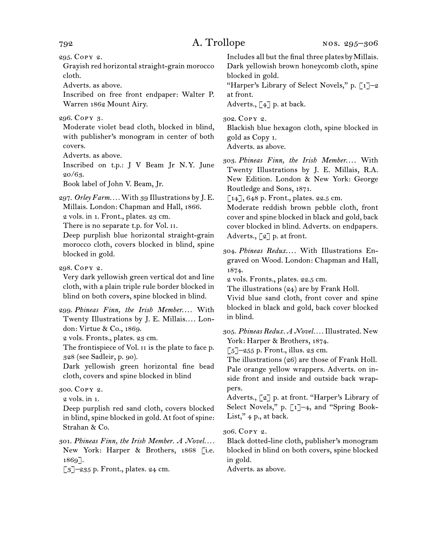295. Copy 2.

Grayish red horizontal straight-grain morocco cloth.

Adverts. as above.

Inscribed on free front endpaper: Walter P. Warren 1862 Mount Airy.

### 296. Copy 3.

Moderate violet bead cloth, blocked in blind, with publisher's monogram in center of both covers.

Adverts. as above.

Inscribed on t.p.: J V Beam Jr N.Y. June  $20/63$ .

Book label of John V. Beam, Jr.

297. *Orley Farm. . . .* With 39 Illustrations by J. E. Millais. London: Chapman and Hall, 1866. 2 vols. in 1. Front., plates. 23 cm.

There is no separate t.p. for Vol. ii.

Deep purplish blue horizontal straight-grain morocco cloth, covers blocked in blind, spine blocked in gold.

298. Copy 2.

Very dark yellowish green vertical dot and line cloth, with a plain triple rule border blocked in blind on both covers, spine blocked in blind.

299. Phineas Finn, the Irish Member.... With Twenty Illustrations by J. E. Millais.... London: Virtue & Co., 1869.

2 vols. Fronts., plates. 23 cm.

The frontispiece of Vol. II is the plate to face p. 328 (see Sadleir, p. 90).

Dark yellowish green horizontal fine bead cloth, covers and spine blocked in blind

### 300. Copy 2.

2 vols. in 1.

Deep purplish red sand cloth, covers blocked in blind, spine blocked in gold. At foot of spine: Strahan & Co.

301. *Phineas Finn, the Irish Member. A Novel. . . .* New York: Harper & Brothers, 1868 [i.e. 1869].

 $\lbrack 3 \rbrack$ -235 p. Front., plates. 24 cm.

Includes all but the final three plates by Millais. Dark yellowish brown honeycomb cloth, spine blocked in gold.

"Harper's Library of Select Novels," p.  $\lceil 1 \rceil$ -2 at front.

Adverts.,  $\lceil 4 \rceil$  p. at back.

302. Copy 2.

Blackish blue hexagon cloth, spine blocked in gold as Copy 1.

Adverts. as above.

303. *Phineas Finn, the Irish Member*. . . . With Twenty Illustrations by J. E. Millais, R.A. New Edition. London & New York: George Routledge and Sons, 1871.

[14], 648 p. Front., plates. 22.5 cm.

Moderate reddish brown pebble cloth, front cover and spine blocked in black and gold, back cover blocked in blind. Adverts. on endpapers. Adverts., [2] p. at front.

304. Phineas Redux.... With Illustrations Engraved on Wood. London: Chapman and Hall, 1874.

2 vols. Fronts., plates. 22.5 cm.

The illustrations (24) are by Frank Holl.

Vivid blue sand cloth, front cover and spine blocked in black and gold, back cover blocked in blind.

305. *Phineas Redux. A Novel. . . .* Illustrated. New York: Harper & Brothers, 1874.

 $\lceil 5 \rceil$ –255 p. Front., illus. 23 cm.

The illustrations (26) are those of Frank Holl. Pale orange yellow wrappers. Adverts. on inside front and inside and outside back wrappers.

Adverts., [2] p. at front. "Harper's Library of Select Novels," p. [1]-4, and "Spring Book-List,"  $4$  p., at back.

306. Copy 2.

Black dotted-line cloth, publisher's monogram blocked in blind on both covers, spine blocked in gold.

Adverts. as above.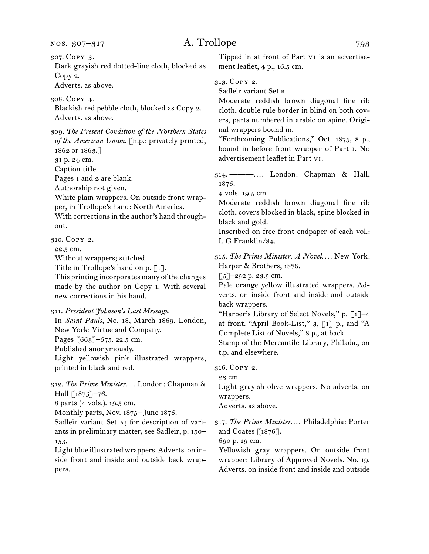307. Copy 3.

Dark grayish red dotted-line cloth, blocked as Copy 2.

Adverts. as above.

308. Copy 4.

Blackish red pebble cloth, blocked as Copy 2. Adverts. as above.

309. *The Present Condition of the Northern States of the American Union.* [n.p.: privately printed, 1862 or 1863.]

31 p. 24 cm.

Caption title.

Pages 1 and 2 are blank.

Authorship not given.

White plain wrappers. On outside front wrapper, in Trollope's hand: North America.

With corrections in the author's hand throughout.

310. Copy 2.

22.5 cm.

Without wrappers; stitched.

Title in Trollope's hand on p.  $\lceil 1 \rceil$ .

This printing incorporates many of the changes made by the author on Copy 1. With several new corrections in his hand.

311. *President Johnson's Last Message.*

In *Saint Pauls,* No. 18, March 1869. London, New York: Virtue and Company. Pages [663]–675. 22.5 cm.

Published anonymously.

Light yellowish pink illustrated wrappers, printed in black and red.

312. The Prime Minister.... London: Chapman & Hall [1875]-76.

8 parts (4 vols.). 19.5 cm.

Monthly parts, Nov. 1875-June 1876.

Sadleir variant Set a; for description of variants in preliminary matter, see Sadleir, p. 150– 153.

Light blue illustrated wrappers. Adverts. on inside front and inside and outside back wrappers.

Tipped in at front of Part vi is an advertisement leaflet, 4 p., 16.5 cm.

313. Copy 2.

Sadleir variant Set b.

Moderate reddish brown diagonal fine rib cloth, double rule border in blind on both covers, parts numbered in arabic on spine. Original wrappers bound in.

"Forthcoming Publications," Oct. 1875, 8 p., bound in before front wrapper of Part i. No advertisement leaflet in Part vi.

314. ———. . . . London: Chapman & Hall, 1876.

4 vols. 19.5 cm.

Moderate reddish brown diagonal fine rib cloth, covers blocked in black, spine blocked in black and gold.

Inscribed on free front endpaper of each vol.: L G Franklin/84.

315. *The Prime Minister. A Novel. . . .* New York: Harper & Brothers, 1876.

 $\left[5\right]-252$  p. 23.5 cm.

Pale orange yellow illustrated wrappers. Adverts. on inside front and inside and outside back wrappers.

"Harper's Library of Select Novels," p.  $\lceil 1 \rceil$ -4 at front. "April Book-List,"  $g$ , [1] p., and "A Complete List of Novels," 8 p., at back.

Stamp of the Mercantile Library, Philada., on t.p. and elsewhere.

316. Copy 2.

23 cm.

Light grayish olive wrappers. No adverts. on wrappers.

Adverts. as above.

317. The Prime Minister.... Philadelphia: Porter and Coates [1876].

690 p. 19 cm.

Yellowish gray wrappers. On outside front wrapper: Library of Approved Novels. No. 19. Adverts. on inside front and inside and outside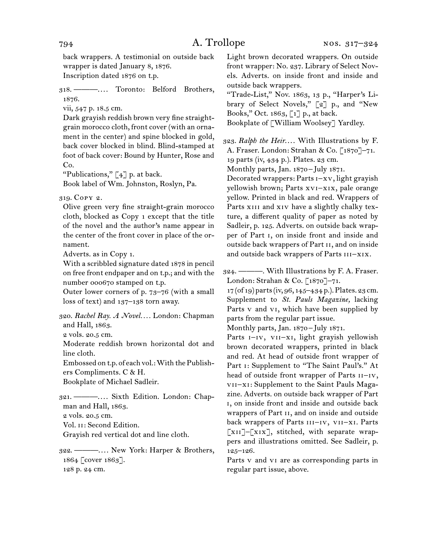back wrappers. A testimonial on outside back wrapper is dated January 8, 1876. Inscription dated 1876 on t.p.

318. ———. . . . Toronto: Belford Brothers, 1876.

vii, 547 p. 18.5 cm.

Dark grayish reddish brown very fine straightgrain morocco cloth, front cover (with an ornament in the center) and spine blocked in gold, back cover blocked in blind. Blind-stamped at foot of back cover: Bound by Hunter, Rose and Co.

"Publications,"  $\lceil 4 \rceil$  p. at back.

Book label of Wm. Johnston, Roslyn, Pa.

319. Copy 2.

Olive green very fine straight-grain morocco cloth, blocked as Copy 1 except that the title of the novel and the author's name appear in the center of the front cover in place of the ornament.

Adverts. as in Copy 1.

With a scribbled signature dated 1878 in pencil on free front endpaper and on t.p.; and with the number 000670 stamped on t.p.

Outer lower corners of p. 73–76 (with a small loss of text) and 137–138 torn away.

320. *Rachel Ray. A Novel. . . .* London: Chapman and Hall, 1863.

2 vols. 20.5 cm.

Moderate reddish brown horizontal dot and line cloth.

Embossed on t.p. of each vol.: With the Publishers Compliments. C & H.

Bookplate of Michael Sadleir.

321. ———. . . . Sixth Edition. London: Chapman and Hall, 1863.

2 vols. 20.5 cm.

Vol. ii: Second Edition.

Grayish red vertical dot and line cloth.

322. ———. . . . New York: Harper & Brothers, 1864 [cover 1863]. 128 p. 24 cm.

Light brown decorated wrappers. On outside front wrapper: No. 237. Library of Select Novels. Adverts. on inside front and inside and outside back wrappers.

"Trade-List," Nov. 1863, 13 p., "Harper's Library of Select Novels," [2] p., and "New Books," Oct. 1863, [1] p., at back. Bookplate of [William Woolsey] Yardley.

323. Ralph the Heir.... With Illustrations by F. A. Fraser. London: Strahan & Co. [1870]–71. 19 parts (iv, 434 p.). Plates. 23 cm.

Monthly parts, Jan. 1870 – July 1871.

Decorated wrappers: Parts i–xv, light grayish yellowish brown; Parts xvi–xix, pale orange yellow. Printed in black and red. Wrappers of Parts XIII and XIV have a slightly chalky texture, a different quality of paper as noted by Sadleir, p. 125. Adverts. on outside back wrapper of Part i, on inside front and inside and outside back wrappers of Part ii, and on inside and outside back wrappers of Parts III-XIX.

324. ———. With Illustrations by F. A. Fraser. London: Strahan & Co. [1870]–71.

17 (of 19) parts (iv, 96, 145–434 p.). Plates. 23 cm. Supplement to *St. Pauls Magazine,* lacking Parts v and vi, which have been supplied by parts from the regular part issue.

Monthly parts, Jan. 1870 – July 1871.

Parts I-IV, VII-XI, light grayish yellowish brown decorated wrappers, printed in black and red. At head of outside front wrapper of Part i: Supplement to "The Saint Paul's." At head of outside front wrapper of Parts  $iI-IV$ , vii–xi: Supplement to the Saint Pauls Magazine. Adverts. on outside back wrapper of Part i, on inside front and inside and outside back wrappers of Part ii, and on inside and outside back wrappers of Parts III-IV, VII-XI. Parts [xii]–[xix], stitched, with separate wrappers and illustrations omitted. See Sadleir, p. 125–126.

Parts v and vi are as corresponding parts in regular part issue, above.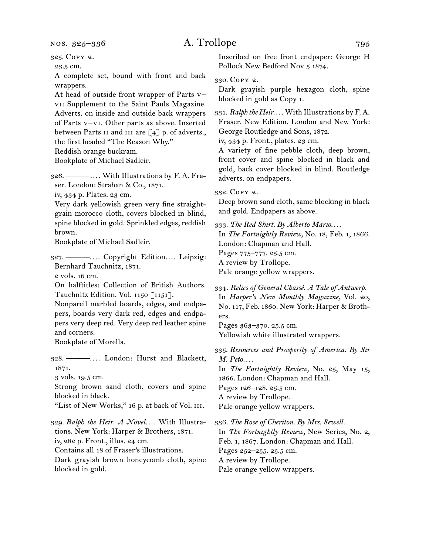nos. 325–336

## A. Trollope 795

325. Copy 2.

23.5 cm.

A complete set, bound with front and back wrappers.

At head of outside front wrapper of Parts v– vi: Supplement to the Saint Pauls Magazine. Adverts. on inside and outside back wrappers of Parts v–vi. Other parts as above. Inserted between Parts II and III are  $\lceil 4 \rceil$  p. of adverts., the first headed "The Reason Why."

Reddish orange buckram.

Bookplate of Michael Sadleir.

326. ———. . . . With Illustrations by F. A. Fraser. London: Strahan & Co., 1871.

iv, 434 p. Plates. 23 cm.

Very dark yellowish green very fine straightgrain morocco cloth, covers blocked in blind, spine blocked in gold. Sprinkled edges, reddish brown.

Bookplate of Michael Sadleir.

327. ———. . . . Copyright Edition. . . . Leipzig: Bernhard Tauchnitz, 1871.

2 vols. 16 cm.

On halftitles: Collection of British Authors. Tauchnitz Edition. Vol. 1150 [1151].

Nonpareil marbled boards, edges, and endpapers, boards very dark red, edges and endpapers very deep red. Very deep red leather spine and corners.

Bookplate of Morella.

328. ———. . . . London: Hurst and Blackett, 1871.

3 vols. 19.5 cm.

Strong brown sand cloth, covers and spine blocked in black.

"List of New Works," 16 p. at back of Vol. III.

329. *Ralph the Heir. A Novel. . . .* With Illustrations. New York: Harper & Brothers, 1871. iv, 282 p. Front., illus. 24 cm. Contains all 18 of Fraser's illustrations.

Dark grayish brown honeycomb cloth, spine blocked in gold.

Inscribed on free front endpaper: George H Pollock New Bedford Nov 5 1874.

330. Copy 2.

Dark grayish purple hexagon cloth, spine blocked in gold as Copy 1.

331. *Ralph the Heir...* With Illustrations by F.A. Fraser. New Edition. London and New York: George Routledge and Sons, 1872.

iv, 434 p. Front., plates. 23 cm.

A variety of fine pebble cloth, deep brown, front cover and spine blocked in black and gold, back cover blocked in blind. Routledge adverts. on endpapers.

332. Copy 2.

Deep brown sand cloth, same blocking in black and gold. Endpapers as above.

333. *The Red Shirt. By Alberto Mario*. . . . In *The Fortnightly Review,* No. 18, Feb. 1, 1866. London: Chapman and Hall. Pages 775–777. 25.5 cm. A review by Trollope. Pale orange yellow wrappers.

334. *Relics of General Chassé. A Tale of Antwerp.* In *Harper's New Monthly Magazine,* Vol. 20, No. 117, Feb. 1860. New York: Harper & Brothers.

Pages 363–370. 25.5 cm. Yellowish white illustrated wrappers.

335. *Resources and Prosperity of America. By Sir M. Peto. . . .*

In *The Fortnightly Review,* No. 25, May 15, 1866. London: Chapman and Hall.

Pages 126–128. 25.5 cm.

A review by Trollope.

Pale orange yellow wrappers.

336. *The Rose of Cheriton. By Mrs. Sewell.* In *The Fortnightly Review,* New Series, No. 2, Feb. 1, 1867. London: Chapman and Hall. Pages 252–255. 25.5 cm. A review by Trollope. Pale orange yellow wrappers.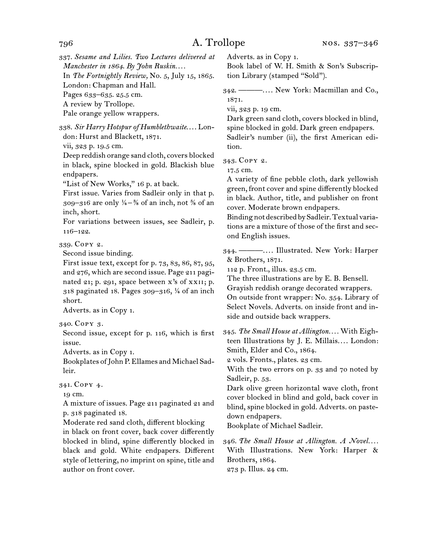337. *Sesame and Lilies. Two Lectures delivered at Manchester in 1864. By John Ruskin. . . .* In *The Fortnightly Review,* No. 5, July 15, 1865. London: Chapman and Hall. Pages 633–635. 25.5 cm. A review by Trollope. Pale orange yellow wrappers. 338. *Sir Harry Hotspur of Humblethwaite*. . . . London: Hurst and Blackett, 1871. vii, 323 p. 19.5 cm. Deep reddish orange sand cloth, covers blocked in black, spine blocked in gold. Blackish blue endpapers.

"List of New Works," 16 p. at back.

First issue. Varies from Sadleir only in that p. 309–316 are only  $\frac{1}{4}$ –<sup>3</sup>/<sub>8</sub> of an inch, not <sup>5</sup>/<sub>8</sub> of an inch, short.

For variations between issues, see Sadleir, p. 116–122.

339. Copy 2.

Second issue binding.

First issue text, except for p. 73, 83, 86, 87, 95, and 276, which are second issue. Page 211 paginated 21; p. 291, space between x's of xxII; p. 318 paginated 18. Pages 309–316, ¼ of an inch short.

Adverts. as in Copy 1.

340. Copy 3.

Second issue, except for p. 116, which is first issue.

Adverts. as in Copy 1.

Bookplates of John P. Ellames and Michael Sadleir.

### 341. Copy 4.

19 cm.

A mixture of issues. Page 211 paginated 21 and p. 318 paginated 18.

Moderate red sand cloth, different blocking in black on front cover, back cover differently blocked in blind, spine differently blocked in black and gold. White endpapers. Different style of lettering, no imprint on spine, title and author on front cover.

Adverts. as in Copy 1.

Book label of W. H. Smith & Son's Subscription Library (stamped "Sold").

342. ———. . . . New York: Macmillan and Co., 1871.

vii, 323 p. 19 cm.

Dark green sand cloth, covers blocked in blind, spine blocked in gold. Dark green endpapers. Sadleir's number (ii), the first American edition.

343. Copy 2.

17.5 cm.

A variety of fine pebble cloth, dark yellowish green, front cover and spine differently blocked in black. Author, title, and publisher on front cover. Moderate brown endpapers.

Binding not described by Sadleir. Textual variations are a mixture of those of the first and second English issues.

344. ———. . . . Illustrated. New York: Harper & Brothers, 1871.

112 p. Front., illus. 23.5 cm.

The three illustrations are by E. B. Bensell.

Grayish reddish orange decorated wrappers.

On outside front wrapper: No. 354. Library of Select Novels. Adverts. on inside front and inside and outside back wrappers.

345. *The Small House at Allington. . . .* With Eighteen Illustrations by J. E. Millais.... London: Smith, Elder and Co., 1864.

2 vols. Fronts., plates. 23 cm.

With the two errors on p. 33 and 70 noted by Sadleir, p. 53.

Dark olive green horizontal wave cloth, front cover blocked in blind and gold, back cover in blind, spine blocked in gold. Adverts. on pastedown endpapers.

Bookplate of Michael Sadleir.

346. *The Small House at Allington. A Novel. . . .* With Illustrations. New York: Harper & Brothers, 1864.

273 p. Illus. 24 cm.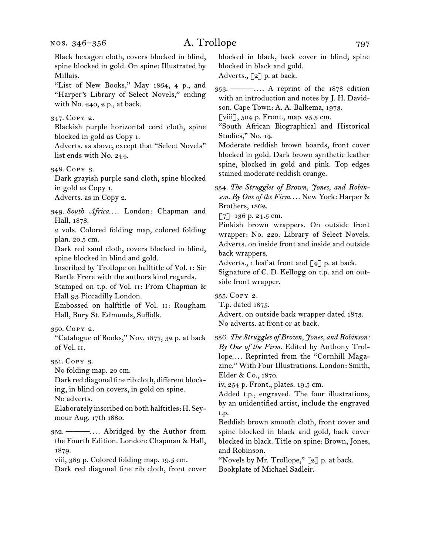Black hexagon cloth, covers blocked in blind, spine blocked in gold. On spine: Illustrated by Millais. "List of New Books," May 1864, 4 p., and "Harper's Library of Select Novels," ending with No. 240, 2 p., at back. 347. Copy 2. Blackish purple horizontal cord cloth, spine blocked in gold as Copy 1. Adverts. as above, except that "Select Novels" list ends with No. 244. 348. Copy 3. Dark grayish purple sand cloth, spine blocked in gold as Copy 1. Adverts. as in Copy 2. 349. South Africa.... London: Chapman and Hall, 1878. 2 vols. Colored folding map, colored folding plan. 20.5 cm. Dark red sand cloth, covers blocked in blind, spine blocked in blind and gold. Inscribed by Trollope on halftitle of Vol. i: Sir Bartle Frere with the authors kind regards. Stamped on t.p. of Vol. II: From Chapman & Hall 93 Piccadilly London. Embossed on halftitle of Vol. ii: Rougham Hall, Bury St. Edmunds, Suffolk. 350. Copy 2. "Catalogue of Books," Nov. 1877, 32 p. at back of Vol. ii. 351. Copy 3. No folding map. 20 cm. Dark red diagonal fine rib cloth, different blocking, in blind on covers, in gold on spine. No adverts. Elaborately inscribed on both halftitles: H. Seymour Aug. 17th 1880. 352. ———. . . . Abridged by the Author from the Fourth Edition. London: Chapman & Hall, 1879. viii, 389 p. Colored folding map. 19.5 cm. Dark red diagonal fine rib cloth, front cover

blocked in black, back cover in blind, spine blocked in black and gold. Adverts.,  $\lceil 2 \rceil$  p. at back.

353. ———. . . . A reprint of the 1878 edition with an introduction and notes by J. H. Davidson. Cape Town: A. A. Balkema, 1973.

[viii], 504 p. Front., map. 25.5 cm.

"South African Biographical and Historical Studies," No. 14.

Moderate reddish brown boards, front cover blocked in gold. Dark brown synthetic leather spine, blocked in gold and pink. Top edges stained moderate reddish orange.

354. *The Struggles of Brown, Jones, and Robinson. By One of the Firm*. . . . New York: Harper & Brothers, 1862.

 $\lbrack 7 \rbrack$ –136 p. 24.5 cm.

Pinkish brown wrappers. On outside front wrapper: No. 220. Library of Select Novels. Adverts. on inside front and inside and outside back wrappers.

Adverts., 1 leaf at front and  $\lceil 4 \rceil$  p. at back.

Signature of C. D. Kellogg on t.p. and on outside front wrapper.

355. Copy 2.

T.p. dated 1875.

Advert. on outside back wrapper dated 1873. No adverts. at front or at back.

356. *The Struggles of Brown, Jones, and Robinson: By One of the Firm.* Edited by Anthony Trollope.... Reprinted from the "Cornhill Magazine." With Four Illustrations. London: Smith, Elder & Co., 1870.

iv, 254 p. Front., plates. 19.5 cm.

Added t.p., engraved. The four illustrations, by an unidentified artist, include the engraved t.p.

Reddish brown smooth cloth, front cover and spine blocked in black and gold, back cover blocked in black. Title on spine: Brown, Jones, and Robinson.

"Novels by Mr. Trollope," [2] p. at back. Bookplate of Michael Sadleir.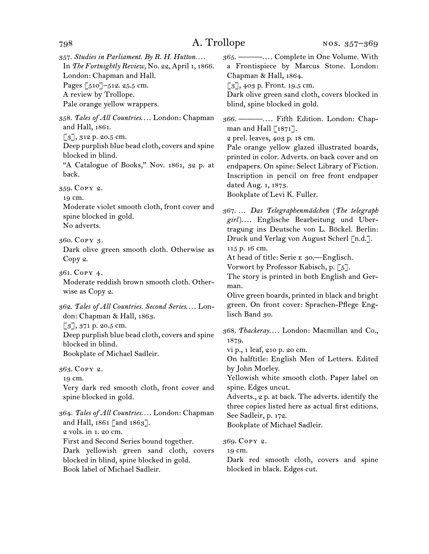357. *Studies in Parliament. By R. H. Hutton. . . .* In *The Fortnightly Review,* No. 22, April 1, 1866. London: Chapman and Hall. Pages [510]–512. 25.5 cm. A review by Trollope.

Pale orange yellow wrappers.

358. Tales of All Countries.... London: Chapman and Hall, 1861.

 $\lceil 3 \rceil$ , 312 p. 20.5 cm.

Deep purplish blue bead cloth, covers and spine blocked in blind.

"A Catalogue of Books," Nov. 1861, 32 p. at back.

359. Copy 2.

19 cm.

Moderate violet smooth cloth, front cover and spine blocked in gold. No adverts.

360. Copy 3.

Dark olive green smooth cloth. Otherwise as Copy 2.

361. Copy 4.

Moderate reddish brown smooth cloth. Otherwise as Copy 2.

362. *Tales of All Countries. Second Series*. . . . London: Chapman & Hall, 1863.

[3], 371 p. 20.5 cm.

Deep purplish blue bead cloth, covers and spine blocked in blind.

Bookplate of Michael Sadleir.

363. Copy 2.

19 cm.

Very dark red smooth cloth, front cover and spine blocked in gold.

364. *Tales of All Countries. . . .* London: Chapman and Hall, 1861 [and 1863]. 2 vols. in 1. 20 cm. First and Second Series bound together. Dark yellowish green sand cloth, covers

blocked in blind, spine blocked in gold. Book label of Michael Sadleir.

365. ———. . . . Complete in One Volume. With a Frontispiece by Marcus Stone. London: Chapman & Hall, 1864.  $\lceil 3 \rceil$ , 403 p. Front. 19.5 cm.

Dark olive green sand cloth, covers blocked in blind, spine blocked in gold.

366. ———. . . . Fifth Edition. London: Chapman and Hall  $\lceil 1871 \rceil$ .

2 prel. leaves, 403 p. 18 cm.

Pale orange yellow glazed illustrated boards, printed in color. Adverts. on back cover and on endpapers. On spine: Select Library of Fiction. Inscription in pencil on free front endpaper dated Aug. 1, 1873. Bookplate of Levi K. Fuller.

367. … *Das Telegraphenmädchen* (*The telegraph*  girl).... Englische Bearbeitung und Ubertragung ins Deutsche von L. Böckel. Berlin: Druck und Verlag von August Scherl [n.d.].

115 p. 16 cm.

At head of title: Serie E 30.—Englisch.

Vorwort by Professor Kabisch, p. [5].

The story is printed in both English and German.

Olive green boards, printed in black and bright green. On front cover: Sprachen-Pflege Englisch Band 30.

368. Thackeray.... London: Macmillan and Co., 1879.

vi p., 1 leaf, 210 p. 20 cm.

On halftitle: English Men of Letters. Edited by John Morley.

Yellowish white smooth cloth. Paper label on spine. Edges uncut.

Adverts., 2 p. at back. The adverts. identify the three copies listed here as actual first editions. See Sadleir, p. 172.

Bookplate of Michael Sadleir.

369. Copy 2.

19 cm.

Dark red smooth cloth, covers and spine blocked in black. Edges cut.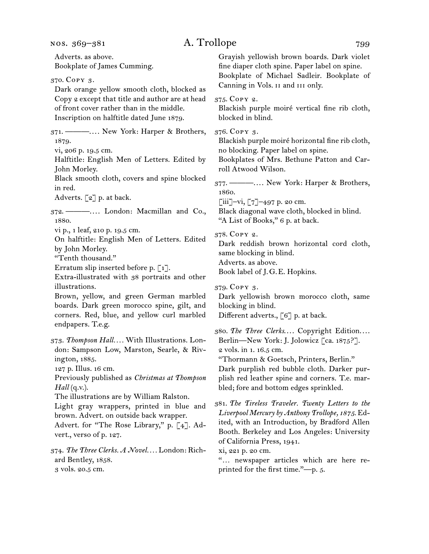Adverts. as above. Bookplate of James Cumming. 370. Copy 3. Dark orange yellow smooth cloth, blocked as Copy 2 except that title and author are at head of front cover rather than in the middle. Inscription on halftitle dated June 1879. 371. ———. . . . New York: Harper & Brothers, 1879. vi, 206 p. 19.5 cm. Halftitle: English Men of Letters. Edited by John Morley. Black smooth cloth, covers and spine blocked in red. Adverts.  $\lceil 2 \rceil$  p. at back. 372. ———. . . . London: Macmillan and Co., 1880. vi p., 1 leaf, 210 p. 19.5 cm. On halftitle: English Men of Letters. Edited by John Morley. "Tenth thousand." Erratum slip inserted before p. [1]. Extra-illustrated with 38 portraits and other illustrations. Brown, yellow, and green German marbled boards. Dark green morocco spine, gilt, and corners. Red, blue, and yellow curl marbled endpapers. T.e.g. 373. *Thompson Hall. . . .* With Illustrations. London: Sampson Low, Marston, Searle, & Rivington, 1885. 127 p. Illus. 16 cm. Previously published as *Christmas at Thompson Hall* (q.v.). The illustrations are by William Ralston. Light gray wrappers, printed in blue and brown. Advert. on outside back wrapper. Advert. for "The Rose Library," p. [4]. Advert., verso of p. 127. 374. *The Three Clerks. A Novel. . . .* London: Richard Bentley, 1858. 3 vols. 20.5 cm. Grayish yellowish brown boards. Dark violet fine diaper cloth spine. Paper label on spine. Bookplate of Michael Sadleir. Bookplate of Canning in Vols. ii and iii only. 375. Copy 2. Blackish purple moiré vertical fine rib cloth, blocked in blind. 376. Copy 3. Blackish purple moiré horizontal fine rib cloth, no blocking. Paper label on spine. Bookplates of Mrs. Bethune Patton and Carroll Atwood Wilson. 377. ———. . . . New York: Harper & Brothers, 1860.  $[iii]$ –vi,  $[7]$ –497 p. 20 cm. Black diagonal wave cloth, blocked in blind. "A List of Books," 6 p. at back. 378. Copy 2. Dark reddish brown horizontal cord cloth, same blocking in blind. Adverts. as above. Book label of J.G.E. Hopkins. 379. Copy 3. Dark yellowish brown morocco cloth, same blocking in blind. Different adverts., [6] p. at back. 380. The Three Clerks.... Copyright Edition.... Berlin—New York: J. Jolowicz [ca. 1875?]. 2 vols. in 1. 16.5 cm. "Thormann & Goetsch, Printers, Berlin." Dark purplish red bubble cloth. Darker purplish red leather spine and corners. T.e. marbled; fore and bottom edges sprinkled. 381. *The Tireless Traveler. Twenty Letters to the Liverpool Mercury by Anthony Trollope, 1875.* Edited, with an Introduction, by Bradford Allen Booth. Berkeley and Los Angeles: University of California Press, 1941. xi, 221 p. 20 cm. "… newspaper articles which are here reprinted for the first time."—p. 5.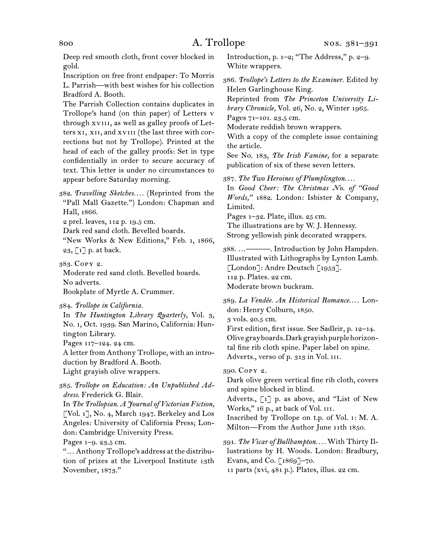Deep red smooth cloth, front cover blocked in gold.

Inscription on free front endpaper: To Morris L. Parrish—with best wishes for his collection Bradford A. Booth.

The Parrish Collection contains duplicates in Trollope's hand (on thin paper) of Letters v through xviii, as well as galley proofs of Letters xi, xii, and xviii (the last three with corrections but not by Trollope). Printed at the head of each of the galley proofs: Set in type confidentially in order to secure accuracy of text. This letter is under no circumstances to appear before Saturday morning.

382. *Travelling Sketches. . . .* (Reprinted from the "Pall Mall Gazette.") London: Chapman and Hall, 1866.

2 prel. leaves, 112 p. 19.5 cm.

Dark red sand cloth. Bevelled boards.

"New Works & New Editions," Feb. 1, 1866, 23, [1] p. at back.

383. Copy 2.

Moderate red sand cloth. Bevelled boards. No adverts.

Bookplate of Myrtle A. Crummer.

384. *Trollope in California.*

In *The Huntington Library Quarterly,* Vol. 3, No. 1, Oct. 1939. San Marino, California: Huntington Library.

Pages 117–124. 24 cm.

A letter from Anthony Trollope, with an introduction by Bradford A. Booth.

Light grayish olive wrappers.

385. *Trollope on Education: An Unpublished Address.* Frederick G. Blair.

In *The Trollopian. A Journal of Victorian Fiction,*  [Vol. 1], No. 4, March 1947. Berkeley and Los Angeles: University of California Press; London: Cambridge University Press.

Pages 1–9. 23.5 cm.

"… Anthony Trollope's address at the distribution of prizes at the Liverpool Institute 13th November, 1873."

Introduction, p. 1–2; "The Address," p. 2–9. White wrappers.

386. *Trollope's Letters to the Examiner.* Edited by Helen Garlinghouse King.

Reprinted from *The Princeton University Library Chronicle,* Vol. 26, No. 2, Winter 1965.

Pages 71-101. 23.5 cm.

Moderate reddish brown wrappers.

With a copy of the complete issue containing the article.

See No. 183, *The Irish Famine,* for a separate publication of six of these seven letters.

387. *The Two Heroines of Plumplington. . . .*

In *Good Cheer: The Christmas No. of "Good Words,"* 1882. London: Isbister & Company, Limited.

Pages 1–32. Plate, illus. 25 cm.

The illustrations are by W. J. Hennessy.

Strong yellowish pink decorated wrappers.

388. …———. Introduction by John Hampden. Illustrated with Lithographs by Lynton Lamb. [London]: Andre Deutsch [1953]. 112 p. Plates. 22 cm. Moderate brown buckram.

389. La Vendée. An Historical Romance.... London: Henry Colburn, 1850.

3 vols. 20.5 cm.

First edition, first issue. See Sadleir, p. 12–14. Olive gray boards. Dark grayish purple horizontal fine rib cloth spine. Paper label on spine. Adverts., verso of p. 313 in Vol. iii.

390. Copy 2.

Dark olive green vertical fine rib cloth, covers and spine blocked in blind.

Adverts., [1] p. as above, and "List of New Works," 16 p., at back of Vol. III.

Inscribed by Trollope on t.p. of Vol. i: M. A. Milton—From the Author June 11th 1850.

391. *The Vicar of Bullhampton. . . .* With Thirty Illustrations by H. Woods. London: Bradbury, Evans, and Co.  $\lceil 1869 \rceil$ –70.

11 parts (xvi, 481 p.). Plates, illus. 22 cm.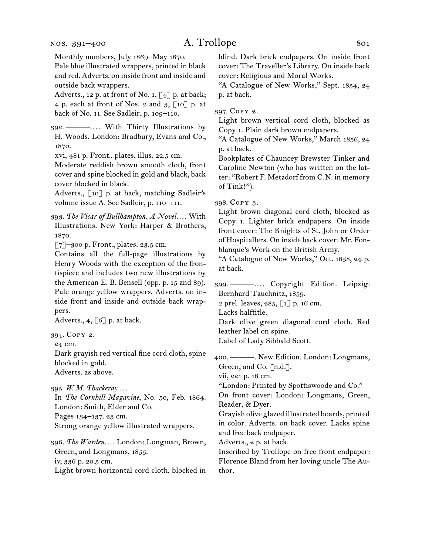### nos. 391–400

## A. Trollope 801

Monthly numbers, July 1869–May 1870.

Pale blue illustrated wrappers, printed in black and red. Adverts. on inside front and inside and outside back wrappers.

Adverts., 12 p. at front of No. 1,  $\begin{bmatrix} 4 \end{bmatrix}$  p. at back; 4 p. each at front of Nos. 2 and  $3$ ; [10] p. at back of No. 11. See Sadleir, p. 109–110.

392. ———. . . . With Thirty Illustrations by H. Woods. London: Bradbury, Evans and Co., 1870.

xvi, 481 p. Front., plates, illus. 22.5 cm.

Moderate reddish brown smooth cloth, front cover and spine blocked in gold and black, back cover blocked in black.

Adverts., [10] p. at back, matching Sadleir's volume issue A. See Sadleir, p. 110–111.

393. *The Vicar of Bullhampton. A Novel. . . .* With Illustrations. New York: Harper & Brothers, 1870.

 $\lceil 7 \rceil$ –300 p. Front., plates. 23.5 cm.

Contains all the full-page illustrations by Henry Woods with the exception of the frontispiece and includes two new illustrations by the American E. B. Bensell (opp. p. 15 and 89). Pale orange yellow wrappers. Adverts. on inside front and inside and outside back wrappers.

Adverts., 4,  $\lceil 6 \rceil$  p. at back.

394. Copy 2.

24 cm.

Dark grayish red vertical fine cord cloth, spine blocked in gold. Adverts. as above.

395. *W. M. Thackeray. . . .*

In *The Cornhill Magazine*, No. 50, Feb. 1864. London: Smith, Elder and Co. Pages 134–137. 23 cm. Strong orange yellow illustrated wrappers.

396. *The Warden. . . .* London: Longman, Brown, Green, and Longmans, 1855. iv, 336 p. 20.5 cm. Light brown horizontal cord cloth, blocked in blind. Dark brick endpapers. On inside front cover: The Traveller's Library. On inside back cover: Religious and Moral Works.

"A Catalogue of New Works," Sept. 1854, 24 p. at back.

397. Copy 2.

Light brown vertical cord cloth, blocked as Copy 1. Plain dark brown endpapers.

"A Catalogue of New Works," March 1856, 24 p. at back.

Bookplates of Chauncey Brewster Tinker and Caroline Newton (who has written on the latter: "Robert F. Metzdorf from C.N. in memory of Tink!").

398. Copy 3.

Light brown diagonal cord cloth, blocked as Copy 1. Lighter brick endpapers. On inside front cover: The Knights of St. John or Order of Hospitallers. On inside back cover: Mr. Fonblanque's Work on the British Army.

"A Catalogue of New Works," Oct. 1858, 24 p. at back.

399. ———. . . . Copyright Edition. Leipzig: Bernhard Tauchnitz, 1859.

2 prel. leaves, 285, [1] p. 16 cm.

Lacks halftitle.

Dark olive green diagonal cord cloth. Red leather label on spine.

Label of Lady Sibbald Scott.

400. ———. New Edition. London: Longmans, Green, and Co. [n.d.].

vii, 221 p. 18 cm.

"London: Printed by Spottiswoode and Co."

On front cover: London: Longmans, Green, Reader, & Dyer.

Grayish olive glazed illustrated boards, printed in color. Adverts. on back cover. Lacks spine and free back endpaper.

Adverts., 2 p. at back.

Inscribed by Trollope on free front endpaper: Florence Bland from her loving uncle The Author.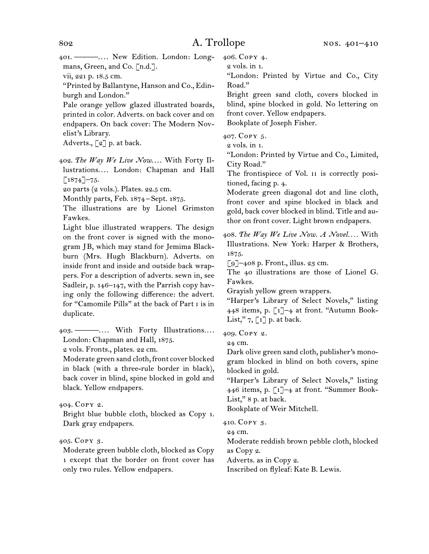401. ———. . . . New Edition. London: Longmans, Green, and Co. [n.d.].

vii, 221 p. 18.5 cm.

"Printed by Ballantyne, Hanson and Co., Edinburgh and London."

Pale orange yellow glazed illustrated boards, printed in color. Adverts. on back cover and on endpapers. On back cover: The Modern Novelist's Library.

Adverts.,  $\lceil 2 \rceil$  p. at back.

402. The Way We Live Now.... With Forty Illustrations.... London: Chapman and Hall  $[1874]$ –75.

20 parts (2 vols.). Plates. 22.5 cm.

Monthly parts, Feb. 1874–Sept. 1875.

The illustrations are by Lionel Grimston Fawkes.

Light blue illustrated wrappers. The design on the front cover is signed with the monogram JB, which may stand for Jemima Blackburn (Mrs. Hugh Blackburn). Adverts. on inside front and inside and outside back wrappers. For a description of adverts. sewn in, see Sadleir, p. 146–147, with the Parrish copy having only the following difference: the advert. for "Camomile Pills" at the back of Part i is in duplicate.

403. ———.... With Forty Illustrations.... London: Chapman and Hall, 1875.

2 vols. Fronts., plates. 22 cm.

Moderate green sand cloth, front cover blocked in black (with a three-rule border in black), back cover in blind, spine blocked in gold and black. Yellow endpapers.

404. Copy 2.

Bright blue bubble cloth, blocked as Copy 1. Dark gray endpapers.

405. Copy 3.

Moderate green bubble cloth, blocked as Copy 1 except that the border on front cover has only two rules. Yellow endpapers.

406. Copy 4.

2 vols. in 1.

"London: Printed by Virtue and Co., City Road."

Bright green sand cloth, covers blocked in blind, spine blocked in gold. No lettering on front cover. Yellow endpapers. Bookplate of Joseph Fisher.

407. Copy 5.

2 vols. in 1.

"London: Printed by Virtue and Co., Limited, City Road."

The frontispiece of Vol. II is correctly positioned, facing p. 4.

Moderate green diagonal dot and line cloth, front cover and spine blocked in black and gold, back cover blocked in blind. Title and author on front cover. Light brown endpapers.

408. *The Way We Live Now. A Novel. . . .* With Illustrations. New York: Harper & Brothers, 1875.

 $\lceil 9 \rceil$ –408 p. Front., illus. 23 cm.

The 40 illustrations are those of Lionel G. Fawkes.

Grayish yellow green wrappers.

"Harper's Library of Select Novels," listing 448 items, p. [1]–4 at front. "Autumn Book-List,"  $7, \lceil 1 \rceil$  p. at back.

409. Copy 2.

24 cm.

Dark olive green sand cloth, publisher's monogram blocked in blind on both covers, spine blocked in gold.

"Harper's Library of Select Novels," listing 446 items, p. [1]–4 at front. "Summer Book-List," 8 p. at back.

Bookplate of Weir Mitchell.

410. Copy 3.

24 cm.

Moderate reddish brown pebble cloth, blocked as Copy 2.

Adverts. as in Copy 2.

Inscribed on flyleaf: Kate B. Lewis.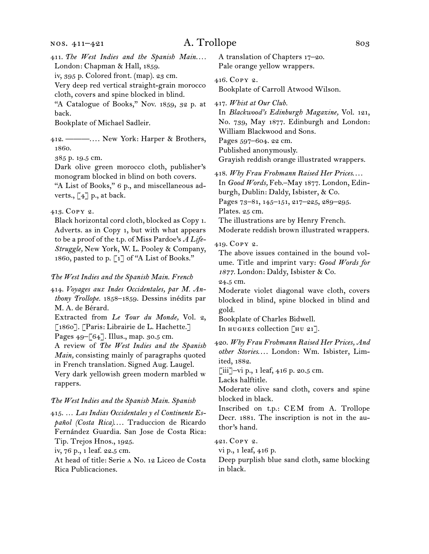411. The West Indies and the Spanish Main.... London: Chapman & Hall, 1859.

iv, 395 p. Colored front. (map). 23 cm.

Very deep red vertical straight-grain morocco cloth, covers and spine blocked in blind.

"A Catalogue of Books," Nov. 1859, 32 p. at back.

Bookplate of Michael Sadleir.

412. ———. . . . New York: Harper & Brothers, 1860.

385 p. 19.5 cm.

Dark olive green morocco cloth, publisher's monogram blocked in blind on both covers. "A List of Books," 6 p., and miscellaneous adverts.,  $\lbrack 4 \rbrack$  p., at back.

### 413. Copy 2.

Black horizontal cord cloth, blocked as Copy 1. Adverts. as in Copy 1, but with what appears to be a proof of the t.p. of Miss Pardoe's *A Life-Struggle,* New York, W. L. Pooley & Company, 1860, pasted to p. [1] of "A List of Books."

### *The West Indies and the Spanish Main. French*

414. *Voyages aux Indes Occidentales, par M. Anthony Trollope.* 1858–1859. Dessins inédits par M. A. de Bérard. Extracted from *Le Tour du Monde,* Vol. 2, [1860]. [Paris: Librairie de L. Hachette.] Pages 49–[64]. Illus., map. 30.5 cm. A review of *The West Indies and the Spanish Main,* consisting mainly of paragraphs quoted in French translation. Signed Aug. Laugel. Very dark yellowish green modern marbled w rappers.

### *The West Indies and the Spanish Main. Spanish*

415. … *Las Indias Occidentales y el Continente Es*pañol (Costa Rica).... Traduccion de Ricardo Fernández Guardia. San Jose de Costa Rica: Tip. Trejos Hnos., 1925. iv, 76 p., 1 leaf. 22.5 cm. At head of title: Serie a No. 12 Liceo de Costa Rica Publicaciones.

A translation of Chapters 17–20. Pale orange yellow wrappers.

416. Copy 2.

Bookplate of Carroll Atwood Wilson.

417. *Whist at Our Club.*

In *Blackwood's Edinburgh Magazine,* Vol. 121, No. 739, May 1877. Edinburgh and London: William Blackwood and Sons. Pages 597–604. 22 cm. Published anonymously. Grayish reddish orange illustrated wrappers.

418. *Why Frau Frohmann Raised Her Prices*. . . . In *Good Words,* Feb.–May 1877. London, Edinburgh, Dublin: Daldy, Isbister, & Co. Pages 73–81, 145–151, 217–225, 289–295. Plates. 25 cm.

The illustrations are by Henry French.

Moderate reddish brown illustrated wrappers.

### 419. Copy 2.

The above issues contained in the bound volume. Title and imprint vary: *Good Words for 1877.* London: Daldy, Isbister & Co.

24.5 cm.

Moderate violet diagonal wave cloth, covers blocked in blind, spine blocked in blind and gold.

Bookplate of Charles Bidwell. In HUGHES collection [HU 21].

420. *Why Frau Frohmann Raised Her Prices, And*  other Stories.... London: Wm. Isbister, Limited, 1882.

[iii]–vi p., 1 leaf,  $416$  p. 20.5 cm.

Lacks halftitle.

Moderate olive sand cloth, covers and spine blocked in black.

Inscribed on t.p.: CEM from A. Trollope Decr. 1881. The inscription is not in the author's hand.

421. Copy 2.

vi p., 1 leaf, 416 p.

Deep purplish blue sand cloth, same blocking in black.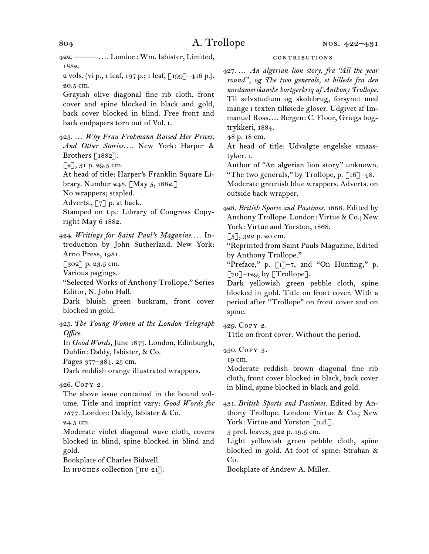422. ———. . . . London: Wm. Isbister, Limited, 1882. 2 vols. (vi p., 1 leaf, 197 p.; 1 leaf, [199]–416 p.). 20.5 cm.

Grayish olive diagonal fine rib cloth, front cover and spine blocked in black and gold, back cover blocked in blind. Free front and back endpapers torn out of Vol. i.

423. … *Why Frau Frohmann Raised Her Prices, And Other Stories. . . .* New York: Harper & Brothers  $\lceil 1882 \rceil$ .

[2], 31 p. 29.5 cm.

At head of title: Harper's Franklin Square Li-

brary. Number 248. [May 5, 1882.]

No wrappers; stapled.

Adverts., [7] p. at back.

Stamped on t.p.: Library of Congress Copyright May 6 1882.

424. Writings for Saint Paul's Magazine.... Introduction by John Sutherland. New York: Arno Press, 1981.

[302] p. 23.5 cm.

Various pagings.

"Selected Works of Anthony Trollope." Series Editor, N. John Hall.

Dark bluish green buckram, front cover blocked in gold.

425. *The Young Women at the London Telegraph Office.*

In *Good Words,* June 1877. London, Edinburgh, Dublin: Daldy, Isbister, & Co.

Pages 377–384. 25 cm.

Dark reddish orange illustrated wrappers.

### 426. Copy 2.

The above issue contained in the bound volume. Title and imprint vary: *Good Words for 1877.* London: Daldy, Isbister & Co.

24.5 cm.

Moderate violet diagonal wave cloth, covers blocked in blind, spine blocked in blind and gold.

Bookplate of Charles Bidwell.

In HUGHES collection [HU 21].

### contributions

427. … *An algerian lion story, fra "All the year round", og The two generals, et billede fra den nordamerikanske bortgerkriq af Anthony Trollope.* Til selvstudium og skolebrug, forsynet med mange i texten tilføiede gloser. Udgivet af Immanuel Ross.... Bergen: C. Floor, Griegs bogtrykkeri, 1884.

48 p. 18 cm.

At head of title: Udvalgte engelske smaastyker. i.

Author of "An algerian lion story" unknown. "The two generals," by Trollope, p.  $\lceil 16 \rceil - 48$ .

Moderate greenish blue wrappers. Adverts. on outside back wrapper.

428. *British Sports and Pastimes.* 1868. Edited by Anthony Trollope. London: Virtue & Co.; New York: Virtue and Yorston, 1868.

 $[5]$ , 322 p. 20 cm.

"Reprinted from Saint Pauls Magazine, Edited by Anthony Trollope."

"Preface," p. [1]–7, and "On Hunting," p.  $\lceil 70 \rceil$ –129, by  $\lceil$ Trollope].

Dark yellowish green pebble cloth, spine blocked in gold. Title on front cover. With a period after "Trollope" on front cover and on spine.

429. Copy 2.

Title on front cover. Without the period.

430. Copy 3.

19 cm.

Moderate reddish brown diagonal fine rib cloth, front cover blocked in black, back cover in blind, spine blocked in black and gold.

431. *British Sports and Pastimes.* Edited by Anthony Trollope. London: Virtue & Co.; New York: Virtue and Yorston [n.d.].

3 prel. leaves, 322 p. 19.5 cm.

Light yellowish green pebble cloth, spine blocked in gold. At foot of spine: Strahan & Co.

Bookplate of Andrew A. Miller.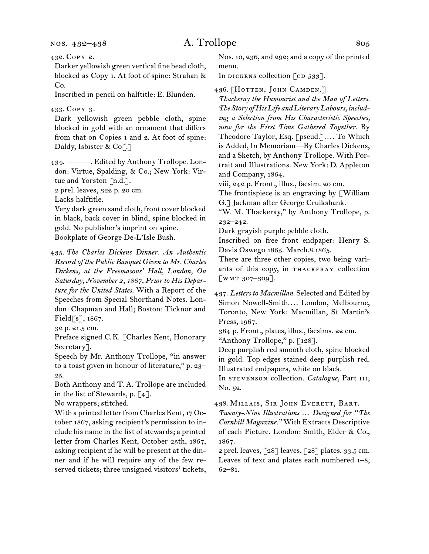nos. 432–438

## A. Trollope 805

432. Copy 2.

Darker yellowish green vertical fine bead cloth, blocked as Copy 1. At foot of spine: Strahan & Co.

Inscribed in pencil on halftitle: E. Blunden.

### 433. Copy 3.

Dark yellowish green pebble cloth, spine blocked in gold with an ornament that differs from that on Copies 1 and 2. At foot of spine: Daldy, Isbister & Co<sup>[.]</sup>

- 434. ———. Edited by Anthony Trollope. London: Virtue, Spalding, & Co.; New York: Virtue and Yorston [n.d.].
- 2 prel. leaves, 322 p. 20 cm.

Lacks halftitle.

Very dark green sand cloth, front cover blocked in black, back cover in blind, spine blocked in gold. No publisher's imprint on spine. Bookplate of George De-L'Isle Bush.

435. *The Charles Dickens Dinner. An Authentic Record of the Public Banquet Given to Mr. Charles Dickens, at the Freemasons' Hall, London, On Saturday, November 2, 1867, Prior to His Departure for the United States.* With a Report of the Speeches from Special Shorthand Notes. London: Chapman and Hall; Boston: Ticknor and Field[s], 1867.

Preface signed C.K. [Charles Kent, Honorary Secretary].

Speech by Mr. Anthony Trollope, "in answer to a toast given in honour of literature," p. 23– 25.

Both Anthony and T. A. Trollope are included in the list of Stewards, p. [4].

No wrappers; stitched.

With a printed letter from Charles Kent, 17 October 1867, asking recipient's permission to include his name in the list of stewards; a printed letter from Charles Kent, October 25th, 1867, asking recipient if he will be present at the dinner and if he will require any of the few reserved tickets; three unsigned visitors' tickets,

Nos. 10, 236, and 292; and a copy of the printed menu.

In DICKENS collection  $[CD 533]$ .

436. [HOTTEN, JOHN CAMDEN.]

*Thackeray the Humourist and the Man of Letters. The Story of His Life and Literary Labours, including a Selection from His Characteristic Speeches, now for the First Time Gathered Together.* By Theodore Taylor, Esq. [pseud.]*. . . .* To Which is Added, In Memoriam—By Charles Dickens, and a Sketch, by Anthony Trollope. With Portrait and Illustrations. New York: D. Appleton and Company, 1864.

viii, 242 p. Front., illus., facsim. 20 cm.

The frontispiece is an engraving by  $\ulcorner$  William G.] Jackman after George Cruikshank.

"W. M. Thackeray," by Anthony Trollope, p. 232–242.

Dark grayish purple pebble cloth.

Inscribed on free front endpaper: Henry S. Davis Oswego 1865. March.8.1865.

There are three other copies, two being variants of this copy, in thackeray collection [wmt 307–309].

437. *Letters to Macmillan.* Selected and Edited by Simon Nowell-Smith.... London, Melbourne, Toronto, New York: Macmillan, St Martin's Press, 1967.

384 p. Front., plates, illus., facsims. 22 cm.

"Anthony Trollope," p. [128].

Deep purplish red smooth cloth, spine blocked in gold. Top edges stained deep purplish red. Illustrated endpapers, white on black.

In stevenson collection. *Catalogue,* Part iii, No. 52.

438. Millais, Sir John Everett, Bart.

*Twenty-Nine Illustrations … Designed for "The Cornhill Magazine."* With Extracts Descriptive of each Picture. London: Smith, Elder & Co., 1867.

2 prel. leaves, [28] leaves, [28] plates. 33.5 cm. Leaves of text and plates each numbered 1–8, 62–81.

<sup>32</sup> p. 21.5 cm.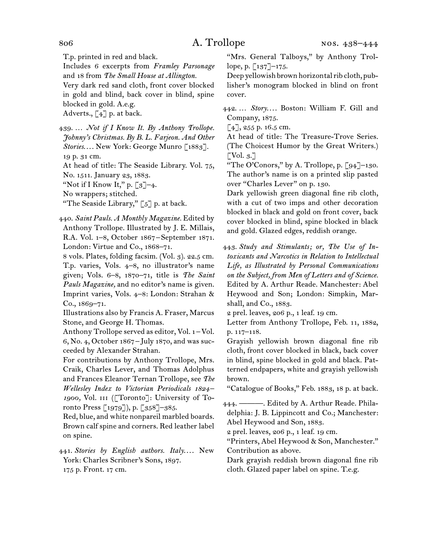T.p. printed in red and black.

Includes 6 excerpts from *Framley Parsonage*  and 18 from *The Small House at Allington.*

Very dark red sand cloth, front cover blocked in gold and blind, back cover in blind, spine blocked in gold. A.e.g.

Adverts.,  $\lceil 4 \rceil$  p. at back.

439. … *Not if I Know It. By Anthony Trollope. Johnny's Christmas. By B. L. Farjeon. And Other Stories....* New York: George Munro [1883]. 19 p. 31 cm.

At head of title: The Seaside Library. Vol. 75, No. 1511. January 23, 1883.

"Not if I Know It," p.  $\lceil 3 \rceil$ –4.

No wrappers; stitched.

"The Seaside Library,"  $\lceil 5 \rceil$  p. at back.

440. *Saint Pauls. A Monthly Magazine.* Edited by Anthony Trollope. Illustrated by J. E. Millais, R.A. Vol. 1–8, October 1867–September 1871. London: Virtue and Co., 1868–71.

8 vols. Plates, folding facsim. (Vol. 3). 22.5 cm. T.p. varies, Vols. 4–8, no illustrator's name given; Vols. 6–8, 1870–71, title is *The Saint Pauls Magazine,* and no editor's name is given. Imprint varies, Vols. 4–8: London: Strahan & Co., 1869–71.

Illustrations also by Francis A. Fraser, Marcus Stone, and George H. Thomas.

Anthony Trollope served as editor, Vol. 1-Vol. 6, No. 4, October 1867 –July 1870, and was succeeded by Alexander Strahan.

For contributions by Anthony Trollope, Mrs. Craik, Charles Lever, and Thomas Adolphus and Frances Eleanor Ternan Trollope, see *The Wellesley Index to Victorian Periodicals 1824 –* 1900, Vol. III ([Toronto]: University of Toronto Press [1979]), p. [358]–385.

Red, blue, and white nonpareil marbled boards. Brown calf spine and corners. Red leather label on spine.

441. Stories by English authors. Italy.... New York: Charles Scribner's Sons, 1897. 175 p. Front. 17 cm.

"Mrs. General Talboys," by Anthony Trollope, p. [137]–175.

Deep yellowish brown horizontal rib cloth, publisher's monogram blocked in blind on front cover.

442. ... *Story....* Boston: William F. Gill and Company, 1875.

 $[4]$ , 255 p. 16.5 cm.

At head of title: The Treasure-Trove Series. (The Choicest Humor by the Great Writers.)  $\lceil \text{Vol. } 3. \rceil$ 

"The O'Conors," by A. Trollope, p. [94]–130. The author's name is on a printed slip pasted over "Charles Lever" on p. 130.

Dark yellowish green diagonal fine rib cloth, with a cut of two imps and other decoration blocked in black and gold on front cover, back cover blocked in blind, spine blocked in black and gold. Glazed edges, reddish orange.

443. *Study and Stimulants; or, The Use of Intoxicants and Narcotics in Relation to Intellectual Life, as Illustrated by Personal Communications on the Subject, from Men of Letters and of Science.* Edited by A. Arthur Reade. Manchester: Abel Heywood and Son; London: Simpkin, Marshall, and Co., 1883.

2 prel. leaves, 206 p., 1 leaf. 19 cm.

Letter from Anthony Trollope, Feb. 11, 1882, p. 117–118.

Grayish yellowish brown diagonal fine rib cloth, front cover blocked in black, back cover in blind, spine blocked in gold and black. Patterned endpapers, white and grayish yellowish brown.

"Catalogue of Books," Feb. 1883, 18 p. at back.

444. ———. Edited by A. Arthur Reade. Philadelphia: J. B. Lippincott and Co.; Manchester: Abel Heywood and Son, 1883.

2 prel. leaves, 206 p., 1 leaf. 19 cm.

"Printers, Abel Heywood & Son, Manchester." Contribution as above.

Dark grayish reddish brown diagonal fine rib cloth. Glazed paper label on spine. T.e.g.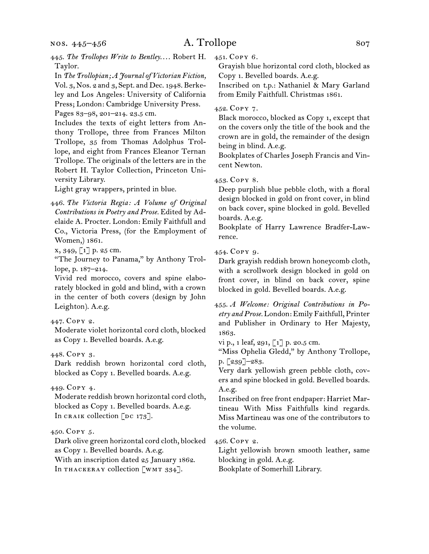- 445. The Trollopes Write to Bentley.... Robert H. Taylor.
- In *The Trollopian; A Journal of Victorian Fiction,*  Vol. 3, Nos. 2 and 3, Sept. and Dec. 1948. Berkeley and Los Angeles: University of California Press; London: Cambridge University Press. Pages 83–98, 201–214. 23.5 cm.

Includes the texts of eight letters from Anthony Trollope, three from Frances Milton Trollope, 35 from Thomas Adolphus Trollope, and eight from Frances Eleanor Ternan Trollope. The originals of the letters are in the Robert H. Taylor Collection, Princeton University Library.

Light gray wrappers, printed in blue.

446. *The Victoria Regia: A Volume of Original Contributions in Poetry and Prose.* Edited by Adelaide A. Procter. London: Emily Faithfull and Co., Victoria Press, (for the Employment of Women,) 1861.

x, 349, [1] p. 25 cm.

"The Journey to Panama," by Anthony Trollope, p. 187–214.

Vivid red morocco, covers and spine elaborately blocked in gold and blind, with a crown in the center of both covers (design by John Leighton). A.e.g.

447. Copy 2.

Moderate violet horizontal cord cloth, blocked as Copy 1. Bevelled boards. A.e.g.

448. Copy 3.

Dark reddish brown horizontal cord cloth, blocked as Copy 1. Bevelled boards. A.e.g.

### 449. Copy 4.

Moderate reddish brown horizontal cord cloth, blocked as Copy 1. Bevelled boards. A.e.g. In CRAIK collection  $\lceil$ DC 173].

### 450. Copy 5.

Dark olive green horizontal cord cloth, blocked as Copy 1. Bevelled boards. A.e.g. With an inscription dated 25 January 1862. In THACKERAY collection [WMT 334].

451. Copy 6.

Grayish blue horizontal cord cloth, blocked as Copy 1. Bevelled boards. A.e.g.

Inscribed on t.p.: Nathaniel & Mary Garland from Emily Faithfull. Christmas 1861.

### 452. Copy 7.

Black morocco, blocked as Copy 1, except that on the covers only the title of the book and the crown are in gold, the remainder of the design being in blind. A.e.g.

Bookplates of Charles Joseph Francis and Vincent Newton.

### 453. Copy 8.

Deep purplish blue pebble cloth, with a floral design blocked in gold on front cover, in blind on back cover, spine blocked in gold. Bevelled boards. A.e.g.

Bookplate of Harry Lawrence Bradfer-Lawrence.

454. Copy 9.

Dark grayish reddish brown honeycomb cloth, with a scrollwork design blocked in gold on front cover, in blind on back cover, spine blocked in gold. Bevelled boards. A.e.g.

455. *A Welcome: Original Contributions in Poetry and Prose.* London: Emily Faithfull, Printer and Publisher in Ordinary to Her Majesty, 1863.

vi p., 1 leaf, 291, [1] p. 20.5 cm.

"Miss Ophelia Gledd," by Anthony Trollope, p. [239]–283.

Very dark yellowish green pebble cloth, covers and spine blocked in gold. Bevelled boards. A.e.g.

Inscribed on free front endpaper: Harriet Martineau With Miss Faithfulls kind regards. Miss Martineau was one of the contributors to the volume.

456. Copy 2.

Light yellowish brown smooth leather, same blocking in gold. A.e.g. Bookplate of Somerhill Library.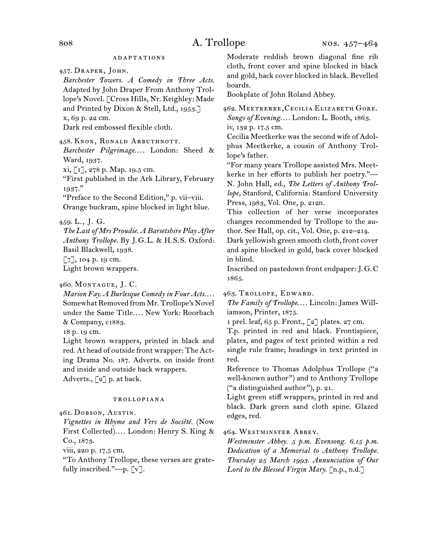### **ADAPTATIONS**

457. Draper, John.

*Barchester Towers. A Comedy in Three Acts.* Adapted by John Draper From Anthony Trollope's Novel. [Cross Hills, Nr. Keighley: Made and Printed by Dixon & Stell, Ltd., 1953.] x, 69 p. 22 cm. Dark red embossed flexible cloth.

458. Knox, Ronald Arbuthnott.

Barchester Pilgrimage.... London: Sheed & Ward, 1937.

xi, [1], 278 p. Map. 19.5 cm.

"First published in the Ark Library, February 1937."

"Preface to the Second Edition," p. vii–viii. Orange buckram, spine blocked in light blue.

459. L., J. G.

*The Last of Mrs Proudie. A Barsetshire Play After Anthony Trollope.* By J.G.L. & H.S.S. Oxford: Basil Blackwell, 1938. [7], 104 p. 19 cm.

Light brown wrappers.

460. Montague, J. C.

*Marion Fay. A Burlesque Comedy in Four Acts*. . . . Somewhat Removed from Mr. Trollope's Novel under the Same Title.... New York: Roorbach & Company, c1883.

18 p. 19 cm.

Light brown wrappers, printed in black and red. At head of outside front wrapper: The Acting Drama No. 187. Adverts. on inside front and inside and outside back wrappers. Adverts., [2] p. at back.

### trollopiana

461. Dobson, Austin.

*Vignettes in Rhyme and Vers de Société.* (Now First Collected).... London: Henry S. King & Co., 1873.

viii, 220 p. 17.5 cm.

"To Anthony Trollope, these verses are gratefully inscribed."—p. [v].

Moderate reddish brown diagonal fine rib cloth, front cover and spine blocked in black and gold, back cover blocked in black. Bevelled boards.

Bookplate of John Roland Abbey.

462. Meetkerke, Cecilia Elizabeth Gore. *Songs of Evening. . . .* London: L. Booth, 1863. iv, 132 p. 17.5 cm.

Cecilia Meetkerke was the second wife of Adolphus Meetkerke, a cousin of Anthony Trollope's father.

"For many years Trollope assisted Mrs. Meetkerke in her efforts to publish her poetry."— N. John Hall, ed., *The Letters of Anthony Trollope,* Stanford, California: Stanford University Press, 1983, Vol. One, p. 212n.

This collection of her verse incorporates changes recommended by Trollope to the author. See Hall, op. cit., Vol. One, p. 212–214.

Dark yellowish green smooth cloth, front cover and spine blocked in gold, back cover blocked in blind.

Inscribed on pastedown front endpaper: J.G.C 1865.

463. Trollope, Edward.

*The Family of Trollope....* Lincoln: James Williamson, Printer, 1875.

1 prel. leaf, 65 p. Front., [2] plates. 27 cm.

T.p. printed in red and black. Frontispiece, plates, and pages of text printed within a red single rule frame; headings in text printed in red.

Reference to Thomas Adolphus Trollope ("a well-known author") and to Anthony Trollope ("a distinguished author"), p. 21.

Light green stiff wrappers, printed in red and black. Dark green sand cloth spine. Glazed edges, red.

464. Westminster Abbey.

*Westminster Abbey. 5 p.m. Evensong. 6.15 p.m. Dedication of a Memorial to Anthony Trollope. Thursday 25 March 1993. Annunciation of Our Lord to the Blessed Virgin Mary.* [n.p., n.d.]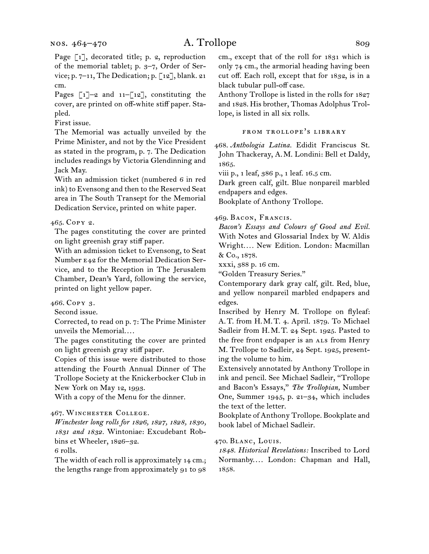Page [1], decorated title; p. 2, reproduction of the memorial tablet; p. 3–7, Order of Service; p. 7–11, The Dedication; p. [12], blank. 21 cm.

Pages  $\lceil 1 \rceil$ –2 and  $11 - \lceil 12 \rceil$ , constituting the cover, are printed on off-white stiff paper. Stapled.

First issue.

The Memorial was actually unveiled by the Prime Minister, and not by the Vice President as stated in the program, p. 7. The Dedication includes readings by Victoria Glendinning and Jack May.

With an admission ticket (numbered 6 in red ink) to Evensong and then to the Reserved Seat area in The South Transept for the Memorial Dedication Service, printed on white paper.

### 465. Copy 2.

The pages constituting the cover are printed on light greenish gray stiff paper.

With an admission ticket to Evensong, to Seat Number e42 for the Memorial Dedication Service, and to the Reception in The Jerusalem Chamber, Dean's Yard, following the service, printed on light yellow paper.

466. Copy 3.

Second issue.

Corrected, to read on p. 7: The Prime Minister unveils the Memorial....

The pages constituting the cover are printed on light greenish gray stiff paper.

Copies of this issue were distributed to those attending the Fourth Annual Dinner of The Trollope Society at the Knickerbocker Club in New York on May 12, 1993.

With a copy of the Menu for the dinner.

### 467. Winchester College.

*Winchester long rolls for 1826, 1827, 1828, 1830, 1831 and 1832.* Wintoniae: Excudebant Robbins et Wheeler, 1826–32.

6 rolls.

The width of each roll is approximately 14 cm.; the lengths range from approximately 91 to 98

cm., except that of the roll for 1831 which is only 74 cm., the armorial heading having been cut off. Each roll, except that for 1832, is in a black tubular pull-off case.

Anthony Trollope is listed in the rolls for 1827 and 1828. His brother, Thomas Adolphus Trollope, is listed in all six rolls.

### from trollope's library

468. *Anthologia Latina.* Edidit Franciscus St. John Thackeray, A.M. Londini: Bell et Daldy, 1865.

viii p., 1 leaf, 386 p., 1 leaf. 16.5 cm.

Dark green calf, gilt. Blue nonpareil marbled endpapers and edges. Bookplate of Anthony Trollope.

### 469. Bacon, Francis.

*Bacon's Essays and Colours of Good and Evil.*  With Notes and Glossarial Index by W. Aldis Wright*. . . .* New Edition. London: Macmillan & Co., 1878.

xxxi, 388 p. 16 cm.

"Golden Treasury Series."

Contemporary dark gray calf, gilt. Red, blue, and yellow nonpareil marbled endpapers and edges.

Inscribed by Henry M. Trollope on flyleaf: A.T. from H.M.T. 4. April. 1879. To Michael Sadleir from H.M.T. 24 Sept. 1925. Pasted to the free front endpaper is an ALS from Henry M. Trollope to Sadleir, 24 Sept. 1925, presenting the volume to him.

Extensively annotated by Anthony Trollope in ink and pencil. See Michael Sadleir, "Trollope and Bacon's Essays," *The Trollopian,* Number One, Summer 1945, p. 21–34, which includes the text of the letter.

Bookplate of Anthony Trollope. Bookplate and book label of Michael Sadleir.

### 470. Blanc, Louis.

*1848. Historical Revelations:* Inscribed to Lord Normanby.... London: Chapman and Hall, 1858.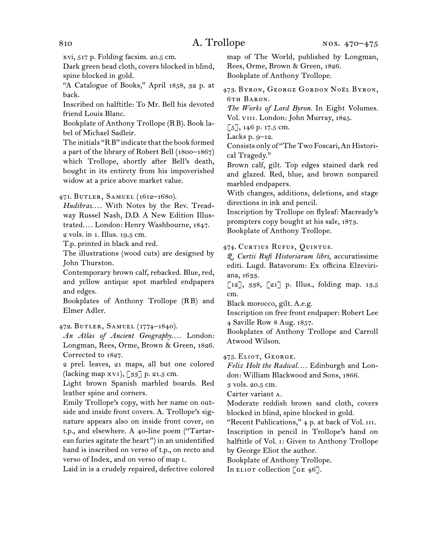xvi, 517 p. Folding facsim. 20.5 cm.

Dark green bead cloth, covers blocked in blind, spine blocked in gold.

"A Catalogue of Books," April 1858, 32 p. at back.

Inscribed on halftitle: To Mr. Bell his devoted friend Louis Blanc.

Bookplate of Anthony Trollope (RB). Book label of Michael Sadleir.

The initials "RB" indicate that the book formed a part of the library of Robert Bell (1800–1867) which Trollope, shortly after Bell's death, bought in its entirety from his impoverished widow at a price above market value.

471. Butler, Samuel (1612–1680).

Hudibras.... With Notes by the Rev. Treadway Russel Nash, D.D. A New Edition Illustrated.... London: Henry Washbourne, 1847. 2 vols. in 1. Illus. 19.5 cm.

T.p. printed in black and red.

The illustrations (wood cuts) are designed by John Thurston.

Contemporary brown calf, rebacked. Blue, red, and yellow antique spot marbled endpapers and edges.

Bookplates of Anthony Trollope (RB) and Elmer Adler.

472. Butler, Samuel (1774–1840).

An Atlas of Ancient Geography.... London: Longman, Rees, Orme, Brown & Green, 1826. Corrected to 1827.

2 prel. leaves, 21 maps, all but one colored (lacking map xvi), [33] p. 21.5 cm.

Light brown Spanish marbled boards. Red leather spine and corners.

Emily Trollope's copy, with her name on outside and inside front covers. A. Trollope's signature appears also on inside front cover, on t.p., and elsewhere. A 40-line poem ("Tartarean furies agitate the heart") in an unidentified hand is inscribed on verso of t.p., on recto and verso of Index, and on verso of map i.

Laid in is a crudely repaired, defective colored

map of The World, published by Longman, Rees, Orme, Brown & Green, 1826. Bookplate of Anthony Trollope.

473. BYRON, GEORGE GORDON NOËL BYRON, 6th Baron.

*The Works of Lord Byron.* In Eight Volumes. Vol. viii. London: John Murray, 1825.

 $[5]$ , 146 p. 17.5 cm.

Lacks p. 9–12.

Consists only of "The Two Foscari, An Historical Tragedy."

Brown calf, gilt. Top edges stained dark red and glazed. Red, blue, and brown nonpareil marbled endpapers.

With changes, additions, deletions, and stage directions in ink and pencil.

Inscription by Trollope on flyleaf: Macready's prompters copy bought at his sale, 1873. Bookplate of Anthony Trollope.

474. Curtius Rufus, Quintus.

*Q. Curtii Rufi Historiarum libri*, accuratissime editi. Lugd. Batavorum: Ex officina Elzeviriana, 1633.

[12], 338, [21] p. Illus., folding map. 13.5 cm.

Black morocco, gilt. A.e.g.

Inscription on free front endpaper: Robert Lee 4 Saville Row 8 Aug. 1857.

Bookplates of Anthony Trollope and Carroll Atwood Wilson.

475. Eliot, George.

*Felix Holt the Radical. . . .* Edinburgh and London: William Blackwood and Sons, 1866.

3 vols. 20.5 cm.

Carter variant a.

Moderate reddish brown sand cloth, covers blocked in blind, spine blocked in gold.

"Recent Publications," 4 p. at back of Vol. III.

Inscription in pencil in Trollope's hand on halftitle of Vol. i: Given to Anthony Trollope by George Eliot the author.

Bookplate of Anthony Trollope.

In ELIOT collection  $[GE 46]$ .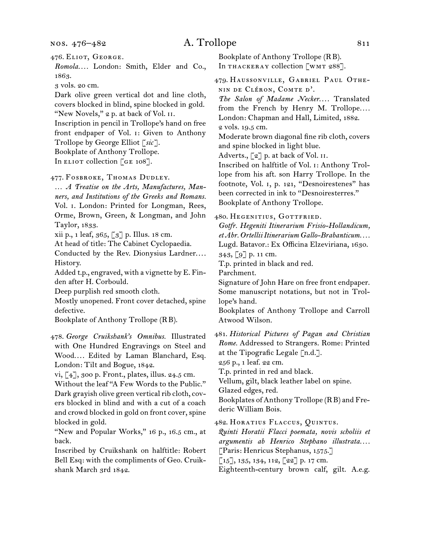476. Eliot, George.

*Romola. . . .* London: Smith, Elder and Co., 1863.

3 vols. 20 cm.

Dark olive green vertical dot and line cloth, covers blocked in blind, spine blocked in gold. "New Novels," 2 p. at back of Vol. II.

Inscription in pencil in Trollope's hand on free front endpaper of Vol. i: Given to Anthony Trollope by George Elliot [*sic*].

Bookplate of Anthony Trollope.

In ELIOT collection [GE 108].

477. Fosbroke, Thomas Dudley.

… *A Treatise on the Arts, Manufactures, Manners, and Institutions of the Greeks and Romans.* Vol. i. London: Printed for Longman, Rees, Orme, Brown, Green, & Longman, and John Taylor, 1833.

xii p., 1 leaf, 365, [3] p. Illus. 18 cm.

At head of title: The Cabinet Cyclopaedia.

Conducted by the Rev. Dionysius Lardner.... History.

Added t.p., engraved, with a vignette by E. Finden after H. Corbould.

Deep purplish red smooth cloth.

Mostly unopened. Front cover detached, spine defective.

Bookplate of Anthony Trollope (RB).

478. *George Cruikshank's Omnibus.* Illustrated with One Hundred Engravings on Steel and Wood.... Edited by Laman Blanchard, Esq. London: Tilt and Bogue, 1842.

vi, [4], 300 p. Front., plates, illus. 24.5 cm.

Without the leaf "A Few Words to the Public." Dark grayish olive green vertical rib cloth, covers blocked in blind and with a cut of a coach and crowd blocked in gold on front cover, spine blocked in gold.

"New and Popular Works," 16 p., 16.5 cm., at back.

Inscribed by Cruikshank on halftitle: Robert Bell Esq: with the compliments of Geo. Cruikshank March 3rd 1842.

Bookplate of Anthony Trollope (RB). In THACKERAY collection [WMT 288].

479. Haussonville, Gabriel Paul Othenin de Cléron, Comte d'.

The Salon of Madame Necker.... Translated from the French by Henry M. Trollope.... London: Chapman and Hall, Limited, 1882. 2 vols. 19.5 cm.

Moderate brown diagonal fine rib cloth, covers and spine blocked in light blue.

Adverts.,  $\lceil 2 \rceil$  p. at back of Vol. II.

Inscribed on halftitle of Vol. i: Anthony Trollope from his aft. son Harry Trollope. In the footnote, Vol. i, p. 121, "Desnoirestenes" has been corrected in ink to "Desnoiresterres." Bookplate of Anthony Trollope.

480. Hegenitius, Gottfried.

*Gotfr. Hegeniti Itinerarium Frisio-Hollandicum, et Abr. Ortellii Itinerarium Gallo-Brabanticum. . . .* Lugd. Batavor.: Ex Officina Elzeviriana, 1630.

343, [9] p. 11 cm.

T.p. printed in black and red.

Parchment.

Signature of John Hare on free front endpaper. Some manuscript notations, but not in Trollope's hand.

Bookplates of Anthony Trollope and Carroll Atwood Wilson.

481. *Historical Pictures of Pagan and Christian Rome.* Addressed to Strangers. Rome: Printed at the Tipografic Legale [n.d.].

256 p., 1 leaf. 22 cm.

T.p. printed in red and black.

Vellum, gilt, black leather label on spine.

Glazed edges, red.

Bookplates of Anthony Trollope (RB) and Frederic William Bois.

482. Horatius Flaccus, Quintus.

*Quinti Horatii Flacci poemata, novis scholiis et argumentis ab Henrico Stephano illustrata. . . .* [Paris: Henricus Stephanus, 1575.]

 $[15]$ , 135, 134, 112,  $[22]$  p. 17 cm.

Eighteenth-century brown calf, gilt. A.e.g.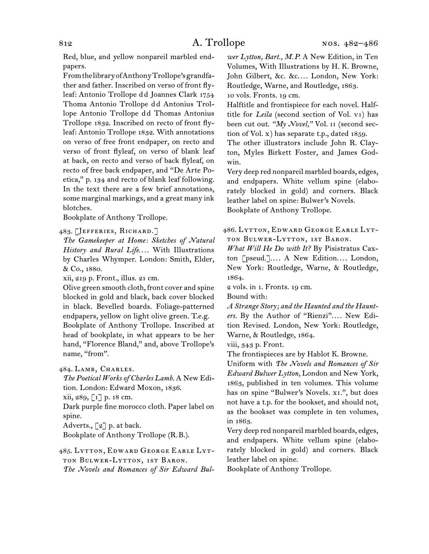Red, blue, and yellow nonpareil marbled endpapers.

From the library of Anthony Trollope's grandfather and father. Inscribed on verso of front flyleaf: Antonio Trollope dd Joannes Clark 1754 Thoma Antonio Trollope dd Antonius Trollope Antonio Trollope dd Thomas Antonius Trollope 1832. Inscribed on recto of front flyleaf: Antonio Trollope 1832. With annotations on verso of free front endpaper, on recto and verso of front flyleaf, on verso of blank leaf at back, on recto and verso of back flyleaf, on recto of free back endpaper, and "De Arte Poetica," p. 134 and recto of blank leaf following. In the text there are a few brief annotations, some marginal markings, and a great many ink blotches.

Bookplate of Anthony Trollope.

483. [Jefferies, Richard.]

*The Gamekeeper at Home: Sketches of Natural History and Rural Life....* With Illustrations by Charles Whymper. London: Smith, Elder, & Co., 1880.

xii, 219 p. Front., illus. 21 cm.

Olive green smooth cloth, front cover and spine blocked in gold and black, back cover blocked in black. Bevelled boards. Foliage-patterned endpapers, yellow on light olive green. T.e.g. Bookplate of Anthony Trollope. Inscribed at head of bookplate, in what appears to be her hand, "Florence Bland," and, above Trollope's name, "from".

484. Lamb, Charles.

*The Poetical Works of Charles Lamb.* A New Edition. London: Edward Moxon, 1836.

xii, 289, [1] p. 18 cm.

Dark purple fine morocco cloth. Paper label on spine.

Adverts.,  $\lbrack 2 \rbrack$  p. at back.

Bookplate of Anthony Trollope (R.B.).

485. Lytton, Edward George Earle Lytton Bulwer-Lytton, 1st Baron. *The Novels and Romances of Sir Edward Bul-* *wer Lytton, Bart., M.P.* A New Edition, in Ten Volumes, With Illustrations by H. K. Browne, John Gilbert, &c. &c.... London, New York: Routledge, Warne, and Routledge, 1863. 10 vols. Fronts. 19 cm.

Halftitle and frontispiece for each novel. Halftitle for *Leila* (second section of Vol. vi) has been cut out. *"My Novel,"* Vol. ii (second section of Vol. x) has separate t.p., dated 1859.

The other illustrators include John R. Clayton, Myles Birkett Foster, and James Godwin.

Very deep red nonpareil marbled boards, edges, and endpapers. White vellum spine (elaborately blocked in gold) and corners. Black leather label on spine: Bulwer's Novels. Bookplate of Anthony Trollope.

486. Lytton, Edward George Earle Lytton Bulwer-Lytton, 1st Baron.

*What Will He Do with It?* By Pisistratus Caxton [pseud.].... A New Edition.... London, New York: Routledge, Warne, & Routledge, 1864.

2 vols. in 1. Fronts. 19 cm.

Bound with:

*A Strange Story; and the Haunted and the Haunt*ers. By the Author of "Rienzi".... New Edition Revised. London, New York: Routledge, Warne, & Routledge, 1864.

viii, 343 p. Front.

The frontispieces are by Hablot K. Browne.

Uniform with *The Novels and Romances of Sir Edward Bulwer Lytton,* London and New York, 1863, published in ten volumes. This volume has on spine "Bulwer's Novels. xi.", but does not have a t.p. for the bookset, and should not, as the bookset was complete in ten volumes, in 1863.

Very deep red nonpareil marbled boards, edges, and endpapers. White vellum spine (elaborately blocked in gold) and corners. Black leather label on spine.

Bookplate of Anthony Trollope.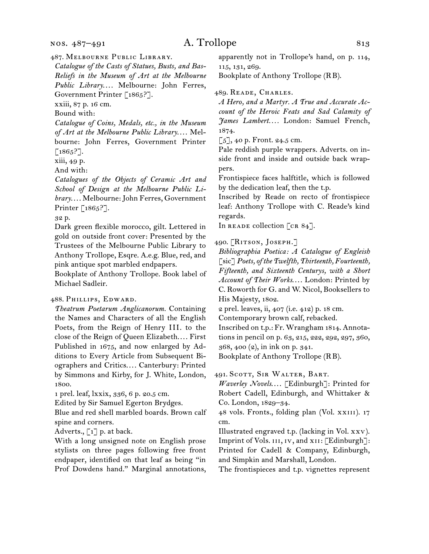nos. 487–491

## A. Trollope 813

487. Melbourne Public Library.

*Catalogue of the Casts of Statues, Busts, and Bas-Reliefs in the Museum of Art at the Melbourne*  Public Library.... Melbourne: John Ferres, Government Printer [1865?].

xxiii, 87 p. 16 cm.

Bound with:

*Catalogue of Coins, Medals, etc., in the Museum*  of Art at the Melbourne Public Library.... Melbourne: John Ferres, Government Printer  $[1865?].$ 

xiii, 49 p.

And with:

*Catalogues of the Objects of Ceramic Art and School of Design at the Melbourne Public Library*. . . . Melbourne: John Ferres, Government Printer [1865?].

32 p.

Dark green flexible morocco, gilt. Lettered in gold on outside front cover: Presented by the Trustees of the Melbourne Public Library to Anthony Trollope, Esqre. A.e.g. Blue, red, and pink antique spot marbled endpapers.

Bookplate of Anthony Trollope. Book label of Michael Sadleir.

### 488. Phillips, Edward.

*Theatrum Poetarum Anglicanorum.* Containing the Names and Characters of all the English Poets, from the Reign of Henry III. to the close of the Reign of Queen Elizabeth.... First Published in 1675, and now enlarged by Additions to Every Article from Subsequent Biographers and Critics.... Canterbury: Printed by Simmons and Kirby, for J. White, London, 1800.

1 prel. leaf, lxxix, 336, 6 p. 20.5 cm.

Edited by Sir Samuel Egerton Brydges.

Blue and red shell marbled boards. Brown calf spine and corners.

Adverts., [1] p. at back.

With a long unsigned note on English prose stylists on three pages following free front endpaper, identified on that leaf as being "in Prof Dowdens hand." Marginal annotations,

apparently not in Trollope's hand, on p. 114, 115, 131, 269.

Bookplate of Anthony Trollope (RB).

489. Reade, Charles.

*A Hero, and a Martyr. A True and Accurate Account of the Heroic Feats and Sad Calamity of James Lambert. . . .* London: Samuel French, 1874.

 $\lceil 5 \rceil$ , 40 p. Front. 24.5 cm.

Pale reddish purple wrappers. Adverts. on inside front and inside and outside back wrappers.

Frontispiece faces halftitle, which is followed by the dedication leaf, then the t.p.

Inscribed by Reade on recto of frontispiece leaf: Anthony Trollope with C. Reade's kind regards.

In READE collection  $\begin{bmatrix} \text{CR} & 84 \end{bmatrix}$ .

490. [RITSON, JOSEPH.]

*Bibliographia Poetica: A Catalogue of Engleish*  [sic] *Poets, of the Twelfth, Thirteenth, Fourteenth, Fifteenth, and Sixteenth Centurys, with a Short*  Account of Their Works.... London: Printed by C. Roworth for G. and W. Nicol, Booksellers to His Majesty, 1802.

2 prel. leaves, ii, 407 (i.e. 412) p. 18 cm.

Contemporary brown calf, rebacked.

Inscribed on t.p.: Fr. Wrangham 1814. Annotations in pencil on p. 63, 215, 222, 292, 297, 360, 368, 400 (2), in ink on p. 341.

Bookplate of Anthony Trollope (RB).

491. Scott, Sir Walter, Bart.

*Waverley Novels....* [Edinburgh]: Printed for Robert Cadell, Edinburgh, and Whittaker & Co. London, 1829–34.

48 vols. Fronts., folding plan (Vol. xxiii). 17 cm.

Illustrated engraved t.p. (lacking in Vol. xxv). Imprint of Vols. III, IV, and XII: [Edinburgh]: Printed for Cadell & Company, Edinburgh, and Simpkin and Marshall, London.

The frontispieces and t.p. vignettes represent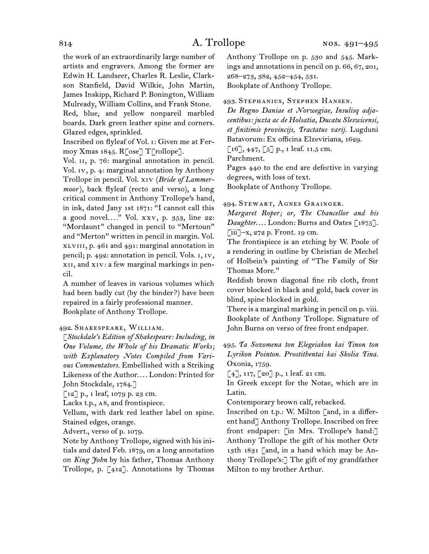the work of an extraordinarily large number of artists and engravers. Among the former are Edwin H. Landseer, Charles R. Leslie, Clarkson Stanfield, David Wilkie, John Martin, James Inskipp, Richard P. Bonington, William Mulready, William Collins, and Frank Stone. Red, blue, and yellow nonpareil marbled boards. Dark green leather spine and corners. Glazed edges, sprinkled.

Inscribed on flyleaf of Vol. i: Given me at Fermoy Xmas 1845. R[ose] T[rollope].

Vol. II, p. 76: marginal annotation in pencil. Vol. iv, p. 4: marginal annotation by Anthony Trollope in pencil. Vol. xiv (*Bride of Lammermoor*), back flyleaf (recto and verso), a long critical comment in Anthony Trollope's hand, in ink, dated Jany 1st 1871: "I cannot call this a good novel*. . . .*" Vol. xxv, p. 353, line 22: "Mordaunt" changed in pencil to "Mertoun" and "Merton" written in pencil in margin. Vol. xlviii, p. 461 and 491: marginal annotation in pencil; p. 492: annotation in pencil. Vols. i, iv, xii, and xiv: a few marginal markings in pencil.

A number of leaves in various volumes which had been badly cut (by the binder?) have been repaired in a fairly professional manner. Bookplate of Anthony Trollope.

### 492. Shakespeare, William.

[*Stockdale's Edition of Shakespeare: Including, in One Volume, the Whole of his Dramatic Works; with Explanatory Notes Compiled from Various Commentators.* Embellished with a Striking Likeness of the Author.... London: Printed for John Stockdale, 1784.]

[12] p., 1 leaf, 1079 p. 23 cm.

Lacks t.p., a8, and frontispiece.

Vellum, with dark red leather label on spine. Stained edges, orange.

Advert., verso of p. 1079.

Note by Anthony Trollope, signed with his initials and dated Feb. 1879, on a long annotation on *King John* by his father, Thomas Anthony Trollope, p. [412]. Annotations by Thomas

Anthony Trollope on p. 530 and 545. Markings and annotations in pencil on p. 66, 67, 201, 268–273, 382, 452–454, 531.

Bookplate of Anthony Trollope.

493. Stephanius, Stephen Hansen.

*De Regno Daniae et Norwegiae, Insulisq adjacentibus: juxta ac de Holsatia, Ducatu Sleswicensi, et finitimis provincijs, Tractatus varij.* Lugduni Batavorum: Ex officina Elzeviriana, 1629.

 $\lceil 16 \rceil, 447, \lceil 5 \rceil$  p., 1 leaf. 11.5 cm.

Parchment.

Pages 440 to the end are defective in varying degrees, with loss of text.

Bookplate of Anthony Trollope.

494. Stewart, Agnes Grainger.

*Margaret Roper; or, The Chancellor and his*  Daughter.... London: Burns and Oates [1875].  $\lceil$ iii]–x, 272 p. Front. 19 cm.

The frontispiece is an etching by W. Poole of a rendering in outline by Christian de Mechel of Holbein's painting of "The Family of Sir Thomas More."

Reddish brown diagonal fine rib cloth, front cover blocked in black and gold, back cover in blind, spine blocked in gold.

There is a marginal marking in pencil on p. viii. Bookplate of Anthony Trollope. Signature of John Burns on verso of free front endpaper.

495. *Ta Sozomena ton Elegeiakon kai Tinon ton Lyrikon Pointon. Prostithentai kai Skolia Tina.* Oxonia, 1759.

 $[4]$ , 117,  $[20]$  p., 1 leaf. 21 cm.

In Greek except for the Notae, which are in Latin.

Contemporary brown calf, rebacked.

Inscribed on t.p.: W. Milton [and, in a different hand] Anthony Trollope. Inscribed on free front endpaper: [in Mrs. Trollope's hand:] Anthony Trollope the gift of his mother Octr 13th 1831 [and, in a hand which may be Anthony Trollope's:] The gift of my grandfather Milton to my brother Arthur.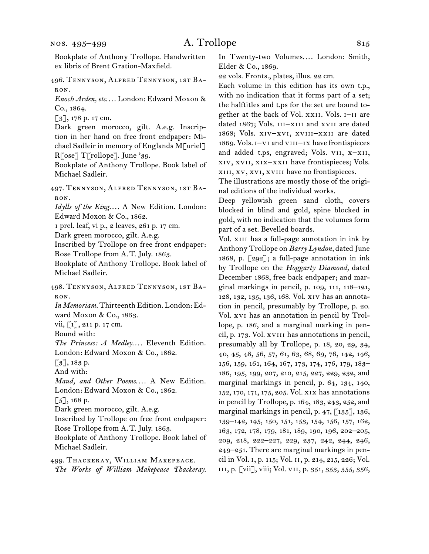496. Tennyson, Alfred Tennyson, 1st Baron.

*Enoch Arden, etc*. . . . London: Edward Moxon & Co., 1864.

[3], 178 p. 17 cm.

Dark green morocco, gilt. A.e.g. Inscription in her hand on free front endpaper: Michael Sadleir in memory of Englands M[uriel] R[ose] T[rollope]. June '39.

Bookplate of Anthony Trollope. Book label of Michael Sadleir.

497. Tennyson, Alfred Tennyson, 1st Baron.

*Idylls of the King.... A New Edition. London:* Edward Moxon & Co., 1862.

1 prel. leaf, vi p., 2 leaves, 261 p. 17 cm.

Dark green morocco, gilt. A.e.g.

Inscribed by Trollope on free front endpaper: Rose Trollope from A.T. July. 1863.

Bookplate of Anthony Trollope. Book label of Michael Sadleir.

498. Tennyson, Alfred Tennyson, 1st Baron.

*In Memoriam.* Thirteenth Edition. London: Edward Moxon & Co., 1863.

vii, [1], 211 p. 17 cm.

Bound with:

*The Princess: A Medley....* Eleventh Edition. London: Edward Moxon & Co., 1862.

 $\lceil 3 \rceil$ , 183 p.

And with:

*Maud, and Other Poems.... A New Edition.* London: Edward Moxon & Co., 1862.

 $\lceil 5 \rceil$ , 168 p.

Dark green morocco, gilt. A.e.g.

Inscribed by Trollope on free front endpaper: Rose Trollope from A.T. July. 1863.

Bookplate of Anthony Trollope. Book label of Michael Sadleir.

499. Thackeray, William Makepeace. *The Works of William Makepeace Thackeray.* In Twenty-two Volumes.... London: Smith, Elder & Co., 1869.

22 vols. Fronts., plates, illus. 22 cm.

Each volume in this edition has its own t.p., with no indication that it forms part of a set; the halftitles and t.ps for the set are bound together at the back of Vol. xxii. Vols. i–ii are dated 1867; Vols. III-XIII and XVII are dated 1868; Vols. xiv–xvi, xviii–xxii are dated 1869. Vols. i–vi and viii–ix have frontispieces and added t.ps, engraved; Vols. vii, x–xii, xiv, xvii, xix–xxii have frontispieces; Vols. xiii, xv, xvi, xviii have no frontispieces.

The illustrations are mostly those of the original editions of the individual works.

Deep yellowish green sand cloth, covers blocked in blind and gold, spine blocked in gold, with no indication that the volumes form part of a set. Bevelled boards.

Vol. XIII has a full-page annotation in ink by Anthony Trollope on *Barry Lyndon,* dated June 1868, p. [292]; a full-page annotation in ink by Trollope on the *Hoggarty Diamond,* dated December 1868, free back endpaper; and marginal markings in pencil, p. 109, 111, 118–121, 128, 132, 135, 136, 168. Vol. xiv has an annotation in pencil, presumably by Trollope, p. 20. Vol. xvi has an annotation in pencil by Trollope, p. 186, and a marginal marking in pencil, p. 173. Vol. xviii has annotations in pencil, presumably all by Trollope, p. 18, 20, 29, 34, 40, 45, 48, 56, 57, 61, 63, 68, 69, 76, 142, 146, 156, 159, 161, 164, 167, 173, 174, 176, 179, 183– 186, 195, 199, 207, 210, 215, 227, 229, 232, and marginal markings in pencil, p. 64, 134, 140, 152, 170, 171, 175, 205. Vol. xix has annotations in pencil by Trollope, p. 164, 183, 243, 252, and marginal markings in pencil, p. 47, [135], 136, 139–142, 145, 150, 151, 153, 154, 156, 157, 162, 163, 172, 178, 179, 181, 189, 190, 196, 202–205, 209, 218, 222–227, 229, 237, 242, 244, 246, 249–251. There are marginal markings in pencil in Vol. i, p. 115; Vol. ii, p. 214, 215, 226; Vol. iii, p. [vii], viii; Vol. vii, p. 351, 353, 355, 356,